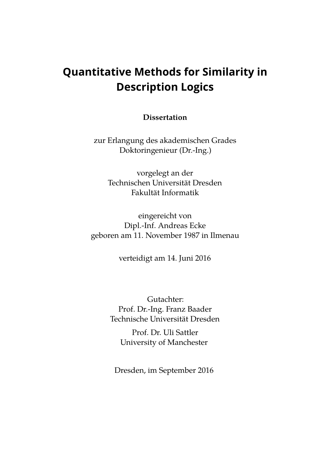# **Quantitative Methods for Similarity in Description Logics**

**Dissertation**

zur Erlangung des akademischen Grades Doktoringenieur (Dr.-Ing.)

vorgelegt an der Technischen Universität Dresden Fakultät Informatik

eingereicht von Dipl.-Inf. Andreas Ecke geboren am 11. November 1987 in Ilmenau

verteidigt am 14. Juni 2016

Gutachter: Prof. Dr.-Ing. Franz Baader Technische Universität Dresden

Prof. Dr. Uli Sattler University of Manchester

Dresden, im September 2016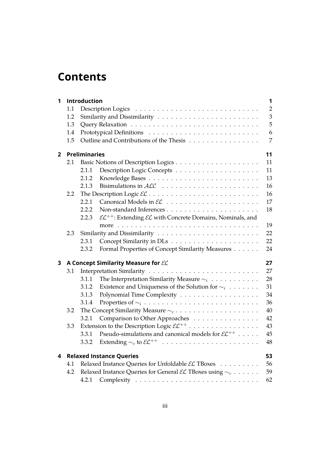# **Contents**

| 1              |                                 | Introduction                                                                                 | 1  |  |  |  |  |
|----------------|---------------------------------|----------------------------------------------------------------------------------------------|----|--|--|--|--|
|                | 1.1                             |                                                                                              |    |  |  |  |  |
|                | 1.2                             |                                                                                              |    |  |  |  |  |
|                | 1.3                             |                                                                                              | 5  |  |  |  |  |
|                | 1.4                             |                                                                                              | 6  |  |  |  |  |
|                | 1.5                             | Outline and Contributions of the Thesis                                                      | 7  |  |  |  |  |
| $\overline{2}$ |                                 | <b>Preliminaries</b>                                                                         |    |  |  |  |  |
|                | 2.1                             |                                                                                              | 11 |  |  |  |  |
|                |                                 | 2.1.1                                                                                        | 11 |  |  |  |  |
|                |                                 | 2.1.2                                                                                        | 13 |  |  |  |  |
|                |                                 | 2.1.3                                                                                        | 16 |  |  |  |  |
|                | 2.2                             |                                                                                              | 16 |  |  |  |  |
|                |                                 | 2.2.1                                                                                        | 17 |  |  |  |  |
|                |                                 | 2.2.2                                                                                        | 18 |  |  |  |  |
|                |                                 | $\mathcal{EL}^{++}$ : Extending $\mathcal{EL}$ with Concrete Domains, Nominals, and<br>2.2.3 |    |  |  |  |  |
|                |                                 |                                                                                              | 19 |  |  |  |  |
|                | 2.3                             |                                                                                              |    |  |  |  |  |
|                |                                 | 2.3.1                                                                                        | 22 |  |  |  |  |
|                |                                 | Formal Properties of Concept Similarity Measures<br>2.3.2                                    | 24 |  |  |  |  |
| 3              |                                 | A Concept Similarity Measure for EL                                                          |    |  |  |  |  |
|                | 3.1                             |                                                                                              | 27 |  |  |  |  |
|                |                                 | The Interpretation Similarity Measure $\sim_i$<br>3.1.1                                      | 28 |  |  |  |  |
|                |                                 | 3.1.2<br>Existence and Uniqueness of the Solution for $\sim_i$                               | 31 |  |  |  |  |
|                |                                 | 3.1.3                                                                                        | 34 |  |  |  |  |
|                |                                 | 3.1.4                                                                                        | 36 |  |  |  |  |
|                | 3.2                             |                                                                                              | 40 |  |  |  |  |
|                |                                 | Comparison to Other Approaches<br>3.2.1                                                      | 42 |  |  |  |  |
|                | 3.3                             | Extension to the Description Logic $\mathcal{EL}^{++}$                                       | 43 |  |  |  |  |
|                |                                 | Pseudo-simulations and canonical models for $\mathcal{EL}^{++}$<br>3.3.1                     | 45 |  |  |  |  |
|                |                                 | 3.3.2                                                                                        | 48 |  |  |  |  |
| 4              | <b>Relaxed Instance Queries</b> |                                                                                              |    |  |  |  |  |
|                | 4.1                             | Relaxed Instance Queries for Unfoldable EL TBoxes<br>56                                      |    |  |  |  |  |
|                | 4.2                             | Relaxed Instance Queries for General $\mathcal{EL}$ TBoxes using $\sim_c \ldots \ldots$      | 59 |  |  |  |  |
|                |                                 | 4.2.1                                                                                        | 62 |  |  |  |  |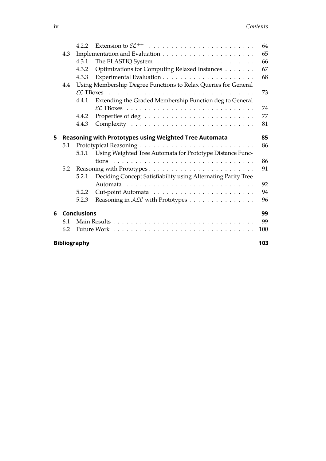|   |                                                                       | 4.2.2                                                  |                                                               | 64 |  |  |  |  |  |
|---|-----------------------------------------------------------------------|--------------------------------------------------------|---------------------------------------------------------------|----|--|--|--|--|--|
|   | 4.3                                                                   |                                                        |                                                               |    |  |  |  |  |  |
|   |                                                                       | 4.3.1                                                  |                                                               | 66 |  |  |  |  |  |
|   |                                                                       | 4.3.2                                                  | Optimizations for Computing Relaxed Instances                 | 67 |  |  |  |  |  |
|   |                                                                       | 4.3.3                                                  |                                                               | 68 |  |  |  |  |  |
|   | Using Membership Degree Functions to Relax Queries for General<br>4.4 |                                                        |                                                               |    |  |  |  |  |  |
|   |                                                                       |                                                        |                                                               |    |  |  |  |  |  |
|   |                                                                       | 4.4.1                                                  | Extending the Graded Membership Function deg to General       |    |  |  |  |  |  |
|   |                                                                       |                                                        |                                                               | 74 |  |  |  |  |  |
|   |                                                                       | 4.4.2                                                  |                                                               | 77 |  |  |  |  |  |
|   |                                                                       | 4.4.3                                                  |                                                               | 81 |  |  |  |  |  |
| 5 |                                                                       | Reasoning with Prototypes using Weighted Tree Automata |                                                               |    |  |  |  |  |  |
|   | 5.1                                                                   |                                                        |                                                               |    |  |  |  |  |  |
|   |                                                                       | 5.1.1                                                  | Using Weighted Tree Automata for Prototype Distance Func-     |    |  |  |  |  |  |
|   |                                                                       |                                                        |                                                               | 86 |  |  |  |  |  |
|   | 5.2                                                                   |                                                        |                                                               |    |  |  |  |  |  |
|   |                                                                       | 5.2.1                                                  | Deciding Concept Satisfiability using Alternating Parity Tree |    |  |  |  |  |  |
|   |                                                                       |                                                        |                                                               | 92 |  |  |  |  |  |
|   |                                                                       | 5.2.2                                                  |                                                               | 94 |  |  |  |  |  |
|   |                                                                       | 5.2.3                                                  | Reasoning in ALC with Prototypes                              | 96 |  |  |  |  |  |
| 6 | <b>Conclusions</b>                                                    |                                                        |                                                               |    |  |  |  |  |  |
|   | 6.1                                                                   |                                                        |                                                               | 99 |  |  |  |  |  |
|   | 6.2                                                                   |                                                        |                                                               |    |  |  |  |  |  |
|   | <b>Bibliography</b><br>103                                            |                                                        |                                                               |    |  |  |  |  |  |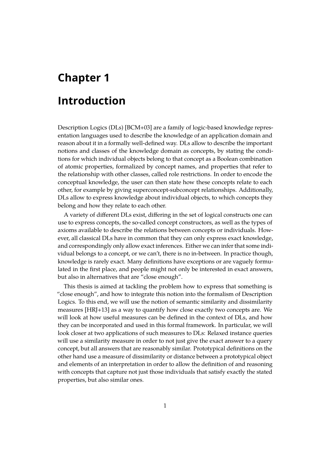# <span id="page-4-0"></span>**Chapter 1**

# **Introduction**

Description Logics (DLs) [\[BCM+03\]](#page-107-0) are a family of logic-based knowledge representation languages used to describe the knowledge of an application domain and reason about it in a formally well-defned way. DLs allow to describe the important notions and classes of the knowledge domain as concepts, by stating the conditions for which individual objects belong to that concept as a Boolean combination of atomic properties, formalized by concept names, and properties that refer to the relationship with other classes, called role restrictions. In order to encode the conceptual knowledge, the user can then state how these concepts relate to each other, for example by giving superconcept-subconcept relationships. Additionally, DLs allow to express knowledge about individual objects, to which concepts they belong and how they relate to each other.

A variety of diferent DLs exist, difering in the set of logical constructs one can use to express concepts, the so-called concept constructors, as well as the types of axioms available to describe the relations between concepts or individuals. However, all classical DLs have in common that they can only express exact knowledge, and correspondingly only allow exact inferences. Either we can infer that some individual belongs to a concept, or we can't, there is no in-between. In practice though, knowledge is rarely exact. Many defnitions have exceptions or are vaguely formulated in the frst place, and people might not only be interested in exact answers, but also in alternatives that are "close enough".

This thesis is aimed at tackling the problem how to express that something is "close enough", and how to integrate this notion into the formalism of Description Logics. To this end, we will use the notion of semantic similarity and dissimilarity measures [\[HRJ+13\]](#page-109-0) as a way to quantify how close exactly two concepts are. We will look at how useful measures can be defned in the context of DLs, and how they can be incorporated and used in this formal framework. In particular, we will look closer at two applications of such measures to DLs: Relaxed instance queries will use a similarity measure in order to not just give the exact answer to a query concept, but all answers that are reasonably similar. Prototypical defnitions on the other hand use a measure of dissimilarity or distance between a prototypical object and elements of an interpretation in order to allow the defnition of and reasoning with concepts that capture not just those individuals that satisfy exactly the stated properties, but also similar ones.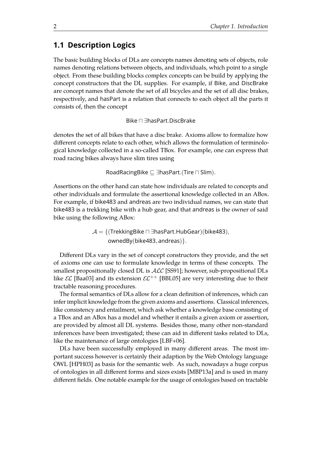# <span id="page-5-0"></span>**1.1 Description Logics**

The basic building blocks of DLs are concepts names denoting sets of objects, role names denoting relations between objects, and individuals, which point to a single object. From these building blocks complex concepts can be build by applying the concept constructors that the DL supplies. For example, if Bike, and DiscBrake are concept names that denote the set of all bicycles and the set of all disc brakes, respectively, and hasPart is a relation that connects to each object all the parts it consists of, then the concept

Bike u ∃hasPart.DiscBrake

denotes the set of all bikes that have a disc brake. Axioms allow to formalize how diferent concepts relate to each other, which allows the formulation of terminological knowledge collected in a so-called TBox. For example, one can express that road racing bikes always have slim tires using

RoadRacingBike  $\sqsubseteq \exists$ hasPart.(Tire  $\sqcap$  Slim).

Assertions on the other hand can state how individuals are related to concepts and other individuals and formulate the assertional knowledge collected in an ABox. For example, if bike483 and andreas are two individual names, we can state that bike483 is a trekking bike with a hub gear, and that andreas is the owner of said bike using the following ABox:

> $\mathcal{A} = \{$  (TrekkingBike  $\sqcap$  ∃hasPart.HubGear)(bike483), ownedBy(bike483, andreas)}.

Diferent DLs vary in the set of concept constructors they provide, and the set of axioms one can use to formulate knowledge in terms of these concepts. The smallest propositionally closed DL is  $\text{ALC}$  [\[SS91\]](#page-112-0); however, sub-propositional DLs like  $\mathcal{EL}$  [\[Baa03\]](#page-106-1) and its extension  $\mathcal{EL}^{++}$  [\[BBL05\]](#page-106-2) are very interesting due to their tractable reasoning procedures.

The formal semantics of DLs allow for a clean defnition of inferences, which can infer implicit knowledge from the given axioms and assertions. Classical inferences, like consistency and entailment, which ask whether a knowledge base consisting of a TBox and an ABox has a model and whether it entails a given axiom or assertion, are provided by almost all DL systems. Besides those, many other non-standard inferences have been investigated; these can aid in diferent tasks related to DLs, like the maintenance of large ontologies [\[LBF+06\]](#page-111-0).

DLs have been successfully employed in many diferent areas. The most important success however is certainly their adaption by the Web Ontology language OWL [\[HPH03\]](#page-109-1) as basis for the semantic web. As such, nowadays a huge corpus of ontologies in all diferent forms and sizes exists [\[MBP13a\]](#page-111-1) and is used in many diferent felds. One notable example for the usage of ontologies based on tractable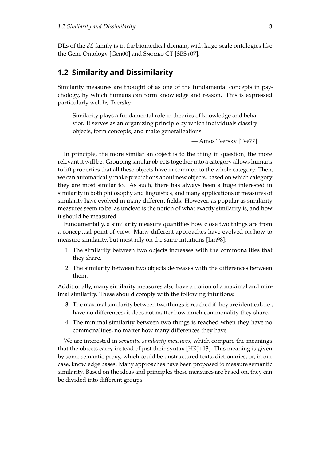DLs of the  $\mathcal{EL}$  family is in the biomedical domain, with large-scale ontologies like the Gene Ontology [\[Gen00\]](#page-109-2) and SNOMED CT [\[SBS+07\]](#page-113-0).

### <span id="page-6-0"></span>**1.2 Similarity and Dissimilarity**

Similarity measures are thought of as one of the fundamental concepts in psychology, by which humans can form knowledge and reason. This is expressed particularly well by Tversky:

Similarity plays a fundamental role in theories of knowledge and behavior. It serves as an organizing principle by which individuals classify objects, form concepts, and make generalizations.

— Amos Tversky [\[Tve77\]](#page-113-1)

In principle, the more similar an object is to the thing in question, the more relevant it will be. Grouping similar objects together into a category allows humans to lift properties that all these objects have in common to the whole category. Then, we can automatically make predictions about new objects, based on which category they are most similar to. As such, there has always been a huge interested in similarity in both philosophy and linguistics, and many applications of measures of similarity have evolved in many different fields. However, as popular as similarity measures seem to be, as unclear is the notion of what exactly similarity is, and how it should be measured.

Fundamentally, a similarity measure quantifes how close two things are from a conceptual point of view. Many diferent approaches have evolved on how to measure similarity, but most rely on the same intuitions [\[Lin98\]](#page-111-2):

- 1. The similarity between two objects increases with the commonalities that they share.
- 2. The similarity between two objects decreases with the diferences between them.

Additionally, many similarity measures also have a notion of a maximal and minimal similarity. These should comply with the following intuitions:

- 3. The maximal similarity between two things is reached if they are identical, i.e., have no diferences; it does not matter how much commonality they share.
- 4. The minimal similarity between two things is reached when they have no commonalities, no matter how many diferences they have.

We are interested in *semantic similarity measures*, which compare the meanings that the objects carry instead of just their syntax [\[HRJ+13\]](#page-109-0). This meaning is given by some semantic proxy, which could be unstructured texts, dictionaries, or, in our case, knowledge bases. Many approaches have been proposed to measure semantic similarity. Based on the ideas and principles these measures are based on, they can be divided into diferent groups: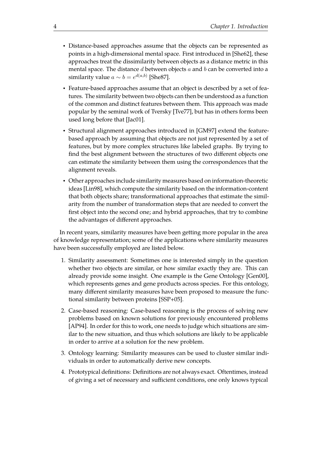- Distance-based approaches assume that the objects can be represented as points in a high-dimensional mental space. First introduced in [\[She62\]](#page-112-1), these approaches treat the dissimilarity between objects as a distance metric in this mental space. The distance  $d$  between objects  $a$  and  $b$  can be converted into a similarity value  $a \sim b = e^{d(a,b)}$  [\[She87\]](#page-112-2).
- Feature-based approaches assume that an object is described by a set of features. The similarity between two objects can then be understood as a function of the common and distinct features between them. This approach was made popular by the seminal work of Tversky [\[Tve77\]](#page-113-1), but has in others forms been used long before that [\[Jac01\]](#page-109-3).
- Structural alignment approaches introduced in [\[GM97\]](#page-109-4) extend the featurebased approach by assuming that objects are not just represented by a set of features, but by more complex structures like labeled graphs. By trying to find the best alignment between the structures of two different objects one can estimate the similarity between them using the correspondences that the alignment reveals.
- Other approaches include similarity measures based on information-theoretic ideas [\[Lin98\]](#page-111-2), which compute the similarity based on the information-content that both objects share; transformational approaches that estimate the similarity from the number of transformation steps that are needed to convert the first object into the second one; and hybrid approaches, that try to combine the advantages of diferent approaches.

In recent years, similarity measures have been getting more popular in the area of knowledge representation; some of the applications where similarity measures have been successfully employed are listed below.

- 1. Similarity assessment: Sometimes one is interested simply in the question whether two objects are similar, or how similar exactly they are. This can already provide some insight. One example is the Gene Ontology [\[Gen00\]](#page-109-2), which represents genes and gene products across species. For this ontology, many diferent similarity measures have been proposed to measure the functional similarity between proteins [\[SSP+05\]](#page-112-3).
- 2. Case-based reasoning: Case-based reasoning is the process of solving new problems based on known solutions for previously encountered problems [\[AP94\]](#page-106-3). In order for this to work, one needs to judge which situations are similar to the new situation, and thus which solutions are likely to be applicable in order to arrive at a solution for the new problem.
- 3. Ontology learning: Similarity measures can be used to cluster similar individuals in order to automatically derive new concepts.
- 4. Prototypical defnitions: Defnitions are not always exact. Oftentimes, instead of giving a set of necessary and sufficient conditions, one only knows typical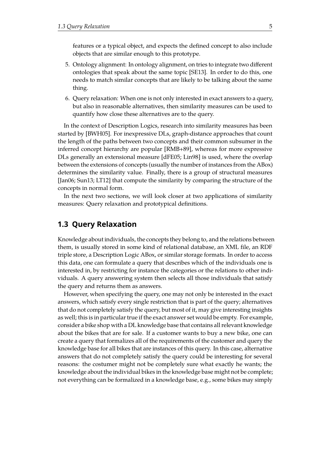features or a typical object, and expects the defned concept to also include objects that are similar enough to this prototype.

- 5. Ontology alignment: In ontology alignment, on tries to integrate two diferent ontologies that speak about the same topic [\[SE13\]](#page-112-4). In order to do this, one needs to match similar concepts that are likely to be talking about the same thing.
- 6. Query relaxation: When one is not only interested in exact answers to a query, but also in reasonable alternatives, then similarity measures can be used to quantify how close these alternatives are to the query.

In the context of Description Logics, research into similarity measures has been started by [\[BWH05\]](#page-107-1). For inexpressive DLs, graph-distance approaches that count the length of the paths between two concepts and their common subsumer in the inferred concept hierarchy are popular [\[RMB+89\]](#page-112-5), whereas for more expressive DLs generally an extensional measure [\[dFE05;](#page-108-0) [Lin98\]](#page-111-2) is used, where the overlap between the extensions of concepts (usually the number of instances from the ABox) determines the similarity value. Finally, there is a group of structural measures [\[Jan06;](#page-109-5) [Sun13;](#page-113-2) [LT12\]](#page-110-0) that compute the similarity by comparing the structure of the concepts in normal form.

In the next two sections, we will look closer at two applications of similarity measures: Query relaxation and prototypical defnitions.

### <span id="page-8-0"></span>**1.3 Query Relaxation**

Knowledge about individuals, the concepts they belong to, and the relations between them, is usually stored in some kind of relational database, an XML fle, an RDF triple store, a Description Logic ABox, or similar storage formats. In order to access this data, one can formulate a query that describes which of the individuals one is interested in, by restricting for instance the categories or the relations to other individuals. A query answering system then selects all those individuals that satisfy the query and returns them as answers.

However, when specifying the query, one may not only be interested in the exact answers, which satisfy every single restriction that is part of the query; alternatives that do not completely satisfy the query, but most of it, may give interesting insights as well; this is in particular true if the exact answer set would be empty. For example, consider a bike shop with a DL knowledge base that contains all relevant knowledge about the bikes that are for sale. If a customer wants to buy a new bike, one can create a query that formalizes all of the requirements of the customer and query the knowledge base for all bikes that are instances of this query. In this case, alternative answers that do not completely satisfy the query could be interesting for several reasons: the costumer might not be completely sure what exactly he wants; the knowledge about the individual bikes in the knowledge base might not be complete; not everything can be formalized in a knowledge base, e.g., some bikes may simply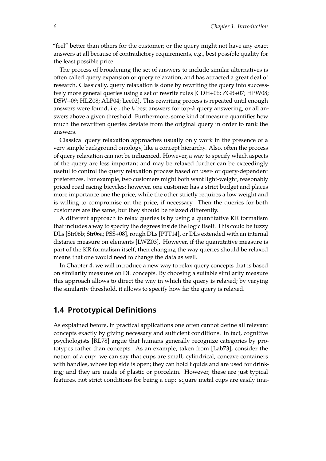"feel" better than others for the customer; or the query might not have any exact answers at all because of contradictory requirements, e.g., best possible quality for the least possible price.

The process of broadening the set of answers to include similar alternatives is often called query expansion or query relaxation, and has attracted a great deal of research. Classically, query relaxation is done by rewriting the query into successively more general queries using a set of rewrite rules [\[CDH+06;](#page-107-2) [ZGB+07;](#page-113-3) [HPW08;](#page-109-6) [DSW+09;](#page-108-1) [HLZ08;](#page-109-7) [ALP04;](#page-106-4) [Lee02\]](#page-110-1). This rewriting process is repeated until enough answers were found, i.e., the k best answers for top-k query answering, or all answers above a given threshold. Furthermore, some kind of measure quantifes how much the rewritten queries deviate from the original query in order to rank the answers.

Classical query relaxation approaches usually only work in the presence of a very simple background ontology, like a concept hierarchy. Also, often the process of query relaxation can not be infuenced. However, a way to specify which aspects of the query are less important and may be relaxed further can be exceedingly useful to control the query relaxation process based on user- or query-dependent preferences. For example, two customers might both want light-weight, reasonably priced road racing bicycles; however, one customer has a strict budget and places more importance one the price, while the other strictly requires a low weight and is willing to compromise on the price, if necessary. Then the queries for both customers are the same, but they should be relaxed diferently.

A diferent approach to relax queries is by using a quantitative KR formalism that includes a way to specify the degrees inside the logic itself. This could be fuzzy DLs [\[Str06b;](#page-113-4) [Str06a;](#page-113-5) [PSS+08\]](#page-111-3), rough DLs [\[PTT14\]](#page-112-6), or DLs extended with an internal distance measure on elements [\[LWZ03\]](#page-111-4). However, if the quantitative measure is part of the KR formalism itself, then changing the way queries should be relaxed means that one would need to change the data as well.

In Chapter [4,](#page-56-0) we will introduce a new way to relax query concepts that is based on similarity measures on DL concepts. By choosing a suitable similarity measure this approach allows to direct the way in which the query is relaxed; by varying the similarity threshold, it allows to specify how far the query is relaxed.

# <span id="page-9-0"></span>**1.4 Prototypical Defnitions**

As explained before, in practical applications one often cannot defne all relevant concepts exactly by giving necessary and sufficient conditions. In fact, cognitive psychologists [\[RL78\]](#page-112-7) argue that humans generally recognize categories by prototypes rather than concepts. As an example, taken from [\[Lab73\]](#page-110-2), consider the notion of a cup: we can say that cups are small, cylindrical, concave containers with handles, whose top side is open; they can hold liquids and are used for drinking; and they are made of plastic or porcelain. However, these are just typical features, not strict conditions for being a cup: square metal cups are easily ima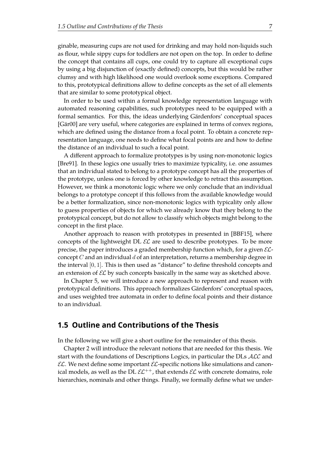ginable, measuring cups are not used for drinking and may hold non-liquids such as flour, while sippy cups for toddlers are not open on the top. In order to define the concept that contains all cups, one could try to capture all exceptional cups by using a big disjunction of (exactly defned) concepts, but this would be rather clumsy and with high likelihood one would overlook some exceptions. Compared to this, prototypical defnitions allow to defne concepts as the set of all elements that are similar to some prototypical object.

In order to be used within a formal knowledge representation language with automated reasoning capabilities, such prototypes need to be equipped with a formal semantics. For this, the ideas underlying Gärdenfors' conceptual spaces [\[Gär00\]](#page-109-8) are very useful, where categories are explained in terms of convex regions, which are defned using the distance from a focal point. To obtain a concrete representation language, one needs to defne what focal points are and how to defne the distance of an individual to such a focal point.

A diferent approach to formalize prototypes is by using non-monotonic logics [\[Bre91\]](#page-107-3). In these logics one usually tries to maximize typicality, i.e. one assumes that an individual stated to belong to a prototype concept has all the properties of the prototype, unless one is forced by other knowledge to retract this assumption. However, we think a monotonic logic where we only conclude that an individual belongs to a prototype concept if this follows from the available knowledge would be a better formalization, since non-monotonic logics with typicality only allow to guess properties of objects for which we already know that they belong to the prototypical concept, but do not allow to classify which objects might belong to the concept in the first place.

Another approach to reason with prototypes in presented in [\[BBF15\]](#page-106-5), where concepts of the lightweight DL  $\mathcal{EL}$  are used to describe prototypes. To be more precise, the paper introduces a graded membership function which, for a given  $\mathcal{EL}$ concept  $C$  and an individual  $d$  of an interpretation, returns a membership degree in the interval [0, 1]. This is then used as "distance" to defne threshold concepts and an extension of  $\mathcal{EL}$  by such concepts basically in the same way as sketched above.

In Chapter [5,](#page-88-0) we will introduce a new approach to represent and reason with prototypical defnitions. This approach formalizes Gärdenfors' conceptual spaces, and uses weighted tree automata in order to defne focal points and their distance to an individual.

### <span id="page-10-0"></span>**1.5 Outline and Contributions of the Thesis**

In the following we will give a short outline for the remainder of this thesis.

Chapter [2](#page-14-0) will introduce the relevant notions that are needed for this thesis. We start with the foundations of Descriptions Logics, in particular the DLs ALC and  $\mathcal{EL}$ . We next define some important  $\mathcal{EL}$ -specific notions like simulations and canonical models, as well as the DL  $\mathcal{EL}^{++}$ , that extends  $\mathcal{EL}$  with concrete domains, role hierarchies, nominals and other things. Finally, we formally define what we under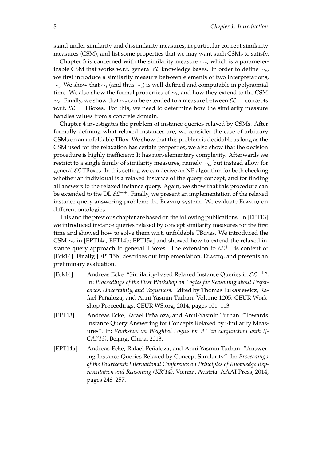stand under similarity and dissimilarity measures, in particular concept similarity measures (CSM), and list some properties that we may want such CSMs to satisfy.

Chapter [3](#page-30-0) is concerned with the similarity measure  $\sim_c$ , which is a parameterizable CSM that works w.r.t. general  $\mathcal{EL}$  knowledge bases. In order to define  $\sim_c$ , we first introduce a similarity measure between elements of two interpretations,  $\sim_i$ . We show that  $\sim_i$  (and thus  $\sim_c$ ) is well-defined and computable in polynomial time. We also show the formal properties of  $\sim_i$ , and how they extend to the CSM  $∼<sub>c</sub>$ . Finally, we show that  $∼<sub>c</sub>$  can be extended to a measure between  $\mathcal{EL}^{++}$  concepts w.r.t.  $\mathcal{EL}^{++}$  TBoxes. For this, we need to determine how the similarity measure handles values from a concrete domain.

Chapter [4](#page-56-0) investigates the problem of instance queries relaxed by CSMs. After formally defning what relaxed instances are, we consider the case of arbitrary CSMs on an unfoldable TBox. We show that this problem is decidable as long as the CSM used for the relaxation has certain properties, we also show that the decision procedure is highly inefficient: It has non-elementary complexity. Afterwards we restrict to a single family of similarity measures, namely  $\sim_c$ , but instead allow for general  $\mathcal{EL}$  TBoxes. In this setting we can derive an NP algorithm for both checking whether an individual is a relaxed instance of the query concept, and for finding all answers to the relaxed instance query. Again, we show that this procedure can be extended to the DL  $\mathcal{EL}^{++}$ . Finally, we present an implementation of the relaxed instance query answering problem; the ELASTIQ system. We evaluate ELASTIQ on diferent ontologies.

This and the previous chapter are based on the following publications. In [\[EPT13\]](#page-11-0) we introduced instance queries relaxed by concept similarity measures for the frst time and showed how to solve them w.r.t. unfoldable TBoxes. We introduced the CSM  $\sim_c$  in [\[EPT14a;](#page-11-1) [EPT14b;](#page-12-0) [EPT15a\]](#page-12-1) and showed how to extend the relaxed instance query approach to general TBoxes. The extension to  $\mathcal{EL}^{++}$  is content of [\[Eck14\]](#page-11-2). Finally, [\[EPT15b\]](#page-12-2) describes out implementation, Elastiq, and presents an preliminary evaluation.

- <span id="page-11-2"></span>[Eck14] Andreas Ecke. "Similarity-based Relaxed Instance Queries in  $\mathcal{EL}^{++}$ ". In: *Proceedings of the First Workshop on Logics for Reasoning about Preferences, Uncertainty, and Vagueness*. Edited by Thomas Lukasiewicz, Rafael Peñaloza, and Anni-Yasmin Turhan. Volume 1205. CEUR Workshop Proceedings. CEUR-WS.org, 2014, pages 101–113.
- <span id="page-11-0"></span>[EPT13] Andreas Ecke, Rafael Peñaloza, and Anni-Yasmin Turhan. "Towards Instance Query Answering for Concepts Relaxed by Similarity Measures". In: *Workshop on Weighted Logics for AI (in conjunction with IJ-CAI'13)*. Beijing, China, 2013.
- <span id="page-11-1"></span>[EPT14a] Andreas Ecke, Rafael Peñaloza, and Anni-Yasmin Turhan. "Answering Instance Queries Relaxed by Concept Similarity". In: *Proceedings of the Fourteenth International Conference on Principles of Knowledge Representation and Reasoning (KR'14)*. Vienna, Austria: AAAI Press, 2014, pages 248–257.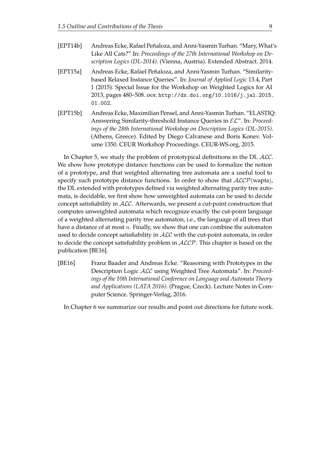- <span id="page-12-1"></span><span id="page-12-0"></span>[EPT14b] Andreas Ecke, Rafael Peñaloza, and Anni-Yasmin Turhan. "Mary, What's Like All Cats?" In: *Proceedings of the 27th International Workshop on Description Logics (DL-2014)*. (Vienna, Austria). Extended Abstract. 2014. [EPT15a] Andreas Ecke, Rafael Peñaloza, and Anni-Yasmin Turhan. "Similaritybased Relaxed Instance Queries". In: *Journal of Applied Logic* 13.4, Part 1 (2015). Special Issue for the Workshop on Weighted Logics for AI 2013, pages 480-508. por: [http://dx.doi.org/10.1016/j.jal.2015.](https://doi.org/http://dx.doi.org/10.1016/j.jal.2015.01.002) [01.002](https://doi.org/http://dx.doi.org/10.1016/j.jal.2015.01.002).
- <span id="page-12-2"></span>[EPT15b] Andreas Ecke, Maximilian Pensel, and Anni-Yasmin Turhan. "ELASTIQ: Answering Similarity-threshold Instance Queries in EL". In: *Proceedings of the 28th International Workshop on Description Logics (DL-2015)*. (Athens, Greece). Edited by Diego Calvanese and Boris Konev. Volume 1350. CEUR Workshop Proceedings. CEUR-WS.org, 2015.

In Chapter [5,](#page-88-0) we study the problem of prototypical definitions in the DL  $ALC$ . We show how prototype distance functions can be used to formalize the notion of a prototype, and that weighted alternating tree automata are a useful tool to specify such prototype distance functions. In order to show that  $ALCP(wapta)$ , the DL extended with prototypes defned via weighted alternating parity tree automata, is decidable, we frst show how unweighted automata can be used to decide concept satisfiability in  $ALC$ . Afterwards, we present a cut-point construction that computes unweighted automata which recognize exactly the cut-point language of a weighted alternating parity tree automaton, i.e., the language of all trees that have a distance of at most  $n$ . Finally, we show that one can combine the automaton used to decide concept satisfiability in ALC with the cut-point automata, in order to decide the concept satisfiability problem in  $ALCP$ . This chapter is based on the publication [\[BE16\]](#page-12-3).

<span id="page-12-3"></span>[BE16] Franz Baader and Andreas Ecke. "Reasoning with Prototypes in the Description Logic ALC using Weighted Tree Automata". In: *Proceedings of the 10th International Conference on Language and Automata Theory and Applications (LATA 2016)*. (Prague, Czeck). Lecture Notes in Computer Science. Springer-Verlag, 2016.

In Chapter [6](#page-102-0) we summarize our results and point out directions for future work.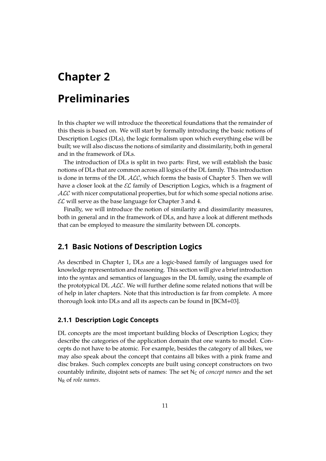# <span id="page-14-0"></span>**Chapter 2**

# **Preliminaries**

In this chapter we will introduce the theoretical foundations that the remainder of this thesis is based on. We will start by formally introducing the basic notions of Description Logics (DLs), the logic formalism upon which everything else will be built; we will also discuss the notions of similarity and dissimilarity, both in general and in the framework of DLs.

The introduction of DLs is split in two parts: First, we will establish the basic notions of DLs that are common across all logics of the DL family. This introduction is done in terms of the DL ALC, which forms the basis of Chapter [5.](#page-88-0) Then we will have a closer look at the  $\mathcal{EL}$  family of Description Logics, which is a fragment of ALC with nicer computational properties, but for which some special notions arise.  $\mathcal{EL}$  will serve as the base language for Chapter [3](#page-30-0) and [4.](#page-56-0)

Finally, we will introduce the notion of similarity and dissimilarity measures, both in general and in the framework of DLs, and have a look at diferent methods that can be employed to measure the similarity between DL concepts.

# <span id="page-14-1"></span>**2.1 Basic Notions of Description Logics**

As described in Chapter [1,](#page-4-0) DLs are a logic-based family of languages used for knowledge representation and reasoning. This section will give a brief introduction into the syntax and semantics of languages in the DL family, using the example of the prototypical DL  $ALC$ . We will further define some related notions that will be of help in later chapters. Note that this introduction is far from complete. A more thorough look into DLs and all its aspects can be found in [\[BCM+03\]](#page-107-0).

#### <span id="page-14-2"></span>**2.1.1 Description Logic Concepts**

DL concepts are the most important building blocks of Description Logics; they describe the categories of the application domain that one wants to model. Concepts do not have to be atomic. For example, besides the category of all bikes, we may also speak about the concept that contains all bikes with a pink frame and disc brakes. Such complex concepts are built using concept constructors on two countably infinite, disjoint sets of names: The set N<sub>C</sub> of *concept names* and the set N<sup>R</sup> of *role names*.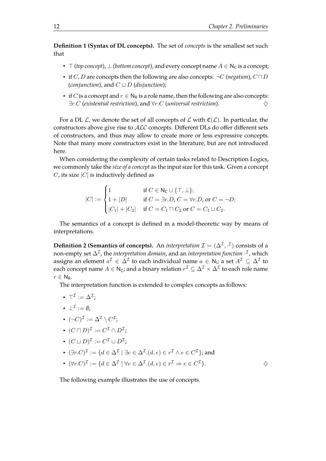**Defnition 1 (Syntax of DL concepts).** The set of *concepts* is the smallest set such that

- $\top$  (*top concept*),  $\bot$  (*bottom concept*), and every concept name  $A \in N_C$  is a concept;
- if  $C, D$  are concepts then the following are also concepts:  $\neg C$  (*negation*),  $C \sqcap D$ (*conjunction*), and  $C \sqcup D$  (*disjunction*);
- if C is a concept and  $r \in N_R$  is a role name, then the following are also concepts: ∃r.C (*existential restriction*), and ∀r.C (*universal restriction*). ♦

For a DL  $\mathcal{L}$ , we denote the set of all concepts of  $\mathcal{L}$  with  $\mathfrak{C}(\mathcal{L})$ . In particular, the constructors above give rise to  $ALC$  concepts. Different DLs do offer different sets of constructors, and thus may allow to create more or less expressive concepts. Note that many more constructors exist in the literature, but are not introduced here.

When considering the complexity of certain tasks related to Description Logics, we commonly take the *size of a concept* as the input size for this task. Given a concept  $C$ , its size  $|C|$  is inductively defined as

$$
|C| := \begin{cases} 1 & \text{if } C \in \mathsf{N}_{\mathsf{C}} \cup \{\top, \bot\}; \\ 1 + |D| & \text{if } C = \exists r.D, C = \forall r.D, \text{or } C = \neg D; \\ |C_1| + |C_2| & \text{if } C = C_1 \sqcap C_2 \text{ or } C = C_1 \sqcup C_2. \end{cases}
$$

The semantics of a concept is defned in a model-theoretic way by means of interpretations.

**Definition 2 (Semantics of concepts).** An *interpretation*  $\mathcal{I} = (\Delta^{\mathcal{I}}, \cdot^{\mathcal{I}})$  consists of a non-empty set  $\Delta^\mathcal{I}$ , the *interpretation domain*, and an *interpretation function*  $\cdot^\mathcal{I}$ , which assigns an element  $a^{\mathcal{I}} \in \Delta^{\mathcal{I}}$  to each individual name  $a \in \mathsf{N}_\mathsf{i}$ ; a set  $A^{\mathcal{I}} \subseteq \Delta^{\mathcal{I}}$  to each concept name  $A\in {\sf N}_{{\sf C}}$ ; and a binary relation  $r^{\cal I}\subseteq \Delta^{\cal I}\times \Delta^{\cal I}$  to each role name  $r \in N_R$ .

The interpretation function is extended to complex concepts as follows:

- $\bullet \ \top^\mathcal{I} := \Delta^\mathcal{I};$
- $\bullet\ \bot^{\mathcal{I}}:=\emptyset;$
- $\bullet \ \ (\neg C)^{\mathcal{I}} := \Delta^{\mathcal{I}} \setminus C^{\mathcal{I}};$
- $(C \sqcap D)^{\mathcal{I}} := C^{\mathcal{I}} \cap D^{\mathcal{I}};$
- $\bullet \ \ (C\sqcup D)^{\mathcal{I}}:=C^{\mathcal{I}}\cup D^{\mathcal{I}};$
- $(\exists r.C)^{\mathcal{I}} := \{d \in \Delta^{\mathcal{I}} \mid \exists e \in \Delta^{\mathcal{I}}.(d,e) \in r^{\mathcal{I}} \wedge e \in C^{\mathcal{I}}\}$ ; and
- $(\forall r.C)^{\mathcal{I}} := \{d \in \Delta^{\mathcal{I}} \mid \forall e \in \Delta^{\mathcal{I}}.\ (d,e) \in r^{\mathcal{I}} \Rightarrow e \in C^{\mathcal{I}}\}.$

<span id="page-15-0"></span>The following example illustrates the use of concepts.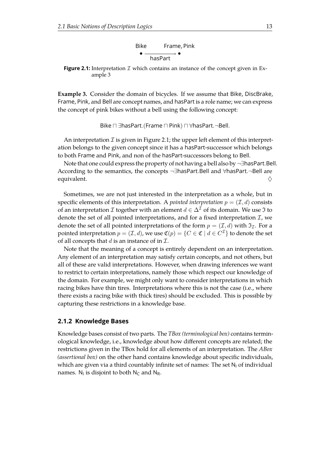

<span id="page-16-1"></span>**Figure 2.1:** Interpretation  $I$  which contains an instance of the concept given in Example [3](#page-15-0)

**Example 3.** Consider the domain of bicycles. If we assume that Bike, DiscBrake, Frame, Pink, and Bell are concept names, and hasPart is a role name; we can express the concept of pink bikes without a bell using the following concept:

Bike  $\sqcap \exists$ hasPart.(Frame  $\sqcap$  Pink)  $\sqcap \forall$ hasPart.¬Bell.

An interpretation  $\mathcal I$  is given in Figure [2.1;](#page-16-1) the upper left element of this interpretation belongs to the given concept since it has a hasPart-successor which belongs to both Frame and Pink, and non of the hasPart-successors belong to Bell.

Note that one could express the property of not having a bell also by ¬∃hasPart.Bell. According to the semantics, the concepts ¬∃hasPart.Bell and ∀hasPart.¬Bell are equivalent.  $\diamondsuit$ 

Sometimes, we are not just interested in the interpretation as a whole, but in specific elements of this interpretation. A *pointed interpretation*  $p = (\mathcal{I}, d)$  consists of an interpretation *I* together with an element  $d \in \Delta^{\mathcal{I}}$  of its domain. We use *J* to denote the set of all pointed interpretations, and for a fixed interpretation  $\mathcal{I}$ , we denote the set of all pointed interpretations of the form  $p = (\mathcal{I}, d)$  with  $\mathfrak{I}_{\mathcal{I}}$ . For a pointed interpretation  $p = (\mathcal{I}, d)$ , we use  $\mathfrak{C}(p) = \{C \in \mathfrak{C} \mid d \in C^{\mathcal{I}}\}$  to denote the set of all concepts that  $d$  is an instance of in  $\mathcal{I}$ .

Note that the meaning of a concept is entirely dependent on an interpretation. Any element of an interpretation may satisfy certain concepts, and not others, but all of these are valid interpretations. However, when drawing inferences we want to restrict to certain interpretations, namely those which respect our knowledge of the domain. For example, we might only want to consider interpretations in which racing bikes have thin tires. Interpretations where this is not the case (i.e., where there exists a racing bike with thick tires) should be excluded. This is possible by capturing these restrictions in a knowledge base.

#### <span id="page-16-0"></span>**2.1.2 Knowledge Bases**

<span id="page-16-2"></span>Knowledge bases consist of two parts. The *TBox (terminological box)* contains terminological knowledge, i.e., knowledge about how diferent concepts are related; the restrictions given in the TBox hold for all elements of an interpretation. The *ABox (assertional box)* on the other hand contains knowledge about specifc individuals, which are given via a third countably infinite set of names: The set  $N<sub>1</sub>$  of individual names.  $N_1$  is disjoint to both  $N_C$  and  $N_R$ .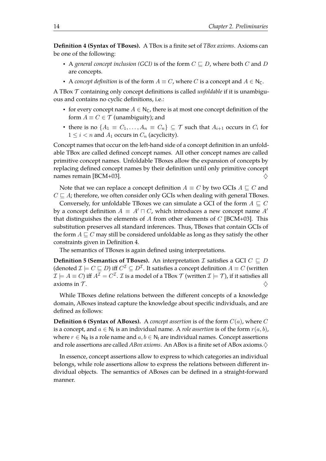**Defnition 4 (Syntax of TBoxes).** A TBox is a fnite set of *TBox axioms*. Axioms can be one of the following:

- A *general concept inclusion (GCI)* is of the form  $C \sqsubset D$ , where both C and D are concepts.
- A *concept definition* is of the form  $A \equiv C$ , where C is a concept and  $A \in N_C$ .

A TBox T containing only concept defnitions is called *unfoldable* if it is unambiguous and contains no cyclic defnitions, i.e.:

- for every concept name  $A \in N_C$ , there is at most one concept definition of the form  $A \equiv C \in \mathcal{T}$  (unambiguity); and
- there is no  $\{A_1 \equiv C_1, \ldots, A_n \equiv C_n\} \subseteq \mathcal{T}$  such that  $A_{i+1}$  occurs in  $C_i$  for  $1 \leq i \leq n$  and  $A_1$  occurs in  $C_n$  (acyclicity).

Concept names that occur on the left-hand side of a concept defnition in an unfoldable TBox are called defned concept names. All other concept names are called primitive concept names. Unfoldable TBoxes allow the expansion of concepts by replacing defned concept names by their defnition until only primitive concept names remain [\[BCM+03\]](#page-107-0).  $\diamondsuit$ 

Note that we can replace a concept definition  $A \equiv C$  by two GCIs  $A \sqsubseteq C$  and  $C \sqsubset A$ ; therefore, we often consider only GCIs when dealing with general TBoxes.

Conversely, for unfoldable TBoxes we can simulate a GCI of the form  $A \subseteq C$ by a concept definition  $A \equiv A' \sqcap C$ , which introduces a new concept name  $A'$ that distinguishes the elements of A from other elements of C [\[BCM+03\]](#page-107-0). This substitution preserves all standard inferences. Thus, TBoxes that contain GCIs of the form  $A \sqsubseteq C$  may still be considered unfoldable as long as they satisfy the other constraints given in Definition [4.](#page-16-2)

The semantics of TBoxes is again defned using interpretations.

**Definition 5 (Semantics of TBoxes).** An interpretation *I* satisfies a GCI  $C \subseteq D$ (denoted  $\mathcal{I} \models C \sqsubseteq D$ ) iff  $C^{\mathcal{I}} \subseteq D^{\mathcal{I}}$ . It satisfies a concept definition  $A \equiv C$  (written  $\mathcal{I} \models A \equiv C$ ) iff  $A^\mathcal{I} = C^\mathcal{I}$ .  $\mathcal{I}$  is a model of a TBox  $\mathcal{T}$  (written  $\mathcal{I} \models \mathcal{T}$ ), if it satisfies all axioms in T.  $\Diamond$ 

While TBoxes defne relations between the diferent concepts of a knowledge domain, ABoxes instead capture the knowledge about specifc individuals, and are defined as follows:

**Definition 6 (Syntax of ABoxes).** A *concept assertion* is of the form  $C(a)$ , where C is a concept, and  $a \in \mathsf{N}_\mathsf{l}$  is an individual name. A *role assertion* is of the form  $r(a, b)$ , where  $r \in N_R$  is a role name and  $a, b \in N_I$  are individual names. Concept assertions and role assertions are called *ABox axioms*. An ABox is a finite set of ABox axioms. $\diamondsuit$ 

In essence, concept assertions allow to express to which categories an individual belongs, while role assertions allow to express the relations between diferent individual objects. The semantics of ABoxes can be defned in a straight-forward manner.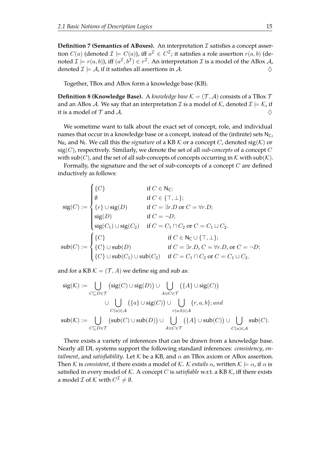**Definition 7 (Semantics of ABoxes).** An interpretation  $I$  satisfies a concept assertion  $C(a)$  (denoted  $\mathcal{I} \models C(a)$ ), iff  $a^{\mathcal{I}} \in C^{\mathcal{I}}$ ; it satisfies a role assertion  $r(a,b)$  (denoted  $\mathcal{I} \models r(a,b)$ ), iff  $(a^{\mathcal{I}},b^{\mathcal{I}}) \in r^{\mathcal{I}}.$  An interpretation  $\mathcal{I}$  is a model of the ABox  $\mathcal{A}$ , denoted  $\mathcal{I} \models \mathcal{A}$ , if it satisfies all assertions in  $\mathcal{A}$ .

Together, TBox and ABox form a knowledge base (KB).

**Definition 8 (Knowledge Base).** A *knowledge base*  $K = (\mathcal{T}, \mathcal{A})$  consists of a TBox  $\mathcal{T}$ and an ABox A. We say that an interpretation  $\mathcal I$  is a model of  $\mathcal K$ , denoted  $\mathcal I \models \mathcal K$ , if it is a model of  $\mathcal T$  and  $\mathcal A$ .

We sometime want to talk about the exact set of concept, role, and individual names that occur in a knowledge base or a concept, instead of the (infinite) sets  $N_C$ , N<sub>R</sub>, and N<sub>I</sub>. We call this the *signature* of a KB  $K$  or a concept  $C$ , denoted  $sig(K)$  or  $sig(C)$ , respectively. Similarly, we denote the set of all *sub-concepts* of a concept C with sub(C), and the set of all sub-concepts of concepts occurring in  $K$  with sub(K).

Formally, the signature and the set of sub-concepts of a concept  $C$  are defined inductively as follows:

$$
sig(C) := \begin{cases} \{C\} & \text{if } C \in \mathbb{N}_{C}; \\ \emptyset & \text{if } C \in \{\top, \bot\}; \\ \{r\} \cup sig(D) & \text{if } C = \exists r.D \text{ or } C = \forall r.D; \\ sig(D) & \text{if } C = \neg D; \\ sig(C_1) \cup sig(C_2) & \text{if } C = C_1 \sqcap C_2 \text{ or } C = C_1 \sqcup C_2. \end{cases}
$$

$$
sub(C) := \begin{cases} \{C\} & \text{if } C \in \mathbb{N}_{C} \cup \{\top, \bot\}; \\ \{C\} \cup sub(D) & \text{if } C = \exists r.D, C = \forall r.D, \text{ or } C = \neg D; \\ \{C\} \cup sub(C_1) \cup sub(C_2) & \text{if } C = C_1 \sqcap C_2 \text{ or } C = C_1 \sqcup C_2. \end{cases}
$$

and for a KB  $K = (\mathcal{T}, A)$  we define sig and sub as:

$$
\mathrm{sig}(\mathcal{K}) := \bigcup_{C \sqsubseteq D \in \mathcal{T}} (\mathrm{sig}(C) \cup \mathrm{sig}(D)) \cup \bigcup_{A \equiv C \in \mathcal{T}} (\{A\} \cup \mathrm{sig}(C))
$$
  

$$
\cup \bigcup_{C(a) \in \mathcal{A}} (\{a\} \cup \mathrm{sig}(C)) \cup \bigcup_{r(a,b) \in \mathcal{A}} \{r, a, b\}; and
$$
  

$$
\mathrm{sub}(\mathcal{K}) := \bigcup_{C \sqsubseteq D \in \mathcal{T}} (\mathrm{sub}(C) \cup \mathrm{sub}(D)) \cup \bigcup_{A \equiv C \in \mathcal{T}} (\{A\} \cup \mathrm{sub}(C)) \cup \bigcup_{C(a) \in \mathcal{A}} \mathrm{sub}(C).
$$

There exists a variety of inferences that can be drawn from a knowledge base. Nearly all DL systems support the following standard inferences: *consistency*, *entailment*, and *satisfiability*. Let  $K$  be a KB, and  $\alpha$  an TBox axiom or ABox assertion. Then K is *consistent*, if there exists a model of K. K *entails*  $\alpha$ , written  $K \models \alpha$ , if  $\alpha$  is satisfied in every model of  $K$ . A concept C is *satisfiable* w.r.t. a KB  $K$ , iff there exists a model  $\mathcal I$  of  $\mathcal K$  with  $C^{\mathcal I}\neq \emptyset.$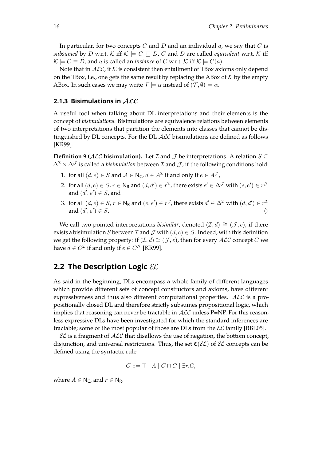In particular, for two concepts  $C$  and  $D$  and an individual  $a$ , we say that  $C$  is *subsumed* by D w.r.t. K iff  $K \models C \sqsubseteq D$ , C and D are called *equivalent* w.r.t. K iff  $\mathcal{K} \models C \equiv D$ , and a is called an *instance* of C w.r.t. K iff  $\mathcal{K} \models C(a)$ .

Note that in  $ALC$ , if K is consistent then entailment of TBox axioms only depend on the TBox, i.e., one gets the same result by replacing the ABox of  $K$  by the empty ABox. In such cases we may write  $\mathcal{T} \models \alpha$  instead of  $(\mathcal{T}, \emptyset) \models \alpha$ .

#### <span id="page-19-0"></span>**2.1.3 Bisimulations in** ALC

A useful tool when talking about DL interpretations and their elements is the concept of *bisimulations*. Bisimulations are equivalence relations between elements of two interpretations that partition the elements into classes that cannot be distinguished by DL concepts. For the DL  $\text{ALC}$  bisimulations are defined as follows [\[KR99\]](#page-110-3).

**Definition 9 (ALC bisimulation).** Let  $\mathcal I$  and  $\mathcal J$  be interpretations. A relation  $S \subseteq$  $\Delta^{\mathcal{I}} \times \Delta^{\mathcal{J}}$  is called a *bisimulation* between  $\mathcal{I}$  and  $\mathcal{J}$ , if the following conditions hold:

- 1. for all  $(d, e) \in S$  and  $A \in N_C$ ,  $d \in A^{\mathcal{I}}$  if and only if  $e \in A^{\mathcal{J}}$ ,
- 2. for all  $(d,e)\in S$ ,  $r\in {\sf N}_{\sf R}$  and  $(d,d')\in r^{\cal I}$ , there exists  $e'\in \Delta^{\cal J}$  with  $(e,e')\in r^{\cal J}$ and  $(d', e') \in S$ , and
- 3. for all  $(d,e)\in S$ ,  $r\in \mathsf{N}_\mathsf{R}$  and  $(e,e')\in r^\mathcal{J}$ , there exists  $d'\in \Delta^\mathcal{I}$  with  $(d,d')\in r^\mathcal{I}$ and  $(d', e')$  $) \in S.$

We call two pointed interpretations *bisimilar*, denoted  $(\mathcal{I}, d) \cong (\mathcal{J}, e)$ , if there exists a bisimulation S between  $\mathcal I$  and  $\mathcal J$  with  $(d, e) \in S$ . Indeed, with this definition we get the following property: if  $(\mathcal{I}, d) \cong (\mathcal{J}, e)$ , then for every  $\mathcal{ALC}$  concept C we have  $d \in C^{\mathcal{I}}$  if and only if  $e \in C^{\mathcal{J}}$  [\[KR99\]](#page-110-3).

### <span id="page-19-1"></span>**2.2 The Description Logic** EL

As said in the beginning, DLs encompass a whole family of diferent languages which provide diferent sets of concept constructors and axioms, have diferent expressiveness and thus also diferent computational properties. ALC is a propositionally closed DL and therefore strictly subsumes propositional logic, which implies that reasoning can never be tractable in  $ALC$  unless P=NP. For this reason, less expressive DLs have been investigated for which the standard inferences are tractable; some of the most popular of those are DLs from the  $\mathcal{EL}$  family [\[BBL05\]](#page-106-2).

 $\mathcal{EL}$  is a fragment of  $\mathcal{ALC}$  that disallows the use of negation, the bottom concept, disjunction, and universal restrictions. Thus, the set  $\mathfrak{C}(\mathcal{EL})$  of  $\mathcal{EL}$  concepts can be defined using the syntactic rule

$$
C ::= \top | A | C \sqcap C | \exists r.C,
$$

where  $A \in N_C$ , and  $r \in N_R$ .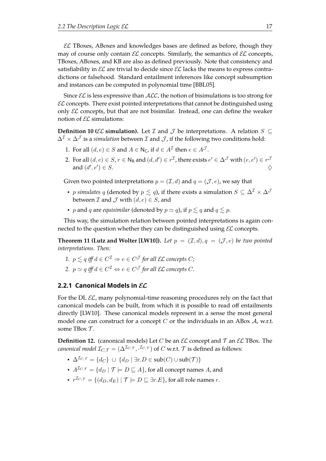$\mathcal{EL}$  TBoxes, ABoxes and knowledges bases are defined as before, though they may of course only contain  $\mathcal{EL}$  concepts. Similarly, the semantics of  $\mathcal{EL}$  concepts, TBoxes, ABoxes, and KB are also as defned previously. Note that consistency and satisfiability in  $\mathcal{EL}$  are trivial to decide since  $\mathcal{EL}$  lacks the means to express contradictions or falsehood. Standard entailment inferences like concept subsumption and instances can be computed in polynomial time [\[BBL05\]](#page-106-2).

Since  $\mathcal{EL}$  is less expressive than  $\mathcal{ALC}$ , the notion of bisimulations is too strong for  $\mathcal{EL}$  concepts. There exist pointed interpretations that cannot be distinguished using only  $\mathcal{EL}$  concepts, but that are not bisimilar. Instead, one can define the weaker notion of  $\mathcal{EL}$  simulations:

<span id="page-20-1"></span>**Definition 10 (** $\mathcal{EL}$  **<b>simulation).** Let  $\mathcal{I}$  and  $\mathcal{J}$  be interpretations. A relation  $S \subseteq$  $\Delta^{\mathcal{I}} \times \Delta^{\mathcal{J}}$  is a *simulation* between  $\mathcal I$  and  $\mathcal J$ , if the following two conditions hold:

- 1. For all  $(d, e) \in S$  and  $A \in \mathsf{N}_\mathsf{C}$ , if  $d \in A^\mathcal{I}$  then  $e \in A^\mathcal{J}$ .
- 2. For all  $(d,e)\in S$ ,  $r\in\mathsf{N}_\mathsf{R}$  and  $(d,d')\in r^\mathcal{I}$ , there exists  $e'\in\Delta^\mathcal{J}$  with  $(e,e')\in r^\mathcal{J}$ and  $(d', e'$  $\Theta$ )  $\in$  *S*.

Given two pointed interpretations  $p = (\mathcal{I}, d)$  and  $q = (\mathcal{J}, e)$ , we say that

- p *simulates* q (denoted by  $p \le q$ ), if there exists a simulation  $S \subseteq \Delta^{\mathcal{I}} \times \Delta^{\mathcal{J}}$ between  $\mathcal I$  and  $\mathcal J$  with  $(d, e) \in S$ , and
- p and q are *equisimilar* (denoted by  $p \simeq q$ ), if  $p \lesssim q$  and  $q \lesssim p$ .

This way, the simulation relation between pointed interpretations is again connected to the question whether they can be distinguished using  $\mathcal{EL}$  concepts.

**Theorem 11 (Lutz and Wolter [\[LW10\]](#page-111-5)).** Let  $p = (\mathcal{I}, d), q = (\mathcal{J}, e)$  be two pointed *interpretations. Then:*

- 1.  $p \lesssim q$  *iff*  $d \in C^{\mathcal{I}} \Rightarrow e \in C^{\mathcal{J}}$  for all  $\mathcal{EL}$  concepts  $C$ ;
- 2.  $p \simeq q$  *iff*  $d \in C^{\mathcal{I}} \Leftrightarrow e \in C^{\mathcal{J}}$  for all EL concepts  $C$ .

#### <span id="page-20-0"></span>**2.2.1 Canonical Models in** EL

For the DL  $\mathcal{EL}$ , many polynomial-time reasoning procedures rely on the fact that canonical models can be built, from which it is possible to read of entailments directly [\[LW10\]](#page-111-5). These canonical models represent in a sense the most general model one can construct for a concept C or the individuals in an ABox  $A$ , w.r.t. some TBox  $\mathcal T$ .

**Definition 12.** (canonical models) Let C be an  $\mathcal{EL}$  concept and  $\mathcal{T}$  an  $\mathcal{EL}$  TBox. The *canonical model*  $\mathcal{I}_{C, \mathcal{T}} = (\Delta^{\mathcal{I}_{C, \mathcal{T}}}, \cdot^{\mathcal{I}_{C, \mathcal{T}}})$  *of*  $C$  *w.r.t.*  $\mathcal{T}$  *is defined as follows:* 

- $\Delta^{\mathcal{I}_{C,\mathcal{T}}} = \{d_C\} \cup \{d_D \mid \exists r.D \in \text{sub}(C) \cup \text{sub}(\mathcal{T})\}$
- $A^{\mathcal{I}_{C,\mathcal{T}}} = \{d_D | \mathcal{T} \models D \sqsubset A\}$ , for all concept names A, and
- $r^{\mathcal{I}_{C,\mathcal{T}}} = \{(d_D, d_E) \mid \mathcal{T} \models D \sqsubseteq \exists r.E\}$ , for all role names  $r$ .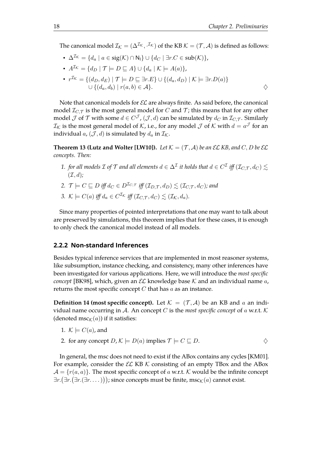The canonical model  $\mathcal{I}_\mathcal{K}=(\Delta^\mathcal{I_\mathcal{K}},\cdot^\mathcal{I_\mathcal{K}})$  of the KB  $\mathcal{K}=(\mathcal{T},\mathcal{A})$  is defined as follows:

- $\Delta^{I_K} = \{d_a \mid a \in \text{sig}(\mathcal{K}) \cap \mathsf{N_1}\} \cup \{d_C \mid \exists r.C \in \text{sub}(\mathcal{K})\},\$
- $A^{\mathcal{I}_{\mathcal{K}}} = \{d_D \mid \mathcal{T} \models D \sqsubseteq A\} \cup \{d_a \mid \mathcal{K} \models A(a)\},\$
- $r^{\mathcal{I}_{\mathcal{K}}} = \{(d_D, d_E) | \mathcal{T} \models D \sqsubseteq \exists r.E\} \cup \{(d_a, d_D) | \mathcal{K} \models \exists r.D(a)\}\$  $\cup$  { $(d_a, d_b)$  |  $r(a, b) \in \mathcal{A}$  }.  $\diamondsuit$

Note that canonical models for  $\mathcal{EL}$  are always finite. As said before, the canonical model  $\mathcal{I}_{C,\mathcal{T}}$  is the most general model for C and T; this means that for any other model  $\mathcal J$  of  $\mathcal T$  with some  $d\in C^{\mathcal J}$  ,  $(\mathcal J,d)$  can be simulated by  $d_C$  in  $\mathcal I_{C,\mathcal T}.$  Similarly  $\mathcal{I}_{\mathcal{K}}$  is the most general model of  $\mathcal{K}$ , i.e., for any model  $\mathcal J$  of  $\mathcal K$  with  $d=a^{\mathcal J}$  for an individual  $a$ ,  $(\mathcal{J}, d)$  is simulated by  $d_a$  in  $\mathcal{I}_\mathcal{K}$ .

**Theorem 13 (Lutz and Wolter [\[LW10\]](#page-111-5)).** Let  $K = (\mathcal{T}, \mathcal{A})$  be an  $\mathcal{EL}$  KB, and C, D be  $\mathcal{EL}$ *concepts. Then:*

- $1.$  *for all models*  $\mathcal I$  *of*  $\mathcal T$  *and all elements*  $d\in \Delta^\mathcal I$  *it holds that*  $d\in C^\mathcal I$  *iff*  $(\mathcal I_{C,\mathcal T},d_C)\lesssim 1$  $(\mathcal{I}, d)$ ;
- 2.  $\mathcal{T} \models C \sqsubseteq D$  *iff*  $d_C \in D^{\mathcal{I}_{C, \mathcal{T}}}$  *iff*  $(\mathcal{I}_{D, \mathcal{T}}, d_D) \leq (\mathcal{I}_{C, \mathcal{T}}, d_C)$ *; and*
- 3.  $\mathcal{K} \models C(a)$  *iff*  $d_a \in C^{\mathcal{I}_{\mathcal{K}}}$  *iff*  $(\mathcal{I}_{C, \mathcal{T}}, d_C) \lesssim (\mathcal{I}_{\mathcal{K}}, d_a)$ .

Since many properties of pointed interpretations that one may want to talk about are preserved by simulations, this theorem implies that for these cases, it is enough to only check the canonical model instead of all models.

#### <span id="page-21-0"></span>**2.2.2 Non-standard Inferences**

Besides typical inference services that are implemented in most reasoner systems, like subsumption, instance checking, and consistency, many other inferences have been investigated for various applications. Here, we will introduce the *most specifc concept* [\[BK98\]](#page-107-4), which, given an  $\mathcal{EL}$  knowledge base K and an individual name a, returns the most specific concept  $C$  that has  $a$  as an instance.

**Definition 14 (most specific concept).** Let  $\mathcal{K} = (\mathcal{T}, \mathcal{A})$  be an KB and a an individual name occurring in A. An concept C is the *most specific concept* of a w.r.t.  $K$ (denoted  $\text{msc}_{\mathcal{K}}(a)$ ) if it satisfies:

1.  $\mathcal{K} \models C(a)$ , and

2. for any concept 
$$
D
$$
,  $K \models D(a)$  implies  $\mathcal{T} \models C \sqsubseteq D$ .

In general, the msc does not need to exist if the ABox contains any cycles [\[KM01\]](#page-110-4). For example, consider the  $\mathcal{EL}$  KB K consisting of an empty TBox and the ABox  $\mathcal{A} = \{r(a, a)\}\.$  The most specific concept of a w.r.t. K would be the infinite concept  $\exists r.(\exists r.(\exists r.(\exists r.\ldots)));$  since concepts must be finite,  $\mathrm{msc}_\mathcal{K}(a)$  cannot exist.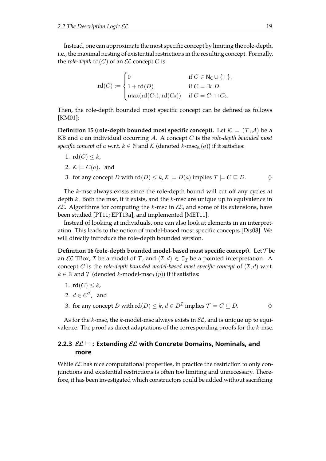Instead, one can approximate the most specific concept by limiting the role-depth, i.e., the maximal nesting of existential restrictions in the resulting concept. Formally, the *role-depth*  $rd(C)$  of an  $\mathcal{EL}$  concept C is

$$
\mathrm{rd}(C) := \begin{cases} 0 & \text{if } C \in \mathsf{N}_{\mathsf{C}} \cup \{\top\}, \\ 1 + \mathrm{rd}(D) & \text{if } C = \exists r.D, \\ \max(\mathrm{rd}(C_1),\mathrm{rd}(C_2)) & \text{if } C = C_1 \sqcap C_2. \end{cases}
$$

Then, the role-depth bounded most specific concept can be defined as follows [\[KM01\]](#page-110-4):

**Definition 15 (role-depth bounded most specific concept).** Let  $K = (\mathcal{T}, \mathcal{A})$  be a KB and a an individual occurring A. A concept C is the *role-depth bounded most specific concept* of a w.r.t.  $k \in \mathbb{N}$  and  $\mathcal{K}$  (denoted  $k\text{-}\mathrm{msc}_{\mathcal{K}}(a)$ ) if it satisfies:

- 1.  $rd(C) \leq k$ ,
- 2.  $K \models C(a)$ , and
- 3. for any concept D with  $rd(D) \le k, \mathcal{K} \models D(a)$  implies  $\mathcal{T} \models C \sqsubseteq D$ .  $\diamondsuit$

The k-msc always exists since the role-depth bound will cut of any cycles at depth  $k$ . Both the msc, if it exists, and the  $k$ -msc are unique up to equivalence in  $\mathcal{EL}$ . Algorithms for computing the k-msc in  $\mathcal{EL}$ , and some of its extensions, have been studied [\[PT11;](#page-112-8) [EPT13a\]](#page-108-2), and implemented [\[MET11\]](#page-111-6).

Instead of looking at individuals, one can also look at elements in an interpretation. This leads to the notion of model-based most specifc concepts [\[Dis08\]](#page-108-3). We will directly introduce the role-depth bounded version.

**Definition 16 (role-depth bounded model-based most specific concept).** Let  $\mathcal{T}$  be an *EL* TBox, *I* be a model of *T*, and  $(\mathcal{I}, d) \in \mathcal{I}_{\mathcal{I}}$  be a pointed interpretation. A concept C is the *role-depth bounded model-based most specific concept* of  $(\mathcal{I}, d)$  w.r.t.  $k \in \mathbb{N}$  and  $\mathcal T$  (denoted k-model-msc $\tau(p)$ ) if it satisfies:

- 1.  $\text{rd}(C) \leq k$ ,
- 2.  $d \in C^{\mathcal{I}}$ , and
- 3. for any concept D with  $\text{rd}(D) \leq k, d \in D^{\mathcal{I}}$  implies  $\mathcal{T} \models C \sqsubseteq D$ .

As for the k-msc, the k-model-msc always exists in  $\mathcal{EL}$ , and is unique up to equivalence. The proof as direct adaptations of the corresponding proofs for the  $k$ -msc.

### <span id="page-22-0"></span>**2.2.3** EL++**: Extending** EL **with Concrete Domains, Nominals, and more**

While  $\mathcal{EL}$  has nice computational properties, in practice the restriction to only conjunctions and existential restrictions is often too limiting and unnecessary. Therefore, it has been investigated which constructors could be added without sacrifcing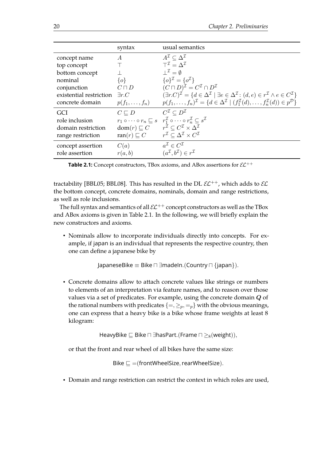<span id="page-23-0"></span>

|                         | syntax                  | usual semantics                                                                                                                                                  |
|-------------------------|-------------------------|------------------------------------------------------------------------------------------------------------------------------------------------------------------|
| concept name            | $\overline{A}$          | $A^{\mathcal{I}} \subset \Delta^{\mathcal{I}}$                                                                                                                   |
| top concept             |                         | $T^{\mathcal{I}} = \Delta^{\mathcal{I}}$                                                                                                                         |
| bottom concept          |                         | $\perp^{\mathcal{I}} = \emptyset$                                                                                                                                |
| nominal                 | $\{o\}$                 | $\{o\}^{\mathcal{I}} = \{o^{\mathcal{I}}\}\$                                                                                                                     |
| conjunction             | $C\sqcap D$             | $(C\sqcap D)^{\mathcal{I}}=C^{\mathcal{I}}\cap D^{\mathcal{I}}$                                                                                                  |
| existential restriction | $\exists r.C$           | $(\exists r.C)^{\mathcal{I}} = \{d \in \Delta^{\mathcal{I}} \mid \exists e \in \Delta^{\mathcal{I}} : (d,e) \in r^{\mathcal{I}} \wedge e \in C^{\mathcal{I}}\}\$ |
| concrete domain         | $p(f_1,\ldots,f_n)$     | $p(f_1, \ldots, f_n)^{\mathcal{I}} = \{d \in \Delta^{\mathcal{I}} \mid (f_1^{\mathcal{I}}(d), \ldots, f_n^{\mathcal{I}}(d)) \in p^{\mathcal{D}}\}\$              |
| <b>GCI</b>              | $C \sqsubset D$         | $C^{\mathcal{I}} \subseteq D^{\mathcal{I}}$                                                                                                                      |
| role inclusion          |                         | $r_1 \circ \cdots \circ r_n \sqsubseteq s \quad r_1^{\mathcal{I}} \circ \cdots \circ r_n^{\mathcal{I}} \subseteq s^{\mathcal{I}}$                                |
| domain restriction      | $dom(r) \sqsubseteq C$  | $r^{\mathcal{I}}\subseteq C^{\mathcal{I}}\times \Delta^{\mathcal{I}}$                                                                                            |
| range restriction       | ran $(r) \sqsubseteq C$ | $r^{\mathcal{I}} \subset \Delta^{\mathcal{I}} \times C^{\mathcal{I}}$                                                                                            |
| concept assertion       | C(a)                    | $a^{\mathcal{I}} \in C^{\mathcal{I}}$                                                                                                                            |
| role assertion          | r(a,b)                  | $(a^{\mathcal{I}}, b^{\mathcal{I}}) \in r^{\mathcal{I}}$                                                                                                         |

**Table 2.1:** Concept constructors, TBox axioms, and ABox assertions for  $\mathcal{EL}^{++}$ 

tractability [\[BBL05;](#page-106-2) [BBL08\]](#page-106-6). This has resulted in the DL  $\mathcal{EL}^{++}$ , which adds to  $\mathcal{EL}$ the bottom concept, concrete domains, nominals, domain and range restrictions, as well as role inclusions.

The full syntax and semantics of all  $\mathcal{EL}^{++}$  concept constructors as well as the TBox and ABox axioms is given in Table [2.1.](#page-23-0) In the following, we will briefy explain the new constructors and axioms.

• Nominals allow to incorporate individuals directly into concepts. For example, if japan is an individual that represents the respective country, then one can define a japanese bike by

JapaneseBike  $\equiv$  Bike  $\sqcap \exists$ madeIn.(Country  $\sqcap \{\mathsf{japan}\}\$ .

• Concrete domains allow to attach concrete values like strings or numbers to elements of an interpretation via feature names, and to reason over those values via a set of predicates. For example, using the concrete domain  $Q$  of the rational numbers with predicates  $\{=,\geq_p,=_p\}$  with the obvious meanings, one can express that a heavy bike is a bike whose frame weights at least 8 kilogram:

HeavyBike  $\sqsubseteq$  Bike  $\sqcap \exists$ hasPart.(Frame  $\sqcap \geq_8$ (weight)),

or that the front and rear wheel of all bikes have the same size:

Bike  $\Box$  =(frontWheelSize, rearWheelSize).

• Domain and range restriction can restrict the context in which roles are used,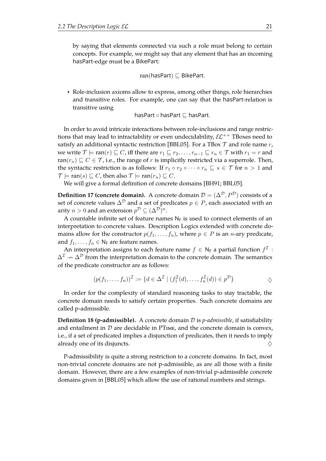by saying that elements connected via such a role must belong to certain concepts. For example, we might say that any element that has an incoming hasPart-edge must be a BikePart:

$$
ran(hasPart) \sqsubseteq BikePart.
$$

• Role-inclusion axioms allow to express, among other things, role hierarchies and transitive roles. For example, one can say that the hasPart-relation is transitive using

hasPart  $\circ$  hasPart  $\sqsubseteq$  hasPart.

In order to avoid intricate interactions between role-inclusions and range restrictions that may lead to intractability or even undecidability,  $\mathcal{EL}^{++}$  TBoxes need to satisfy an additional syntactic restriction [\[BBL05\]](#page-106-2). For a TBox  $\mathcal T$  and role name  $r$ , we write  $\mathcal{T} \models \text{ran}(r) \sqsubseteq C$ , iff there are  $r_1 \sqsubseteq r_2, \ldots, r_{n-1} \sqsubseteq r_n \in \mathcal{T}$  with  $r_1 = r$  and ran( $r_n$ )  $\sqsubseteq$   $C \in \mathcal{T}$ , i.e., the range of r is implicitly restricted via a superrole. Then, the syntactic restriction is as follows: If  $r_1 \circ r_2 \circ \cdots \circ r_n \sqsubseteq s \in \mathcal{T}$  for  $n > 1$  and  $\mathcal{T} \models \text{ran}(s) \sqsubseteq C$ , then also  $\mathcal{T} \models \text{ran}(r_n) \sqsubseteq C$ .

We will give a formal definition of concrete domains [\[BH91;](#page-107-5) [BBL05\]](#page-106-2).

**Definition 17 (concrete domain).** A concrete domain  $\mathcal{D} = (\Delta^{\mathcal{D}}, P^{\mathcal{D}})$  consists of a set of concrete values  $\Delta^{\mathcal{D}}$  and a set of predicates  $p \in P$ , each associated with an arity  $n > 0$  and an extension  $p^{\mathcal{D}} \subseteq (\Delta^{\mathcal{D}})^n$ .

A countable infinite set of feature names  $N_F$  is used to connect elements of an interpretation to concrete values. Description Logics extended with concrete domains allow for the constructor  $p(f_1, \ldots, f_n)$ , where  $p \in P$  is an *n*-ary predicate, and  $f_1, \ldots, f_n \in N_F$  are feature names.

An interpretation assigns to each feature name  $f \in \mathsf{N_F}$  a partial function  $f^\mathcal{I}$  :  $\Delta^{\mathcal{I}} \nrightarrow \Delta^{\mathcal{D}}$  from the interpretation domain to the concrete domain. The semantics of the predicate constructor are as follows:

$$
(p(f_1,\ldots,f_n))^{\mathcal{I}} := \{d \in \Delta^{\mathcal{I}} \mid (f_1^{\mathcal{I}}(d),\ldots,f_n^{\mathcal{I}}(d)) \in p^{\mathcal{D}}\}
$$

In order for the complexity of standard reasoning tasks to stay tractable, the concrete domain needs to satisfy certain properties. Such concrete domains are called p-admissible.

**Defnition 18 (p-admissible).** A concrete domain D is *p-admissible*, if satisfability and entailment in  $D$  are decidable in PT<sub>IME</sub>, and the concrete domain is convex, i.e., if a set of predicated implies a disjunction of predicates, then it needs to imply already one of its disjuncts.  $\Diamond$ 

P-admissibility is quite a strong restriction to a concrete domains. In fact, most non-trivial concrete domains are not p-admissible, as are all those with a fnite domain. However, there are a few examples of non-trivial p-admissible concrete domains given in [\[BBL05\]](#page-106-2) which allow the use of rational numbers and strings.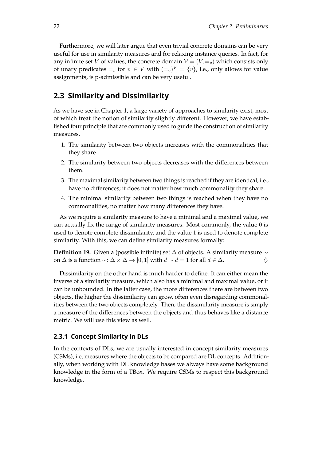Furthermore, we will later argue that even trivial concrete domains can be very useful for use in similarity measures and for relaxing instance queries. In fact, for any infinite set V of values, the concrete domain  $V = (V, =_v)$  which consists only of unary predicates  $=_v$  for  $v \in V$  with  $(=_v)^{\mathcal{V}} = \{v\}$ , i.e., only allows for value assignments, is p-admissible and can be very useful.

# <span id="page-25-0"></span>**2.3 Similarity and Dissimilarity**

As we have see in Chapter [1,](#page-4-0) a large variety of approaches to similarity exist, most of which treat the notion of similarity slightly diferent. However, we have established four principle that are commonly used to guide the construction of similarity measures.

- 1. The similarity between two objects increases with the commonalities that they share.
- 2. The similarity between two objects decreases with the diferences between them.
- 3. The maximal similarity between two things is reached if they are identical, i.e., have no diferences; it does not matter how much commonality they share.
- 4. The minimal similarity between two things is reached when they have no commonalities, no matter how many diferences they have.

As we require a similarity measure to have a minimal and a maximal value, we can actually fx the range of similarity measures. Most commonly, the value 0 is used to denote complete dissimilarity, and the value 1 is used to denote complete similarity. With this, we can define similarity measures formally:

**Definition 19.** Given a (possible infinite) set  $\Delta$  of objects. A similarity measure  $\sim$ on ∆ is a function ∼: ∆ × ∆ → [0, 1] with d ∼ d = 1 for all d ∈ ∆. ♦

Dissimilarity on the other hand is much harder to defne. It can either mean the inverse of a similarity measure, which also has a minimal and maximal value, or it can be unbounded. In the latter case, the more diferences there are between two objects, the higher the dissimilarity can grow, often even disregarding commonalities between the two objects completely. Then, the dissimilarity measure is simply a measure of the diferences between the objects and thus behaves like a distance metric. We will use this view as well.

#### <span id="page-25-1"></span>**2.3.1 Concept Similarity in DLs**

In the contexts of DLs, we are usually interested in concept similarity measures (CSMs), i.e, measures where the objects to be compared are DL concepts. Additionally, when working with DL knowledge bases we always have some background knowledge in the form of a TBox. We require CSMs to respect this background knowledge.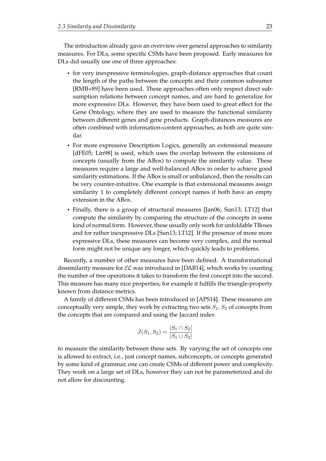The introduction already gave an overview over general approaches to similarity measures. For DLs, some specifc CSMs have been proposed. Early measures for DLs did usually use one of three approaches:

- for very inexpressive terminologies, graph-distance approaches that count the length of the paths between the concepts and their common subsumer [\[RMB+89\]](#page-112-5) have been used. These approaches often only respect direct subsumption relations between concept names, and are hard to generalize for more expressive DLs. However, they have been used to great efect for the Gene Ontology, where they are used to measure the functional similarity between diferent genes and gene products. Graph-distances measures are often combined with information-content approaches, as both are quite similar.
- For more expressive Description Logics, generally an extensional measure [\[dFE05;](#page-108-0) [Lin98\]](#page-111-2) is used, which uses the overlap between the extensions of concepts (usually from the ABox) to compute the similarity value. These measures require a large and well-balanced ABox in order to achieve good similarity estimations. If the ABox is small or unbalanced, then the results can be very counter-intuitive. One example is that extensional measures assign similarity 1 to completely diferent concept names if both have an empty extension in the ABox.
- Finally, there is a group of structural measures [\[Jan06;](#page-109-5) [Sun13;](#page-113-2) [LT12\]](#page-110-0) that compute the similarity by comparing the structure of the concepts in some kind of normal form. However, these usually only work for unfoldable TBoxes and for rather inexpressive DLs [\[Sun13;](#page-113-2) [LT12\]](#page-110-0). If the presence of more more expressive DLs, these measures can become very complex, and the normal form might not be unique any longer, which quickly leads to problems.

Recently, a number of other measures have been defned. A transformational dissimilarity measure for  $\mathcal{EL}$  was introduced in [\[DAB14\]](#page-108-4), which works by counting the number of tree operations it takes to transform the frst concept into the second. This measure has many nice properties; for example it fulflls the triangle-property known from distance metrics.

A family of diferent CSMs has been introduced in [\[APS14\]](#page-106-7). These measures are conceptually very simple, they work by extracting two sets  $S_1, S_2$  of concepts from the concepts that are compared and using the Jaccard index

$$
J(S_1, S_2) = \frac{|S_1 \cap S_2|}{|S_1 \cup S_2|}
$$

to measure the similarity between these sets. By varying the set of concepts one is allowed to extract, i.e., just concept names, subconcepts, or concepts generated by some kind of grammar, one can create CSMs of diferent power and complexity. They work on a large set of DLs, however they can not be parameterized and do not allow for discounting.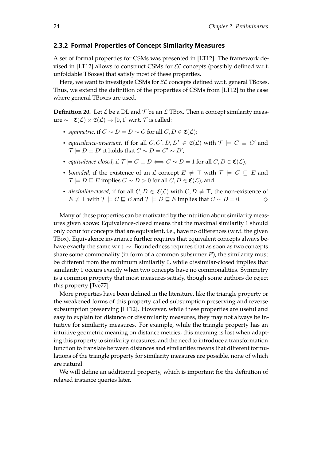#### <span id="page-27-0"></span>**2.3.2 Formal Properties of Concept Similarity Measures**

A set of formal properties for CSMs was presented in [\[LT12\]](#page-110-0). The framework de-vised in [\[LT12\]](#page-110-0) allows to construct CSMs for  $\mathcal{EL}$  concepts (possibly defined w.r.t. unfoldable TBoxes) that satisfy most of these properties.

Here, we want to investigate CSMs for  $\mathcal{EL}$  concepts defined w.r.t. general TBoxes. Thus, we extend the defnition of the properties of CSMs from [\[LT12\]](#page-110-0) to the case where general TBoxes are used.

**Definition 20.** Let  $\mathcal{L}$  be a DL and  $\mathcal{T}$  be an  $\mathcal{L}$  TBox. Then a concept similarity measure ∼ :  $\mathfrak{C}(\mathcal{L}) \times \mathfrak{C}(\mathcal{L}) \rightarrow [0,1]$  w.r.t.  $\mathcal{T}$  is called:

- *symmetric,* if  $C \sim D = D \sim C$  for all  $C, D \in \mathfrak{C}(\mathcal{L})$ ;
- *equivalence-invariant*, if for all  $C, C', D, D' \in \mathfrak{C}(\mathcal{L})$  with  $\mathcal{T} \models C \equiv C'$  and  $\mathcal{T} \models D \equiv D'$  it holds that  $C \sim D = C' \sim D'$ ;
- *equivalence-closed,* if  $\mathcal{T} \models C \equiv D \Longleftrightarrow C \sim D = 1$  for all  $C, D \in \mathfrak{C}(\mathcal{L})$ ;
- *bounded*, if the existence of an *L*-concept  $E \neq \top$  with  $\mathcal{T} \models C \sqsubseteq E$  and  $\mathcal{T} \models D \sqsubseteq E$  implies  $C \sim D > 0$  for all  $C, D \in \mathfrak{C}(\mathcal{L})$ ; and
- *dissimilar-closed,* if for all  $C, D \in \mathfrak{C}(\mathcal{L})$  with  $C, D \neq \top$ , the non-existence of  $E \neq \top$  with  $\mathcal{T} \models C \sqsubseteq E$  and  $\mathcal{T} \models D \sqsubseteq E$  implies that  $C \sim D = 0$ .  $\Diamond$

Many of these properties can be motivated by the intuition about similarity measures given above: Equivalence-closed means that the maximal similarity 1 should only occur for concepts that are equivalent, i.e., have no diferences (w.r.t. the given TBox). Equivalence invariance further requires that equivalent concepts always behave exactly the same w.r.t. ∼. Boundedness requires that as soon as two concepts share some commonality (in form of a common subsumer  $E$ ), the similarity must be diferent from the minimum similarity 0, while dissimilar-closed implies that similarity 0 occurs exactly when two concepts have no commonalities. Symmetry is a common property that most measures satisfy, though some authors do reject this property [\[Tve77\]](#page-113-1).

More properties have been defned in the literature, like the triangle property or the weakened forms of this property called subsumption preserving and reverse subsumption preserving [\[LT12\]](#page-110-0). However, while these properties are useful and easy to explain for distance or dissimilarity measures, they may not always be intuitive for similarity measures. For example, while the triangle property has an intuitive geometric meaning on distance metrics, this meaning is lost when adapting this property to similarity measures, and the need to introduce a transformation function to translate between distances and similarities means that diferent formulations of the triangle property for similarity measures are possible, none of which are natural.

We will define an additional property, which is important for the definition of relaxed instance queries later.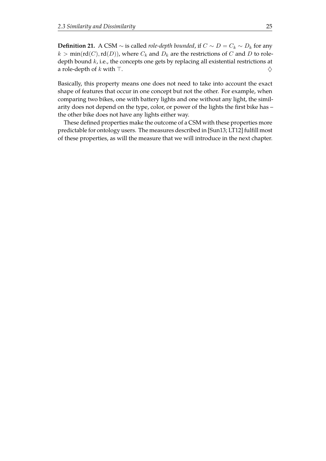**Definition 21.** A CSM  $\sim$  is called *role-depth bounded*, if  $C \sim D = C_k \sim D_k$  for any  $k > min(\text{rd}(C), \text{rd}(D))$ , where  $C_k$  and  $D_k$  are the restrictions of C and D to roledepth bound  $k$ , i.e., the concepts one gets by replacing all existential restrictions at a role-depth of k with  $\top$ .

Basically, this property means one does not need to take into account the exact shape of features that occur in one concept but not the other. For example, when comparing two bikes, one with battery lights and one without any light, the similarity does not depend on the type, color, or power of the lights the first bike has – the other bike does not have any lights either way.

These defined properties make the outcome of a CSM with these properties more predictable for ontology users. The measures described in [\[Sun13;](#page-113-2) [LT12\]](#page-110-0) fulfll most of these properties, as will the measure that we will introduce in the next chapter.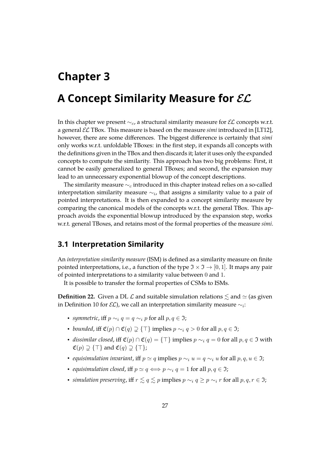# <span id="page-30-0"></span>**Chapter 3**

# **A Concept Similarity Measure for**  $\mathcal{EL}$

In this chapter we present  $\sim_c$ , a structural similarity measure for  $\mathcal{EL}$  concepts w.r.t. a general EL TBox. This measure is based on the measure *simi* introduced in [\[LT12\]](#page-110-0), however, there are some diferences. The biggest diference is certainly that *simi* only works w.r.t. unfoldable TBoxes: in the frst step, it expands all concepts with the defnitions given in the TBox and then discards it; later it uses only the expanded concepts to compute the similarity. This approach has two big problems: First, it cannot be easily generalized to general TBoxes; and second, the expansion may lead to an unnecessary exponential blowup of the concept descriptions.

The similarity measure  $\sim_c$  introduced in this chapter instead relies on a so-called interpretation similarity measure  $\sim_i$ , that assigns a similarity value to a pair of pointed interpretations. It is then expanded to a concept similarity measure by comparing the canonical models of the concepts w.r.t. the general TBox. This approach avoids the exponential blowup introduced by the expansion step, works w.r.t. general TBoxes, and retains most of the formal properties of the measure *simi*.

### <span id="page-30-1"></span>**3.1 Interpretation Similarity**

An *interpretation similarity measure* (ISM) is defned as a similarity measure on fnite pointed interpretations, i.e., a function of the type  $\mathfrak{I} \times \mathfrak{I} \to [0,1]$ . It maps any pair of pointed interpretations to a similarity value between 0 and 1.

It is possible to transfer the formal properties of CSMs to ISMs.

**Definition 22.** Given a DL  $\mathcal{L}$  and suitable simulation relations  $\leq$  and  $\simeq$  (as given in Definition [10](#page-20-1) for  $\mathcal{EL})$ , we call an interpretation similarity measure  $\sim_i$ :

- *symmetric*, iff  $p \sim_i q = q \sim_i p$  for all  $p, q \in \mathfrak{I}$ ;
- *bounded*, iff  $\mathfrak{C}(p) \cap \mathfrak{C}(q) \supsetneq {\top}$  implies  $p \sim_i q > 0$  for all  $p, q \in \mathfrak{I}$ ;
- *dissimilar closed,* iff  $\mathfrak{C}(p) \cap \mathfrak{C}(q) = {\{\top\}}$  implies  $p \sim_i q = 0$  for all  $p, q \in \mathfrak{I}$  with  $\mathfrak{C}(p) \supseteq \{ \top \}$  and  $\mathfrak{C}(q) \supseteq \{ \top \};$
- *equisimulation invariant,* iff  $p \simeq q$  implies  $p \sim_i u = q \sim_i u$  for all  $p, q, u \in \mathfrak{I}$ ;
- *equisimulation closed*, iff  $p \simeq q \iff p \sim_i q = 1$  for all  $p, q \in \mathfrak{I}$ ;
- *simulation preserving*, iff  $r \leq q \leq p$  implies  $p \sim_i q \geq p \sim_i r$  for all  $p, q, r \in \mathfrak{I}$ ;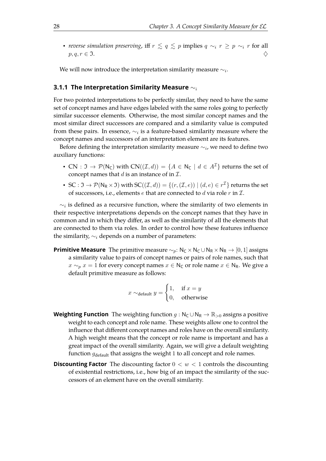• *reverse simulation preserving*, iff  $r \leq q \leq p$  implies  $q \sim_i r \geq p \sim_i r$  for all  $p, q, r \in \mathfrak{I}.$ 

We will now introduce the interpretation similarity measure  $\sim_i$ .

#### <span id="page-31-0"></span>**3.1.1 The Interpretation Similarity Measure** ∼<sup>i</sup>

For two pointed interpretations to be perfectly similar, they need to have the same set of concept names and have edges labeled with the same roles going to perfectly similar successor elements. Otherwise, the most similar concept names and the most similar direct successors are compared and a similarity value is computed from these pairs. In essence,  $\sim_i$  is a feature-based similarity measure where the concept names and successors of an interpretation element are its features.

Before defining the interpretation similarity measure  $\sim_i$ , we need to define two auxiliary functions:

- CN :  $\Im \rightarrow \mathcal{P}(N_C)$  with  $CN((\mathcal{I}, d)) = \{A \in N_C \mid d \in A^{\mathcal{I}}\}$  returns the set of concept names that d is an instance of in  $\mathcal{I}$ .
- SC :  $\mathfrak{I} \to \mathcal{P}(\mathsf{N}_\mathsf{R} \times \mathfrak{I})$  with  $\mathsf{SC}((\mathcal{I},d)) = \{(r,(\mathcal{I},e)) \mid (d,e) \in r^\mathcal{I}\}$  returns the set of successors, i.e., elements  $e$  that are connected to  $d$  via role  $r$  in  $\mathcal{I}$ .

 $\sim_i$  is defined as a recursive function, where the similarity of two elements in their respective interpretations depends on the concept names that they have in common and in which they difer, as well as the similarity of all the elements that are connected to them via roles. In order to control how these features infuence the similarity,  $\sim_i$  depends on a number of parameters:

**Primitive Measure** The primitive measure  $\sim_p$ : N<sub>C</sub> × N<sub>C</sub> ∪ N<sub>R</sub> × N<sub>R</sub> → [0, 1] assigns a similarity value to pairs of concept names or pairs of role names, such that  $x \sim_p x = 1$  for every concept names  $x \in N_c$  or role name  $x \in N_R$ . We give a default primitive measure as follows:

$$
x \sim_{\text{default}} y = \begin{cases} 1, & \text{if } x = y \\ 0, & \text{otherwise} \end{cases}
$$

- **Weighting Function** The weighting function  $q : N_C \cup N_R \rightarrow \mathbb{R}_{>0}$  assigns a positive weight to each concept and role name. These weights allow one to control the infuence that diferent concept names and roles have on the overall similarity. A high weight means that the concept or role name is important and has a great impact of the overall similarity. Again, we will give a default weighting function  $g_{\text{default}}$  that assigns the weight 1 to all concept and role names.
- **Discounting Factor** The discounting factor  $0 < w < 1$  controls the discounting of existential restrictions, i.e., how big of an impact the similarity of the successors of an element have on the overall similarity.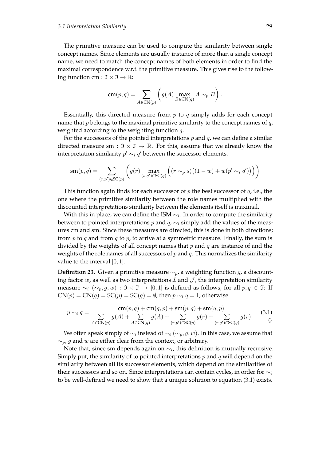The primitive measure can be used to compute the similarity between single concept names. Since elements are usually instance of more than a single concept name, we need to match the concept names of both elements in order to find the maximal correspondence w.r.t. the primitive measure. This gives rise to the following function cm :  $\mathfrak{I} \times \mathfrak{I} \to \mathbb{R}$ :

$$
\operatorname{cm}(p,q) = \sum_{A \in \operatorname{CN}(p)} \left( g(A) \max_{B \in \operatorname{CN}(q)} A \sim_p B \right).
$$

Essentially, this directed measure from  $p$  to  $q$  simply adds for each concept name that  $p$  belongs to the maximal primitive similarity to the concept names of  $q$ , weighted according to the weighting function q.

For the successors of the pointed interpretations  $p$  and  $q$ , we can define a similar directed measure sm :  $\mathfrak{I} \times \mathfrak{I} \to \mathbb{R}$ . For this, assume that we already know the interpretation similarity  $p'\sim_i q'$  between the successor elements.

$$
\operatorname{sm}(p,q) = \sum_{(r,p') \in \operatorname{SC}(p)} \left( g(r) \max_{(s,q') \in \operatorname{SC}(q)} \left( (r \sim_p s) \left( (1-w) + w(p' \sim_i q') \right) \right) \right)
$$

This function again finds for each successor of p the best successor of q, i.e., the one where the primitive similarity between the role names multiplied with the discounted interpretations similarity between the elements itself is maximal.

With this in place, we can define the ISM  $\sim_i$ . In order to compute the similarity between to pointed interpretations  $p$  and  $q$ ,  $\sim$ <sub>i</sub> simply add the values of the measures cm and sm. Since these measures are directed, this is done in both directions; from p to q and from q to p, to arrive at a symmetric measure. Finally, the sum is divided by the weights of all concept names that  $p$  and  $q$  are instance of and the weights of the role names of all successors of  $p$  and  $q$ . This normalizes the similarity value to the interval  $[0, 1]$ .

**Definition 23.** Given a primitive measure  $\sim_{p}$ , a weighting function g, a discounting factor w, as well as two interpretations  $\mathcal I$  and  $\mathcal J$ , the interpretation similarity measure  $\sim_i (\sim_p, g, w) : \Im \times \Im \rightarrow [0, 1]$  is defined as follows, for all  $p, q \in \Im$ : If  $CN(p) = CN(q) = SC(p) = SC(q) = \emptyset$ , then  $p \sim_i q = 1$ , otherwise

<span id="page-32-0"></span>
$$
p \sim_i q = \frac{cm(p, q) + cm(q, p) + sm(p, q) + sm(q, p)}{\sum_{A \in CN(p)} g(A) + \sum_{A \in CN(q)} g(A) + \sum_{(r, p') \in SC(p)} g(r) + \sum_{(r, q') \in SC(q)} g(r)} \qquad (3.1)
$$

We often speak simply of  $\sim_i$  instead of  $\sim_i(\sim_p,g,w)$ . In this case, we assume that  $\sim_p$ , g and w are either clear from the context, or arbitrary.

Note that, since sm depends again on  $\sim_i$ , this definition is mutually recursive. Simply put, the similarity of to pointed interpretations  $p$  and  $q$  will depend on the similarity between all its successor elements, which depend on the similarities of their successors and so on. Since interpretations can contain cycles, in order for  $\sim_i$ to be well-defned we need to show that a unique solution to equation [\(3.1\)](#page-32-0) exists.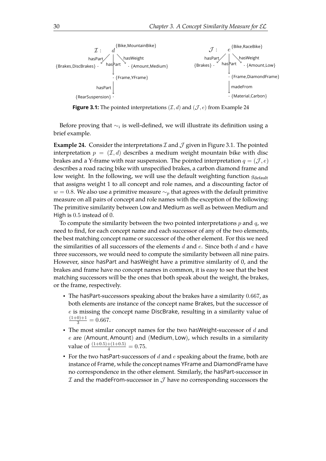<span id="page-33-1"></span>

**Figure 3.1:** The pointed interpretations  $(\mathcal{I}, d)$  and  $(\mathcal{J}, e)$  from Example [24](#page-33-0)

Before proving that  $\sim_i$  is well-defined, we will illustrate its definition using a brief example.

<span id="page-33-0"></span>**Example 24.** Consider the interpretations  $\mathcal I$  and  $\mathcal J$  given in Figure [3.1.](#page-33-1) The pointed interpretation  $p = (\mathcal{I}, d)$  describes a medium weight mountain bike with disc brakes and a Y-frame with rear suspension. The pointed interpretation  $q = (\mathcal{J}, e)$ describes a road racing bike with unspecifed brakes, a carbon diamond frame and low weight. In the following, we will use the default weighting function  $g_{\text{default}}$ that assigns weight 1 to all concept and role names, and a discounting factor of  $w = 0.8$ . We also use a primitive measure  $\sim_p$  that agrees with the default primitive measure on all pairs of concept and role names with the exception of the following: The primitive similarity between Low and Medium as well as between Medium and High is 0.5 instead of 0.

To compute the similarity between the two pointed interpretations  $p$  and  $q$ , we need to fnd, for each concept name and each successor of any of the two elements, the best matching concept name or successor of the other element. For this we need the similarities of all successors of the elements  $d$  and  $e$ . Since both  $d$  and  $e$  have three successors, we would need to compute the similarity between all nine pairs. However, since hasPart and hasWeight have a primitive similarity of 0, and the brakes and frame have no concept names in common, it is easy to see that the best matching successors will be the ones that both speak about the weight, the brakes, or the frame, respectively.

- The hasPart-successors speaking about the brakes have a similarity 0.667, as both elements are instance of the concept name Brakes, but the successor of e is missing the concept name DiscBrake, resulting in a similarity value of  $\frac{(1+0)+1}{3} = 0.667.$
- The most similar concept names for the two has Weight-successor of  $d$  and  $e$  are (Amount, Amount) and (Medium, Low), which results in a similarity value of  $\frac{(1+0.5)+(1+0.5)}{4} = 0.75$ .
- For the two hasPart-successors of  $d$  and  $e$  speaking about the frame, both are instance of Frame, while the concept names YFrame and DiamondFrame have no correspondence in the other element. Similarly, the hasPart-successor in  $I$  and the madeFrom-successor in  $I$  have no corresponding successors the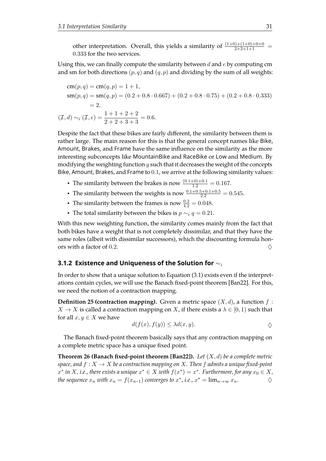other interpretation. Overall, this yields a similarity of  $\frac{(1+0)+(1+0)+0+0}{2+2+1+1}$ 0.333 for the two services.

Using this, we can finally compute the similarity between  $d$  and  $e$  by computing cm and sm for both directions  $(p, q)$  and  $(q, p)$  and dividing by the sum of all weights:

$$
cm(p, q) = cm(q, p) = 1 + 1,
$$
  
\n
$$
sm(p, q) = sm(q, p) = (0.2 + 0.8 \cdot 0.667) + (0.2 + 0.8 \cdot 0.75) + (0.2 + 0.8 \cdot 0.333)
$$
  
\n= 2,  
\n
$$
(\mathcal{I}, d) \sim_i (\mathcal{I}, e) = \frac{1 + 1 + 2 + 2}{2 + 2 + 3 + 3} = 0.6.
$$

Despite the fact that these bikes are fairly diferent, the similarity between them is rather large. The main reason for this is that the general concept names like Bike, Amount, Brakes, and Frame have the same infuence on the similarity as the more interesting subconcepts like MountainBike and RaceBike or Low and Medium. By modifying the weighting function  $g$  such that it decreases the weight of the concepts Bike, Amount, Brakes, and Frame to 0.1, we arrive at the following similarity values:

- The similarity between the brakes is now  $\frac{(0.1+0)+0.1}{1.2} = 0.167$ .
- The similarity between the weights is now  $\frac{0.1+0.5+0.1+0.5}{2.2} = 0.545$ .
- The similarity between the frames is now  $\frac{0.2}{4.2} = 0.048$ .
- The total similarity between the bikes is  $p \sim_i q = 0.21$ .

With this new weighting function, the similarity comes mainly from the fact that both bikes have a weight that is not completely dissimilar, and that they have the same roles (albeit with dissimilar successors), which the discounting formula honors with a factor of 0.2.  $\Diamond$ 

#### <span id="page-34-0"></span>**3.1.2 Existence and Uniqueness of the Solution for** ∼<sup>i</sup>

In order to show that a unique solution to Equation [\(3.1\)](#page-32-0) exists even if the interpret-ations contain cycles, we will use the Banach fixed-point theorem [\[Ban22\]](#page-107-6). For this, we need the notion of a contraction mapping.

**Definition 25 (contraction mapping).** Given a metric space  $(X, d)$ , a function  $f$ :  $X \to X$  is called a contraction mapping on X, if there exists a  $\lambda \in [0,1)$  such that for all  $x, y \in X$  we have

$$
d(f(x), f(y)) \leq \lambda d(x, y).
$$

The Banach fixed-point theorem basically says that any contraction mapping on a complete metric space has a unique fxed point.

**Theorem 26 (Banach fxed-point theorem [\[Ban22\]](#page-107-6)).** *Let* (X, d) *be a complete metric space, and*  $f: X \to X$  *be a contraction mapping on* X. Then f *admits a unique fixed-point*  $x^*$  *in*  $X$ *, i.e., there exists a unique*  $x^* \in X$  *with*  $f(x^*) = x^*$ . Furthermore, for any  $x_0 \in X$ , *the sequence*  $x_n$  *with*  $x_n = f(x_{n-1})$  *converges to*  $x^*$ *, i.e.,*  $x^* = \lim_{n \to \infty} x_n$ .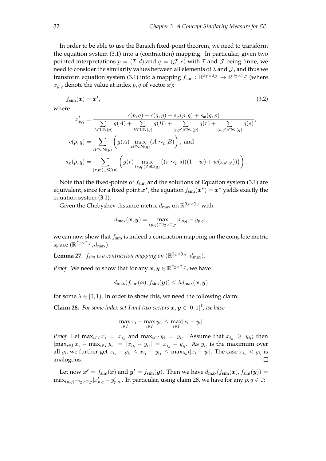In order to be able to use the Banach fixed-point theorem, we need to transform the equation system [\(3.1\)](#page-32-0) into a (contraction) mapping. In particular, given two pointed interpretations  $p = (\mathcal{I}, d)$  and  $q = (\mathcal{J}, e)$  with  $\mathcal I$  and  $\mathcal J$  being finite, we need to consider the similarity values between all elements of  $\mathcal I$  and  $\mathcal J$ , and thus we transform equation system [\(3.1\)](#page-32-0) into a mapping  $f_{\text{sim}} : \mathbb{R}^{3} \to 2^{\mathcal{J}} \to \mathbb{R}^{3} \times 3 \to 0$  (where  $x_{p,q}$  denote the value at index  $p, q$  of vector  $x$ ):

$$
f_{\text{sim}}(\boldsymbol{x}) = \boldsymbol{x'},\tag{3.2}
$$

where

$$
x'_{p,q} = \frac{c(p,q) + c(q,p) + s_x(p,q) + s_x(q,p)}{\sum_{A \in \mathcal{CN}(p)} g(A) + \sum_{B \in \mathcal{CN}(q)} g(B) + \sum_{(r,p') \in \mathcal{SC}(p)} g(r) + \sum_{(s,q') \in \mathcal{SC}(q)} g(s)},
$$
  

$$
c(p,q) = \sum_{A \in \mathcal{CN}(p)} \left( g(A) \max_{B \in \mathcal{CN}(q)} (A \sim_p B) \right), \text{ and}
$$
  

$$
s_x(p,q) = \sum_{(r,p') \in \mathcal{SC}(p)} \left( g(r) \max_{(s,q') \in \mathcal{SC}(q)} \left( (r \sim_p s)((1-w) + w(x_{p',q'}))) \right) \right).
$$

Note that the fixed-points of  $f_{sim}$  and the solutions of Equation system [\(3.1\)](#page-32-0) are equivalent, since for a fixed point  $x^*$ , the equation  $f_{\text{sim}}(x^*) = x^*$  yields exactly the equation system [\(3.1\)](#page-32-0).

Given the Chebyshev distance metric  $d_{\text{max}}$  on  $\mathbb{R}^{\mathfrak{I}_{\mathcal{I}} \times \mathfrak{I}_{\mathcal{J}}}$  with

$$
d_{\max}(\boldsymbol{x},\boldsymbol{y}) = \max_{(p,q) \in \mathfrak{I}_\mathcal{I} \times \mathfrak{I}_\mathcal{J}} |x_{p,q} - y_{p,q}|,
$$

we can now show that  $f_{\text{sim}}$  is indeed a contraction mapping on the complete metric space  $(\mathbb{R}^{\mathfrak{I}_{\mathcal{I}} \times \mathfrak{I}_{\mathcal{J}}}, d_{\max}).$ 

**Lemma 27.**  $f_{sim}$  *is a contraction mapping on*  $(\mathbb{R}^{3} \times 3 \times \mathbb{R}^{3} \times \mathbb{R}^{3})$ *.* 

*Proof.* We need to show that for any  $x, y \in \mathbb{R}^{\mathfrak{I}_\mathcal{I} \times \mathfrak{I}_\mathcal{J}}$ , we have

$$
d_{\max}(f_{\text{sim}}(\bm{x}), f_{\text{sim}}(\bm{y})) \leq \lambda d_{\max}(\bm{x}, \bm{y})
$$

for some  $\lambda \in [0, 1)$ . In order to show this, we need the following claim:

**Claim 28.** For some index set I and two vectors  $x, y \in [0, 1]^I$ , we have

<span id="page-35-0"></span>
$$
|\max_{i\in I} x_i - \max_{i\in I} y_i| \le \max_{i\in I} |x_i - y_i|.
$$

*Proof.* Let  $\max_{i \in I} x_i = x_{i_k}$  and  $\max_{i \in I} y_i = y_{i_l}$ . Assume that  $x_{i_k} \ge y_{i_l}$ ; then  $|\max_{i\in I} x_i - \max_{i\in I} y_i| = |x_{i_k} - y_{i_l}| = x_{i_k} - y_{i_l}$ . As  $y_{i_l}$  is the maximum over all  $y_i$ , we further get  $x_{i_k} - y_{i_l} \leq x_{i_k} - y_{i_k} \leq \max_{i \in I} |x_i - y_i|$ . The case  $x_{i_k} < y_{i_l}$  is analogous.  $\Box$ 

Let now  $x' = f_{\text{sim}}(x)$  and  $y' = f_{\text{sim}}(y)$ . Then we have  $d_{\text{max}}(f_{\text{sim}}(x), f_{\text{sim}}(y)) =$  $\max_{(p,q)\in\mathfrak{I}_\mathcal{I}\times\mathfrak{I}_\mathcal{J}}|x'_{p,q}-y'_{p,q}|.$  In particular, using claim [28,](#page-35-0) we have for any  $p,q\in\mathfrak{I}.$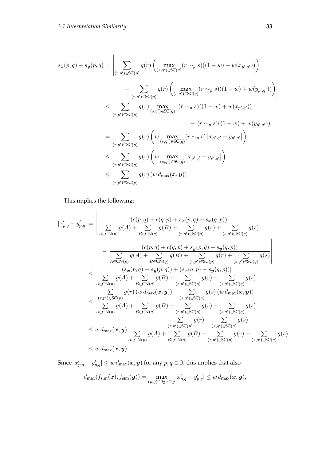$$
s_x(p,q) - s_y(p,q) = \left| \sum_{(r,p') \in \text{SC}(p)} g(r) \left( \max_{(s,q') \in \text{SC}(q)} (r \sim_p s)((1-w) + w(x_{p',q'})) \right) \right|
$$
  
- 
$$
\sum_{(r,p') \in \text{SC}(p)} g(r) \left( \max_{(s,q') \in \text{SC}(q)} (r \sim_p s)((1-w) + w(y_{p',q'})) \right) \right|
$$
  

$$
\leq \sum_{(r,p') \in \text{SC}(p)} g(r) \max_{(s,q') \in \text{SC}(q)} |(r \sim_p s)((1-w) + w(x_{p',q'})) - (r \sim_p s)((1-w) + w(y_{p',q'}))|
$$
  
= 
$$
\sum_{(r,p') \in \text{SC}(p)} g(r) \left( w \max_{(s,q') \in \text{SC}(q)} (r \sim_p s) |x_{p',q'} - y_{p',q'}| \right)
$$
  

$$
\leq \sum_{(r,p') \in \text{SC}(p)} g(r) \left( w \max_{(s,q') \in \text{SC}(q)} |x_{p',q'} - y_{p',q'}| \right)
$$
  

$$
\leq \sum_{(r,p') \in \text{SC}(p)} g(r) (w d_{\text{max}}(x, y))
$$

This implies the following:

$$
|x'_{p,q} - y'_{p,q}| = \left| \frac{(c(p,q) + c(q,p) + s_x(p,q) + s_x(q,p))}{\sum_{A \in \mathcal{CN}(p)} g(A) + \sum_{B \in \mathcal{CN}(q)} g(B) + \sum_{(r,p') \in \mathcal{SC}(p)} g(r) + \sum_{(s,q') \in \mathcal{SC}(q)} g(s)} - \frac{(c(p,q) + c(q,p) + s_y(p,q) + s_y(q,p))}{\sum_{A \in \mathcal{CN}(p)} g(A) + \sum_{B \in \mathcal{CN}(q)} g(B) + \sum_{(r,p') \in \mathcal{SC}(p)} g(r) + \sum_{(s,q') \in \mathcal{SC}(q)} g(s)} \right|
$$
  

$$
\leq \frac{|(s_x(p,q) - s_y(p,q)) + (s_x(q,p) - s_y(q,p))|}{\sum_{A \in \mathcal{CN}(p)} g(A) + \sum_{B \in \mathcal{CN}(q)} g(B) + \sum_{(r,p') \in \mathcal{SC}(p)} g(r) + \sum_{(s,q') \in \mathcal{SC}(q)} g(s)} \frac{g(s) (w d_{\max}(x,y))}{(s,q') \in \mathcal{SC}(q)} \leq \frac{(r,p') \in \mathcal{SC}(p)}{g(A) + \sum_{B \in \mathcal{CN}(q)} g(B) + \sum_{(r,p') \in \mathcal{SC}(p)} g(r) + \sum_{(s,q') \in \mathcal{SC}(q)} g(s)} \frac{g(s)}{(s,q') \in \mathcal{SC}(q)} \leq w d_{\max}(x,y) \frac{\sum_{A \in \mathcal{CN}(p)} g(A) + \sum_{B \in \mathcal{CN}(q)} g(r) + \sum_{(s,q') \in \mathcal{SC}(q)} g(s)}{g(s) + \sum_{B \in \mathcal{CN}(q)} g(B) + \sum_{(r,p') \in \mathcal{SC}(p)} g(r) + \sum_{(s,q') \in \mathcal{SC}(p)} g(s)} \leq w d_{\max}(x,y) \frac{\sum_{A \in \mathcal{CN}(p)} g(A) + \sum_{B \in \mathcal{CN}(q)} g(B) + \sum_{(r,p') \in \mathcal{SC}(p)} g(r) + \sum_{(s,q') \in \mathcal{SC}(q)} g(s)}{\sum_{A \in \mathcal{CN}(p)} g(A) + \sum_{B \in \mathcal{CN}(q)} g(B) + \sum_{(r,p') \in \mathcal{SC}(p)} g(r
$$

Since  $|x'_{p,q} - y'_{p,q}| \leq w \, d_{\max}(\bm{x},\bm{y})$  for any  $p,q \in \mathfrak{I}$ , this implies that also  $d_{\text{max}}(f_{\text{sim}}(\bm{x}),f_{\text{sim}}(\bm{y}))=\max_{(p,q)\in\mathfrak{I}_\mathcal{I}\times\mathfrak{I}_\mathcal{J}}$  $|x'_{p,q} - y'_{p,q}| \leq w d_{\max}(\boldsymbol{x}, \boldsymbol{y}),$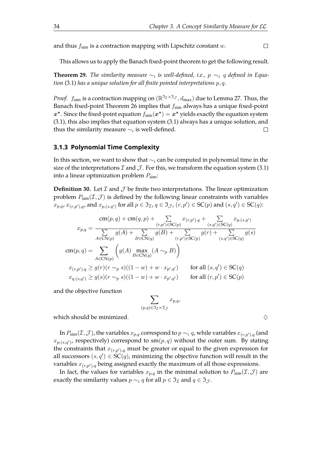and thus  $f_{\text{sim}}$  is a contraction mapping with Lipschitz constant w.

 $\Box$ 

This allows us to apply the Banach fixed-point theorem to get the following result.

<span id="page-37-0"></span>**Theorem 29.** The similarity measure  $\sim_i$  is well-defined, i.e.,  $p \sim_i q$  defined in Equa*tion* [\(3.1\)](#page-32-0) *has a unique solution for all fnite pointed interpretations* p, q*.*

*Proof.*  $f_{\text{sim}}$  is a contraction mapping on  $(\mathbb{R}^{\mathfrak{I}_\mathcal{I}\times\mathfrak{I}_\mathcal{J}},d_{\text{max}})$  due to Lemma [27.](#page-35-0) Thus, the Banach fixed-point Theorem [26](#page-34-0) implies that  $f_{sim}$  always has a unique fixed-point  $x^*$ . Since the fixed-point equation  $f_{\text{sim}}(x^*) = x^*$  yields exactly the equation system [\(3.1\)](#page-32-0), this also implies that equation system [\(3.1\)](#page-32-0) always has a unique solution, and thus the similarity measure  $\sim_i$  is well-defined.  $\Box$ 

#### **3.1.3 Polynomial Time Complexity**

In this section, we want to show that  $\sim$ <sub>i</sub> can be computed in polynomial time in the size of the interpretations  $\mathcal I$  and  $\mathcal J$ . For this, we transform the equation system [\(3.1\)](#page-32-0) into a linear optimization problem  $P_{sim}$ :

<span id="page-37-2"></span>**Definition 30.** Let  $\mathcal I$  and  $\mathcal J$  be finite two interpretations. The linear optimization problem  $P_{\text{sim}}(\mathcal{I},\mathcal{J})$  is defined by the following linear constraints with variables  $x_{p,q}, x_{(r,p'),q}$ , and  $x_{p,(s,q')}$  for all  $p \in \mathfrak{I}_{\mathcal{I}}$ ,  $q \in \mathfrak{I}_{\mathcal{J}}$ ,  $(r,p') \in \mathrm{SC}(p)$  and  $(s,q') \in \mathrm{SC}(q)$ :

$$
x_{p,q} = \frac{\operatorname{cm}(p,q) + \operatorname{cm}(q,p) + \sum_{(r,p') \in \mathsf{SC}(p)} x_{(r,p'),q} + \sum_{(s,q') \in \mathsf{SC}(q)} x_{p,(s,q')}
$$

$$
x_{p,q} = \frac{\sum_{A \in \mathsf{CN}(p)} g(A) + \sum_{B \in \mathsf{CN}(q)} g(B) + \sum_{(r,p') \in \mathsf{SC}(p)} g(r) + \sum_{(s,q') \in \mathsf{SC}(q)} g(s)}{x_{(r,p'),q}} = \sum_{A \in \mathsf{CN}(p)} \left( g(A) \max_{B \in \mathsf{CN}(q)} (A \sim_p B) \right)
$$

$$
x_{(r,p'),q} \ge g(r)(r \sim_p s)((1-w) + w \cdot x_{p',q'}) \qquad \text{for all } (s,q') \in \mathsf{SC}(q)
$$

$$
x_{q,(s,q')} \ge g(s)(r \sim_p s)((1-w) + w \cdot x_{p',q'}) \qquad \text{for all } (r,p') \in \mathsf{SC}(p)
$$

and the objective function

$$
\sum_{(p,q)\in\Im_{\mathcal{I}}\times\Im_{\mathcal{J}}}x_{p,q},
$$

which should be minimized.  $\Diamond$ 

In  $P_{\text{sim}}(\mathcal{I},\mathcal{J})$ , the variables  $x_{p,q}$  correspond to  $p \sim_i q$ , while variables  $x_{(r,p'),q}$  (and  $x_{p,(s,q')}$ , respectively) correspond to sm $(p,q)$  without the outer sum. By stating the constraints that  $x_{(r,p'),q}$  must be greater or equal to the given expression for all successors  $(s, q') \in \overline{SC}(q)$ , minimizing the objective function will result in the variables  $x_{(r,p'),g}$  being assigned exactly the maximum of all those expressions.

<span id="page-37-1"></span>In fact, the values for variables  $x_{p,q}$  in the minimal solution to  $P_{sim}(\mathcal{I},\mathcal{J})$  are exactly the similarity values  $p \sim_i q$  for all  $p \in \mathfrak{I}_{\mathcal{I}}$  and  $q \in \mathfrak{I}_{\mathcal{I}}$ .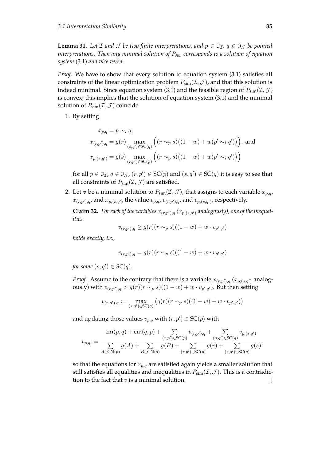**Lemma 31.** Let  $\mathcal I$  and  $\mathcal J$  be two finite interpretations, and  $p \in \mathfrak{I}_{\mathcal I}$ ,  $q \in \mathfrak{I}_{\mathcal I}$  be pointed *interpretations. Then any minimal solution of* P*sim corresponds to a solution of equation system* [\(3.1\)](#page-32-0) *and vice versa.*

*Proof.* We have to show that every solution to equation system [\(3.1\)](#page-32-0) satisfies all constraints of the linear optimization problem  $P_{\text{sim}}(\mathcal{I},\mathcal{J})$ , and that this solution is indeed minimal. Since equation system [\(3.1\)](#page-32-0) and the feasible region of  $P_{\text{sim}}(\mathcal{I},\mathcal{J})$ is convex, this implies that the solution of equation system [\(3.1\)](#page-32-0) and the minimal solution of  $P_{\text{sim}}(\mathcal{I}, \mathcal{J})$  coincide.

#### 1. By setting

$$
x_{p,q} = p \sim_i q,
$$
  
\n
$$
x_{(r,p'),q} = g(r) \max_{(s,q') \in \text{SC}(q)} \left( (r \sim_p s) ((1-w) + w(p' \sim_i q')) \right), \text{ and}
$$
  
\n
$$
x_{p,(s,q')} = g(s) \max_{(r,p') \in \text{SC}(p)} \left( (r \sim_p s) ((1-w) + w(p' \sim_i q')) \right)
$$

for all  $p \in \mathfrak{I}_\mathcal{I}$ ,  $q \in \mathfrak{I}_\mathcal{J}$ ,  $(r, p') \in \mathrm{SC}(p)$  and  $(s, q') \in \mathrm{SC}(q)$  it is easy to see that all constraints of  $P_{\text{sim}}(\mathcal{I}, \mathcal{J})$  are satisfied.

2. Let *v* be a minimal solution to  $P_{\text{sim}}(\mathcal{I}, \mathcal{J})$ , that assigns to each variable  $x_{p,q}$ ,  $x_{(r,p'),q}$ , and  $x_{p,(s,q')}$  the value  $v_{p,q}$ ,  $v_{(r,p'),q}$ , and  $v_{p,(s,q')}$ , respectively.

**Claim 32.** For each of the variables  $x_{(r,p'),q}(x_{p,(s,q')}$  analogously), one of the inequal*ities*

<span id="page-38-0"></span>
$$
v_{(r,p'),q} \ge g(r)(r \sim_p s)((1-w) + w \cdot v_{p',q'})
$$

*holds exactly, i.e.,*

$$
v_{(r,p'),q} = g(r)(r \sim_p s)((1-w) + w \cdot v_{p',q'})
$$

*for some*  $(s, q') \in SC(q)$ *.* 

*Proof.* Assume to the contrary that there is a variable  $x_{(r,p'),q}(x_{p,(s,q')}$  analogously) with  $v_{(r,p'),q} > g(r) (r\sim_{p} s)((1-w)+w\cdot v_{p',q'}).$  But then setting

$$
v_{(r,p'),q} := \max_{(s,q') \in \text{SC}(q)} \left( g(r)(r \sim_p s)((1-w) + w \cdot v_{p',q'}) \right)
$$

and updating those values  $v_{p,q}$  with  $(r, p') \in \mathrm{SC}(p)$  with

$$
v_{p,q} := \frac{\text{cm}(p,q) + \text{cm}(q,p) + \sum_{(r,p') \in \text{SC}(p)} v_{(r,p'),q} + \sum_{(s,q') \in \text{SC}(q)} v_{p,(s,q')}}{\sum_{A \in \text{CN}(p)} g(A) + \sum_{B \in \text{CN}(q)} g(B) + \sum_{(r,p') \in \text{SC}(p)} g(r) + \sum_{(s,q') \in \text{SC}(q)} g(s)},
$$

so that the equations for  $x_{p,q}$  are satisfied again yields a smaller solution that still satisfies all equalities and inequalities in  $P_{sim}(\mathcal{I}, \mathcal{J})$ . This is a contradiction to the fact that  $v$  is a minimal solution.  $\Box$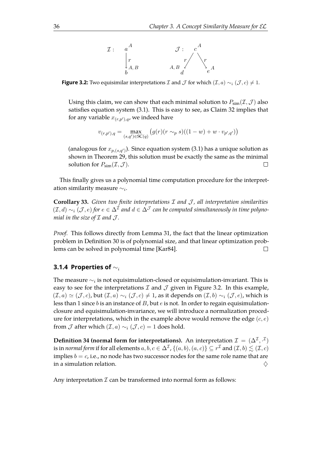

<span id="page-39-0"></span>**Figure 3.2:** Two equisimilar interpretations *I* and *J* for which  $(\mathcal{I}, a) \sim_i (\mathcal{J}, c) \neq 1$ .

Using this claim, we can show that each minimal solution to  $P_{\text{sim}}(\mathcal{I},\mathcal{J})$  also satisfes equation system [\(3.1\)](#page-32-0). This is easy to see, as Claim [32](#page-38-0) implies that for any variable  $x_{(r,n'),q}$ , we indeed have

$$
v_{(r,p'),q} = \max_{(s,q') \in \text{SC}(q)} \left( g(r)(r \sim_p s)((1-w) + w \cdot v_{p',q'}) \right)
$$

(analogous for  $x_{p,(s,q')}$ ). Since equation system [\(3.1\)](#page-32-0) has a unique solution as shown in Theorem [29,](#page-37-0) this solution must be exactly the same as the minimal solution for  $P_{\text{sim}}(\mathcal{I}, \mathcal{J})$ .  $\Box$ 

This fnally gives us a polynomial time computation procedure for the interpretation similarity measure  $\sim_i$ .

<span id="page-39-1"></span>**Corollary 33.** *Given two fnite interpretations* I *and* J *, all interpretation similarities*  $(\mathcal{I}, d) \sim_i (\mathcal{J}, e)$  for  $e \in \Delta^{\mathcal{I}}$  and  $d \in \Delta^{\mathcal{J}}$  can be computed simultaneously in time polyno*mial in the size of*  $I$  *and*  $J$ *.* 

*Proof.* This follows directly from Lemma [31,](#page-37-1) the fact that the linear optimization problem in Definition [30](#page-37-2) is of polynomial size, and that linear optimization problems can be solved in polynomial time [\[Kar84\]](#page-110-0).  $\Box$ 

#### **3.1.4 Properties of** ∼<sup>i</sup>

The measure  $\sim_i$  is not equisimulation-closed or equisimulation-invariant. This is easy to see for the interpretations  $\mathcal I$  and  $\mathcal J$  given in Figure [3.2.](#page-39-0) In this example,  $(T, a) \simeq (J, c)$ , but  $(T, a) \sim_i (J, c) \neq 1$ , as it depends on  $(T, b) \sim_i (J, e)$ , which is less than 1 since b is an instance of B, but  $e$  is not. In order to regain equisimulationclosure and equisimulation-invariance, we will introduce a normalization procedure for interpretations, which in the example above would remove the edge  $(c, e)$ from  $\mathcal J$  after which  $(\mathcal I, a) \sim_i (\mathcal J, c) = 1$  does hold.

<span id="page-39-2"></span>**Definition 34 (normal form for interpretations).** An interpretation  $\mathcal{I} = (\Delta^{\mathcal{I}}, \cdot^{\mathcal{I}})$ is in *normal form* if for all elements  $a,b,c\in\Delta^{\mathcal{I}}$  ,  $\{(a,b),(a,c)\}\subseteq r^{\mathcal{I}}$  and  $(\mathcal{I},b)\lesssim(\mathcal{I},c)$ implies  $b = c$ , i.e., no node has two successor nodes for the same role name that are in a simulation relation.  $\Diamond$ 

Any interpretation  $\mathcal I$  can be transformed into normal form as follows: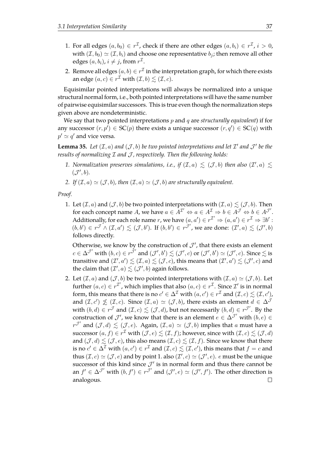- 1. For all edges  $(a, b_0) \in r^{\mathcal{I}}$ , check if there are other edges  $(a, b_i) \in r^{\mathcal{I}}$ ,  $i > 0$ , with  $(\mathcal{I}, b_0) \simeq (\mathcal{I}, b_i)$  and choose one representative  $b_i$ ; then remove all other edges  $(a, b_i)$ ,  $i \neq j$ , from  $r^{\mathcal{I}}$ .
- 2. Remove all edges  $(a, b) \in r^{\mathcal{I}}$  in the interpretation graph, for which there exists an edge  $(a, c) \in r^{\mathcal{I}}$  with  $(\mathcal{I}, b) \lesssim (\mathcal{I}, c)$ .

Equisimilar pointed interpretations will always be normalized into a unique structural normal form, i.e., both pointed interpretations will have the same number of pairwise equisimilar successors. This is true even though the normalization steps given above are nondeterministic.

We say that two pointed interpretations p and q are *structurally equivalent*) if for any successor  $(r, p') \in SC(p)$  there exists a unique successor  $(r, q') \in SC(q)$  with  $p' \simeq q'$  and vice versa.

<span id="page-40-0"></span>**Lemma 35.** Let  $(\mathcal{I}, a)$  and  $(\mathcal{J}, b)$  be two pointed interpretations and let  $\mathcal{I}'$  and  $\mathcal{J}'$  be the *results of normalizing* I *and* J *, respectively. Then the following holds:*

- 1. Normalization preserves simulations, i.e., if  $(\mathcal{I},a) \leq (\mathcal{J},b)$  then also  $(\mathcal{I}',a) \leq$  $(\mathcal{J}', b)$ .
- 2. If  $(\mathcal{I}, a) \simeq (\mathcal{J}, b)$ , then  $(\mathcal{I}, a) \simeq (\mathcal{J}, b)$  *are structurally equivalent.*

*Proof.*

1. Let  $(\mathcal{I}, a)$  and  $(\mathcal{J}, b)$  be two pointed interpretations with  $(\mathcal{I}, a) \leq (\mathcal{J}, b)$ . Then for each concept name A, we have  $a \in A^{\mathcal{I}} \Leftrightarrow a \in A^{\mathcal{I}} \Rightarrow b \in A^{\mathcal{J}} \Leftrightarrow b \in A^{\mathcal{J}}'.$ Additionally, for each role name r, we have  $(a, a') \in r^{\mathcal{I}} \Rightarrow (a, a') \in r^{\mathcal{I}} \Rightarrow \exists b'$ :  $(b, b') \in r^{\mathcal{J}} \wedge (\mathcal{I}, a') \leq (\mathcal{J}, b')$ . If  $(b, b') \in r^{\mathcal{J}'},$  we are done:  $(\mathcal{I}', a) \leq (\mathcal{J}', b)$ follows directly.

Otherwise, we know by the construction of  $\mathcal{J}'$ , that there exists an element  $c \in \Delta^{\mathcal{J}'}$  with  $(b, c) \in r^{\tilde{\mathcal{J}}'}$  and  $(\mathcal{J}', b') \lesssim (\mathcal{J}', c)$  or  $(\mathcal{J}', b') \simeq (\mathcal{J}', c)$ . Since  $\lesssim$  is transitive and  $(\mathcal{I}',a')\lesssim(\mathcal{I},a)\lesssim(\mathcal{J},c)$ , this means that  $(\mathcal{I}',a')\lesssim(\mathcal{J}',c)$  and the claim that  $(\mathcal{I}',a) \lesssim (\mathcal{J}',b)$  again follows.

2. Let  $(\mathcal{I}, a)$  and  $(\mathcal{J}, b)$  be two pointed interpretations with  $(\mathcal{I}, a) \simeq (\mathcal{J}, b)$ . Let further  $(a, c) \in r^{\mathcal{I}}$ , which implies that also  $(a, c) \in r^{\mathcal{I}}$ . Since  $\mathcal{I}'$  is in normal form, this means that there is no  $c' \in \Delta^{\mathcal{I}}$  with  $(a, c') \in r^{\mathcal{I}}$  and  $(\mathcal{I}, c) \lesssim (\mathcal{I}, c')$ , and  $(\mathcal{I}, c') \nleq (\mathcal{I}, c)$ . Since  $(\mathcal{I}, a) \simeq (\mathcal{J}, b)$ , there exists an element  $d \in \Delta^{\mathcal{J}}$ with  $(b,d) \in r^{\mathcal{J}}$  and  $(\mathcal{I},c) \lesssim (\mathcal{J},d)$ , but not necessarily  $(b,d) \in r^{\mathcal{J}'}$ . By the construction of  $\mathcal{J}'$ , we know that there is an element  $e \in \Delta^{\mathcal{J}'}$  with  $(b, e) \in$ r<sup>J'</sup> and  $(\mathcal{J}, d) \leq (\mathcal{J}, e)$ . Again,  $(\mathcal{I}, a) \simeq (\mathcal{J}, b)$  implies that a must have a successor  $(a, f) \in r^{\mathcal{I}}$  with  $(\mathcal{J}, e) \lesssim (\mathcal{I}, f)$ ; however, since with  $(\mathcal{I}, c) \lesssim (\mathcal{J}, d)$ and  $(\mathcal{J}, d) \lesssim (\mathcal{J}, e)$ , this also means  $(\mathcal{I}, c) \lesssim (\mathcal{I}, f)$ . Since we know that there is no  $c' \in \Delta^\mathcal{I}$  with  $(a, c') \in r^\mathcal{I}$  and  $(\mathcal{I}, c) \lesssim (\mathcal{I}, c')$ , this means that  $f = c$  and thus  $(\mathcal{I}, c) \simeq (\mathcal{J}, e)$  and by point 1. also  $(\mathcal{I}', c) \simeq (\mathcal{J}', e)$ .  $e$  must be the unique successor of this kind since  $\mathcal{J}'$  is in normal form and thus there cannot be an  $f' \in \Delta^{\mathcal{J}}$  with  $(b, f') \in r^{\mathcal{J}}$  and  $(\mathcal{J}', e) \simeq (\mathcal{J}', f')$ . The other direction is analogous. $\Box$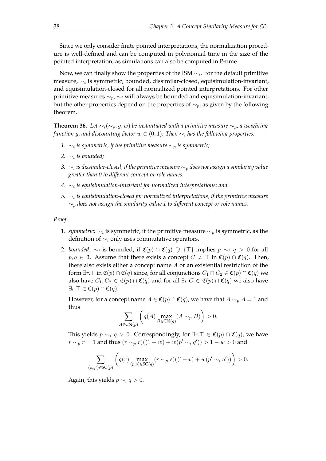Since we only consider finite pointed interpretations, the normalization procedure is well-defned and can be computed in polynomial time in the size of the pointed interpretation, as simulations can also be computed in P-time.

Now, we can finally show the properties of the ISM  $\sim_i$ . For the default primitive measure,  $\sim_i$  is symmetric, bounded, dissimilar-closed, equisimulation-invariant, and equisimulation-closed for all normalized pointed interpretations. For other primitive measures  $\sim_p$ ,  $\sim_i$  will always be bounded and equisimulation-invariant, but the other properties depend on the properties of  $\sim_p$ , as given by the following theorem.

<span id="page-41-0"></span>**Theorem 36.** *Let*  $\sim_i(\sim_p, g, w)$  *be instantiated with a primitive measure*  $\sim_p$ *, a weighting function* g, and discounting factor  $w \in (0, 1)$ . Then  $\sim_i$  has the following properties:

- *1.* ∼<sup>i</sup> *is symmetric, if the primitive measure* ∼<sup>p</sup> *is symmetric;*
- *2.* ∼<sup>i</sup> *is bounded;*
- *3.* ∼<sup>i</sup> *is dissimilar-closed, if the primitive measure* ∼<sup>p</sup> *does not assign a similarity value greater than 0 to diferent concept or role names.*
- *4.* ∼<sup>i</sup> *is equisimulation-invariant for normalized interpretations; and*
- *5.* ∼<sup>i</sup> *is equisimulation-closed for normalized interpretations, if the primitive measure* ∼<sup>p</sup> *does not assign the similarity value 1 to diferent concept or role names.*

*Proof.*

- 1. *symmetric*:  $\sim_i$  is symmetric, if the primitive measure  $\sim_p$  is symmetric, as the definition of  $\sim_i$  only uses commutative operators.
- 2. *bounded:*  $\sim_i$  is bounded, if  $\mathfrak{C}(p) \cap \mathfrak{C}(q) \supsetneq {\dagger}$  implies  $p \sim_i q > 0$  for all  $p, q \in \mathfrak{I}$ . Assume that there exists a concept  $C \neq \top$  in  $\mathfrak{C}(p) \cap \mathfrak{C}(q)$ . Then, there also exists either a concept name A or an existential restriction of the form  $\exists r.\top$  in  $\mathfrak{C}(p) \cap \mathfrak{C}(q)$  since, for all conjunctions  $C_1 \sqcap C_2 \in \mathfrak{C}(p) \cap \mathfrak{C}(q)$  we also have  $C_1, C_2 \in \mathfrak{C}(p) \cap \mathfrak{C}(q)$  and for all  $\exists r.C \in \mathfrak{C}(p) \cap \mathfrak{C}(q)$  we also have  $\exists r. \top \in \mathfrak{C}(p) \cap \mathfrak{C}(q).$

However, for a concept name  $A \in \mathfrak{C}(p) \cap \mathfrak{C}(q)$ , we have that  $A \sim_{p} A = 1$  and thus

$$
\sum_{A \in \text{CN}(p)} \left( g(A) \max_{B \in \text{CN}(q)} (A \sim_p B) \right) > 0.
$$

This yields  $p \sim_i q > 0$ . Correspondingly, for ∃r.  $\top \in \mathfrak{C}(p) \cap \mathfrak{C}(q)$ , we have  $r \sim_p r = 1$  and thus  $(r \sim_p r)((1 - w) + w(p' \sim_i q')) > 1 - w > 0$  and

$$
\sum_{(s,q') \in \text{SC}(p)} \left( g(r) \max_{(p,q) \in \text{SC}(q)} (r \sim_p s)((1-w) + w(p' \sim_i q')) \right) > 0.
$$

Again, this yields  $p \sim_i q > 0$ .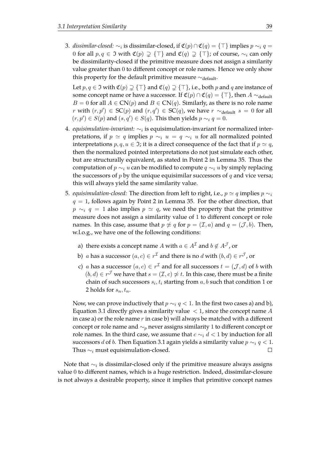3. *dissimilar-closed:*  $\sim_i$  is dissimilar-closed, if  $\mathfrak{C}(p) \cap \mathfrak{C}(q) = \{\top\}$  implies  $p \sim_i q =$ 0 for all  $p, q \in \mathfrak{I}$  with  $\mathfrak{C}(p) \supsetneq {\top}$  and  $\mathfrak{C}(q) \supsetneq {\top}$ ; of course,  $\sim_i$  can only be dissimilarity-closed if the primitive measure does not assign a similarity value greater than 0 to diferent concept or role names. Hence we only show this property for the default primitive measure  $\sim$ <sub>default</sub>.

Let  $p, q \in \mathfrak{I}$  with  $\mathfrak{C}(p) \supsetneq {\top}$  and  $\mathfrak{C}(q) \supsetneq {\top}$ , i.e., both p and q are instance of some concept name or have a successor. If  $\mathfrak{C}(p) \cap \mathfrak{C}(q) = {\top}$ , then  $A \sim_{\text{default}}$  $B = 0$  for all  $A \in CN(p)$  and  $B \in CN(q)$ . Similarly, as there is no role name *r* with  $(r, p')$  ∈ SC $(p)$  and  $(r, q')$  ∈ SC $(q)$ , we have  $r \sim$ <sub>default</sub>  $s = 0$  for all  $(r, p') \in S(p)$  and  $(s, q') \in S(q)$ . This then yields  $p \sim_i q = 0$ .

- 4. *equisimulation-invariant:* ∼<sup>i</sup> is equisimulation-invariant for normalized interpretations, if  $p \simeq q$  implies  $p \sim_i u = q \sim_i u$  for all normalized pointed interpretations  $p, q, u \in \mathfrak{I}$ ; it is a direct consequence of the fact that if  $p \simeq q$ , then the normalized pointed interpretations do not just simulate each other, but are structurally equivalent, as stated in Point 2 in Lemma [35.](#page-40-0) Thus the computation of  $p \sim_i u$  can be modified to compute  $q \sim_i u$  by simply replacing the successors of  $p$  by the unique equisimilar successors of  $q$  and vice versa; this will always yield the same similarity value.
- 5. *equisimulation-closed:* The direction from left to right, i.e.,  $p \simeq q$  implies  $p \sim_i$  $q = 1$ , follows again by Point 2 in Lemma [35.](#page-40-0) For the other direction, that  $p \sim_i q = 1$  also implies  $p \simeq q$ , we need the property that the primitive measure does not assign a similarity value of 1 to diferent concept or role names. In this case, assume that  $p \not\approx q$  for  $p = (\mathcal{I}, a)$  and  $q = (\mathcal{J}, b)$ . Then, w.l.o.g., we have one of the following conditions:
	- a) there exists a concept name A with  $a \in A^{\mathcal{I}}$  and  $b \notin A^{\mathcal{J}}$ , or
	- b)  $a$  has a successor  $(a, c) \in r^{\mathcal{I}}$  and there is no  $d$  with  $(b, d) \in r^{\mathcal{J}}$ , or
	- c) a has a successor  $(a, c) \in r^{\mathcal{I}}$  and for all successors  $t = (\mathcal{J}, d)$  of b with  $(b,d) \in r^{\mathcal{J}}$  we have that  $s = (\mathcal{I}, c) \not\approx t$ . In this case, there must be a finite chain of such successors  $s_i, t_i$  starting from  $a, b$  such that condition 1 or 2 holds for  $s_n, t_n$ .

Now, we can prove inductively that  $p \sim_i q < 1$ . In the first two cases a) and b), Equation [3.1](#page-32-0) directly gives a similarity value  $\langle 1 \rangle$ , since the concept name A in case a) or the role name  $r$  in case b) will always be matched with a different concept or role name and  $\sim_p$  never assigns similarity 1 to different concept or role names. In the third case, we assume that  $c \sim_i d < 1$  by induction for all successors *d* of *b*. Then Equation [3.1](#page-32-0) again yields a similarity value  $p \sim_i q < 1$ . Thus  $\sim$ <sub>i</sub> must equisimulation-closed.  $\Box$ 

Note that  $\sim_i$  is dissimilar-closed only if the primitive measure always assigns value 0 to diferent names, which is a huge restriction. Indeed, dissimilar-closure is not always a desirable property, since it implies that primitive concept names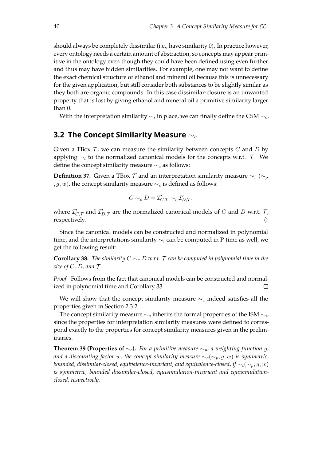should always be completely dissimilar (i.e., have similarity 0). In practice however, every ontology needs a certain amount of abstraction, so concepts may appear primitive in the ontology even though they could have been defned using even further and thus may have hidden similarities. For example, one may not want to defne the exact chemical structure of ethanol and mineral oil because this is unnecessary for the given application, but still consider both substances to be slightly similar as they both are organic compounds. In this case dissimilar-closure is an unwanted property that is lost by giving ethanol and mineral oil a primitive similarity larger than 0.

With the interpretation similarity  $\sim_i$  in place, we can finally define the CSM  $\sim_c$ .

## **3.2 The Concept Similarity Measure**  $∼_c$

Given a TBox  $\mathcal T$ , we can measure the similarity between concepts C and D by applying  $\sim_i$  to the normalized canonical models for the concepts w.r.t. T. We define the concept similarity measure  $\sim_c$  as follows:

**Definition 37.** Given a TBox  $\mathcal T$  and an interpretation similarity measure  $\sim_i (\sim_p$ *, g, w*), the concept similarity measure  $∼<sub>c</sub>$  is defined as follows:

$$
C \sim_c D = \mathcal{I}_{C,\mathcal{T}}' \sim_i \mathcal{I}_{D,\mathcal{T}}',
$$

where  $\mathcal{I}_{C,\mathcal{T}}'$  and  $\mathcal{I}_{D,\mathcal{T}}'$  are the normalized canonical models of C and D w.r.t. T, respectively.  $\Diamond$ 

Since the canonical models can be constructed and normalized in polynomial time, and the interpretations similarity  $\sim_i$  can be computed in P-time as well, we get the following result:

**Corollary 38.** *The similarity*  $C \sim_c D$  *w.r.t.*  $\mathcal T$  *can be computed in polynomial time in the size of C, D, and*  $\mathcal{T}$ *.* 

*Proof.* Follows from the fact that canonical models can be constructed and normalized in polynomial time and Corollary [33.](#page-39-1)  $\Box$ 

We will show that the concept similarity measure  $\sim_c$  indeed satisfies all the properties given in Section [2.3.2.](#page-27-0)

The concept similarity measure  $\sim_c$  inherits the formal properties of the ISM  $\sim_i$ , since the properties for interpretation similarity measures were defned to correspond exactly to the properties for concept similarity measures given in the preliminaries.

<span id="page-43-0"></span>**Theorem 39 (Properties of**  $\sim_c$ ). For a primitive measure  $\sim_p$ , a weighting function g, *and a discounting factor* w, the concept similarity measure  $\sim_c(\sim_p, g, w)$  is symmetric, *bounded, dissimilar-closed, equivalence-invariant, and equivalence-closed, if*  $\sim_i(\sim_p, g, w)$ *is symmetric, bounded dissimilar-closed, equisimulation-invariant and equisimulationclosed, respectively.*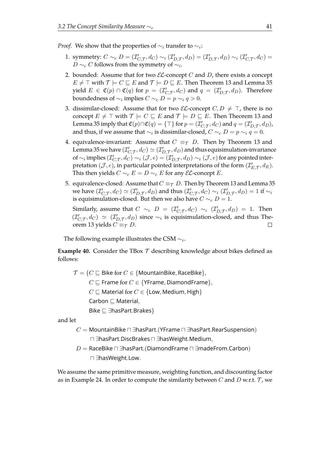*Proof.* We show that the properties of  $\sim_i$  transfer to  $\sim_c$ :

- 1. symmetry:  $C \sim_c D = (\mathcal{I}'_{C,\mathcal{T}}, d_C) \sim_i (\mathcal{I}'_{D,\mathcal{T}}, d_D) = (\mathcal{I}'_{D,\mathcal{T}}, d_D) \sim_i (\mathcal{I}'_{C,\mathcal{T}}, d_C) =$  $D \sim_c C$  follows from the symmetry of  $\sim_i$ .
- 2. bounded: Assume that for two  $\mathcal{EL}$ -concept C and D, there exists a concept  $E \neq \top$  with  $\mathcal{T} \models C \sqsubseteq E$  and  $\mathcal{T} \models D \sqsubseteq E$ . Then Theorem [13](#page-21-0) and Lemma [35](#page-40-0) yield  $E \in \mathfrak{C}(p) \cap \mathfrak{C}(q)$  for  $p = (\mathcal{I}_{C,\mathcal{T}}', d_C)$  and  $q = (\mathcal{I}_{D,\mathcal{T}}', d_D)$ . Therefore boundedness of  $\sim_i$  implies  $C\sim_c D=p\sim_i q>0.$
- 3. dissimilar-closed: Assume that for two  $\mathcal{EL}$ -concept  $C, D \neq \top$ , there is no concept  $E \neq \top$  with  $\mathcal{T} \models C \sqsubseteq E$  and  $\mathcal{T} \models D \sqsubseteq E$ . Then Theorem [13](#page-21-0) and Lemma [35](#page-40-0) imply that  $\mathfrak{C}(p) \cap \mathfrak{C}(q) = \{\top\}$  for  $p = (\mathcal{I}_{C,\mathcal{T}}', d_C)$  and  $q = (\mathcal{I}_{D,\mathcal{T}}', d_D)$ , and thus, if we assume that  $\sim_i$  is dissimilar-closed,  $C\sim_c D=p\sim_i q=0.$
- 4. equivalence-invariant: Assume that  $C \equiv_{\mathcal{T}} D$ . Then by Theorem [13](#page-21-0) and Lemma [35](#page-40-0) we have  $(\mathcal{I}_{C,\mathcal{T}}',d_C)\simeq(\mathcal{I}_{D,\mathcal{T}}',d_D)$  and thus equisimulation-invariance of  $\sim_i$  implies  $(\mathcal{I}'_{C,\mathcal{T}},d_C)\sim_i(\mathcal{J},e)=(\mathcal{I}'_{D,\mathcal{T}},d_D)\sim_i(\mathcal{J},e)$  for any pointed interpretation  $(\mathcal{J}, e)$ , in particular pointed interpretations of the form  $(\mathcal{I}_{E,\mathcal{T}}', d_E)$ . This then yields  $C \sim_{c} E = D \sim_{c} E$  for any  $\mathcal{EL}$ -concept E.
- 5. equivalence-closed: Assume that  $C \equiv \tau D$ . Then by Theorem [13](#page-21-0) and Lemma [35](#page-40-0) we have  $(\mathcal{I}'_{C,\mathcal{T}},d_C)\simeq(\mathcal{I}'_{D,\mathcal{T}},d_D)$  and thus  $(\mathcal{I}'_{C,\mathcal{T}},d_C)\sim_i(\mathcal{I}'_{D,\mathcal{T}},d_D)=1$  if  $\sim_i$ is equisimulation-closed. But then we also have  $C \sim_c D = 1$ .

Similarly, assume that  $C \sim_c D = (\mathcal{I}_{C,\mathcal{T}}', d_C) \sim_i (\mathcal{I}_{D,\mathcal{T}}', d_D) = 1$ . Then  $(\mathcal{I}'_{C,\mathcal{T}},d_C) \simeq (\mathcal{I}'_{D,\mathcal{T}},d_D)$  since  $\sim_i$  is equisimulation-closed, and thus The-orem [13](#page-21-0) yields  $C \equiv_{\mathcal{T}} D$ .  $\Box$ 

The following example illustrates the CSM  $\sim_c$ .

**Example 40.** Consider the TBox  $\mathcal T$  describing knowledge about bikes defined as follows:

 $\mathcal{T} = \{C \sqsubseteq B$ ike for  $C \in \{\text{MountainBike}, \text{RaceBike}\},\}$  $C \sqsubseteq$  Frame for  $C \in \{$  YFrame, DiamondFrame  $\},$  $C \sqsubseteq$  Material for  $C \in \{\textsf{Low}, \textsf{ Medium}, \textsf{High}\}$ Carbon  $\sqsubseteq$  Material, Bike ⊑ ∃hasPart.Brakes}

and let

- $C =$  MountainBike  $\Box$  ∃hasPart.(YFrame  $\Box$  ∃hasPart.RearSuspension) u ∃hasPart.DiscBrakes u ∃hasWeight.Medium,
- $D =$  RaceBike  $\sqcap \exists$ hasPart.(DiamondFrame  $\sqcap \exists$ madeFrom.Carbon) u ∃hasWeight.Low.

We assume the same primitive measure, weighting function, and discounting factor as in Example [24.](#page-33-0) In order to compute the similarity between  $C$  and  $D$  w.r.t.  $\mathcal T$ , we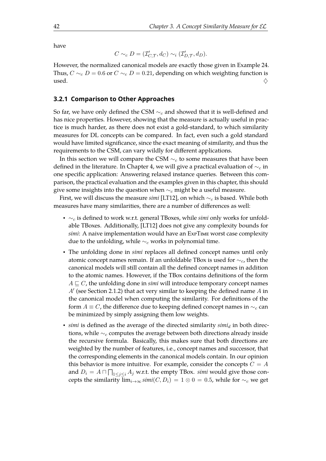have

$$
C \sim_c D = (\mathcal{I}'_{C,\mathcal{T}}, d_C) \sim_i (\mathcal{I}'_{D,\mathcal{T}}, d_D).
$$

However, the normalized canonical models are exactly those given in Example [24.](#page-33-0) Thus,  $C \sim_c D = 0.6$  or  $C \sim_c D = 0.21$ , depending on which weighting function is used.  $\diamondsuit$ 

### **3.2.1 Comparison to Other Approaches**

So far, we have only defined the CSM  $\sim_c$  and showed that it is well-defined and has nice properties. However, showing that the measure is actually useful in practice is much harder, as there does not exist a gold-standard, to which similarity measures for DL concepts can be compared. In fact, even such a gold standard would have limited signifcance, since the exact meaning of similarity, and thus the requirements to the CSM, can vary wildly for diferent applications.

In this section we will compare the CSM  $\sim_c$  to some measures that have been defined in the literature. In Chapter [4,](#page-56-0) we will give a practical evaluation of  $\sim_c$  in one specifc application: Answering relaxed instance queries. Between this comparison, the practical evaluation and the examples given in this chapter, this should give some insights into the question when  $\sim_c$  might be a useful measure.

First, we will discuss the measure *simi* [\[LT12\]](#page-110-1), on which ∼<sup>c</sup> is based. While both measures have many similarities, there are a number of diferences as well:

- ∼<sup>c</sup> is defned to work w.r.t. general TBoxes, while *simi* only works for unfoldable TBoxes. Additionally, [\[LT12\]](#page-110-1) does not give any complexity bounds for *simi*: A naive implementation would have an ExPTIME worst case complexity due to the unfolding, while  $\sim_c$  works in polynomial time.
- The unfolding done in *simi* replaces all defned concept names until only atomic concept names remain. If an unfoldable TBox is used for  $\sim_c$ , then the canonical models will still contain all the defned concept names in addition to the atomic names. However, if the TBox contains defnitions of the form  $A \sqsubseteq C$ , the unfolding done in *simi* will introduce temporary concept names  $A'$  (see Section [2.1.2\)](#page-16-0) that act very similar to keeping the defined name  $A$  in the canonical model when computing the similarity. For defnitions of the form  $A \equiv C$ , the difference due to keeping defined concept names in  $\sim_c$  can be minimized by simply assigning them low weights.
- *simi* is defined as the average of the directed similarity *simi<sub>d</sub>* in both directions, while  $\sim_c$  computes the average between both directions already inside the recursive formula. Basically, this makes sure that both directions are weighted by the number of features, i.e., concept names and successor, that the corresponding elements in the canonical models contain. In our opinion this behavior is more intuitive. For example, consider the concepts  $C = A$ and  $D_i = A \sqcap \prod_{1 \leq j \leq i} A_j$  w.r.t. the empty TBox. *simi* would give those concepts the similarity  $\lim_{i\to\infty}$  *simi*(*C*, *D<sub>i</sub>*) = 1 ⊗ 0 = 0.5, while for  $\sim_c$  we get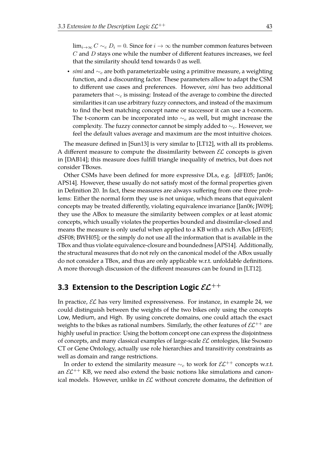$\lim_{i\to\infty} C \sim_c D_i = 0$ . Since for  $i\to\infty$  the number common features between  $C$  and  $D$  stays one while the number of different features increases, we feel that the similarity should tend towards 0 as well.

• *simi* and ∼<sub>c</sub> are both parameterizable using a primitive measure, a weighting function, and a discounting factor. These parameters allow to adapt the CSM to diferent use cases and preferences. However, *simi* has two additional parameters that  $\sim_c$  is missing: Instead of the average to combine the directed similarities it can use arbitrary fuzzy connectors, and instead of the maximum to fnd the best matching concept name or successor it can use a t-conorm. The t-conorm can be incorporated into  $\sim_c$  as well, but might increase the complexity. The fuzzy connector cannot be simply added to  $\sim_c$ . However, we feel the default values average and maximum are the most intuitive choices.

The measure defned in [\[Sun13\]](#page-113-0) is very similar to [\[LT12\]](#page-110-1), with all its problems. A different measure to compute the dissimilarity between  $\mathcal{EL}$  concepts is given in [\[DAB14\]](#page-108-0); this measure does fulfll triangle inequality of metrics, but does not consider TBoxes.

Other CSMs have been defned for more expressive DLs, e.g. [\[dFE05;](#page-108-1) [Jan06;](#page-109-0) [APS14\]](#page-106-0). However, these usually do not satisfy most of the formal properties given in Defnition [20.](#page-27-1) In fact, these measures are always sufering from one three problems: Either the normal form they use is not unique, which means that equivalent concepts may be treated diferently, violating equivalence invariance [\[Jan06;](#page-109-0) [JW09\]](#page-110-2); they use the ABox to measure the similarity between complex or at least atomic concepts, which usually violates the properties bounded and dissimilar-closed and means the measure is only useful when applied to a KB with a rich ABox [\[dFE05;](#page-108-1) [dSF08;](#page-108-2) [BWH05\]](#page-107-0); or the simply do not use all the information that is available in the TBox and thus violate equivalence-closure and boundedness [\[APS14\]](#page-106-0). Additionally, the structural measures that do not rely on the canonical model of the ABox usually do not consider a TBox, and thus are only applicable w.r.t. unfoldable defnitions. A more thorough discussion of the diferent measures can be found in [\[LT12\]](#page-110-1).

# **3.3 Extension to the Description Logic**  $\mathcal{EL}^{++}$

In practice,  $\mathcal{EL}$  has very limited expressiveness. For instance, in example [24,](#page-33-0) we could distinguish between the weights of the two bikes only using the concepts Low, Medium, and High. By using concrete domains, one could attach the exact weights to the bikes as rational numbers. Similarly, the other features of  $\mathcal{EL}^{++}$  are highly useful in practice: Using the bottom concept one can express the disjointness of concepts, and many classical examples of large-scale  $\mathcal{EL}$  ontologies, like Snomen CT or Gene Ontology, actually use role hierarchies and transitivity constraints as well as domain and range restrictions.

In order to extend the similarity measure  $\sim_c$  to work for  $\mathcal{EL}^{++}$  concepts w.r.t. an  $\mathcal{EL}^{++}$  KB, we need also extend the basic notions like simulations and canonical models. However, unlike in  $\mathcal{EL}$  without concrete domains, the definition of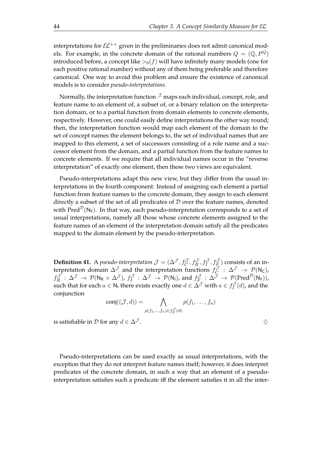interpretations for  $\mathcal{EL}^{++}$  given in the preliminaries does not admit canonical models. For example, in the concrete domain of the rational numbers  $Q = (\mathbb{Q}, P^Q)$ introduced before, a concept like  $>0(f)$  will have infinitely many models (one for each positive rational number) without any of them being preferable and therefore canonical. One way to avoid this problem and ensure the existence of canonical models is to consider *pseudo-interpretations*.

Normally, the interpretation function  $\cdot^\mathcal{I}$  maps each individual, concept, role, and feature name to an element of, a subset of, or a binary relation on the interpretation domain, or to a partial function from domain elements to concrete elements, respectively. However, one could easily defne interpretations the other way round; then, the interpretation function would map each element of the domain to the set of concept names the element belongs to, the set of individual names that are mapped to this element, a set of successors consisting of a role name and a successor element from the domain, and a partial function from the feature names to concrete elements. If we require that all individual names occur in the "reverse interpretation" of exactly one element, then these two views are equivalent.

Pseudo-interpretations adapt this new view, but they difer from the usual interpretations in the fourth component: Instead of assigning each element a partial function from feature names to the concrete domain, they assign to each element directly a subset of the set of all predicates of  $D$  over the feature names, denoted with Pred<sup> $D$ </sup>(N<sub>F</sub>). In that way, each pseudo-interpretation corresponds to a set of usual interpretations, namely all those whose concrete elements assigned to the feature names of an element of the interpretation domain satisfy all the predicates mapped to the domain element by the pseudo-interpretation.

**Definition 41.** A *pseudo-interpretation*  $\mathcal{J} = (\Delta^{\mathcal{J}}, f_C^{\mathcal{J}}, f_R^{\mathcal{J}}, f_F^{\mathcal{J}}, f_F^{\mathcal{J}})$  consists of an interpretation domain  $\Delta^{\mathcal{J}}$  and the interpretation functions  $f_C^{\mathcal{J}}$  $\begin{array}{l} \Delta^{\mathcal{J}} \,:\,\Delta^{\mathcal{J}} \,\to\, \mathcal{P}(\mathsf{N}_{\mathsf{C}}), \end{array}$  $f^{\mathcal{J}}_R$  $\mathcal{F}^{\mathcal{J}}_R\,:\,\Delta^{\mathcal{J}}\,\rightarrow\,\mathcal{P}(\mathsf{N}_\mathsf{R}\times\Delta^{\mathcal{J}})$ ,  $f^{\mathcal{J}}_I$  $E_I^{\mathcal{J}}: \Delta^{\mathcal{J}} \rightarrow \mathcal{P}(\mathsf{N}_\mathsf{I})$ , and  $f_F^{\mathcal{J}}$  $\mathcal{P}^{\mathcal{J}}_F \,:\, \Delta^{\tilde{\mathcal{J}}} \,\to\, \mathcal{P}(\text{Pred}^{\mathcal{D}}(\mathsf{N}_\mathsf{F})),$ such that for each  $a \in \mathsf{N}_1$  there exists exactly one  $d \in \Delta^{\mathcal{J}}$  with  $a \in f_I^{\mathcal{J}}$  $\int_I^{\mathcal{U}}(d)$ , and the conjunction

$$
conj((\mathcal{J},d)) = \bigwedge_{p(f_1,...,f_n) \in f_F^{\mathcal{J}}(d)} p(f_1,...,f_n)
$$

is satisfiable in D for any  $d \in \Delta^{\mathcal{J}}$ .  $\diamondsuit$ 

Pseudo-interpretations can be used exactly as usual interpretations, with the exception that they do not interpret feature names itself; however, it does interpret predicates of the concrete domain, in such a way that an element of a pseudointerpretation satisfies such a predicate iff the element satisfies it in all the inter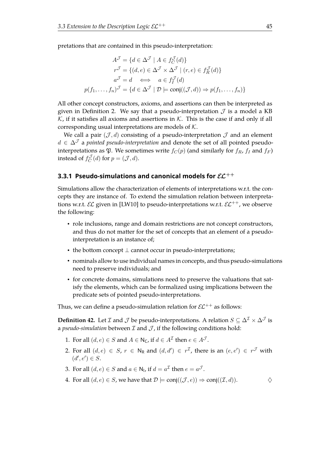pretations that are contained in this pseudo-interpretation:

$$
A^{\mathcal{J}} = \{ d \in \Delta^{\mathcal{J}} \mid A \in f_C^{\mathcal{J}}(d) \}
$$

$$
r^{\mathcal{J}} = \{ (d, e) \in \Delta^{\mathcal{J}} \times \Delta^{\mathcal{J}} \mid (r, e) \in f_R^{\mathcal{J}}(d) \}
$$

$$
a^{\mathcal{J}} = d \iff a \in f_I^{\mathcal{J}}(d)
$$

$$
p(f_1, \dots, f_n)^{\mathcal{J}} = \{ d \in \Delta^{\mathcal{J}} \mid \mathcal{D} \models \text{conj}((\mathcal{J}, d)) \Rightarrow p(f_1, \dots, f_n) \}
$$

All other concept constructors, axioms, and assertions can then be interpreted as given in Definition [2.](#page-15-0) We say that a pseudo-interpretation  $\mathcal J$  is a model a KB  $K$ , if it satisfies all axioms and assertions in  $K$ . This is the case if and only if all corresponding usual interpretations are models of  $K$ .

We call a pair  $(\mathcal{J}, d)$  consisting of a pseudo-interpretation  $\mathcal{J}$  and an element  $d \in \Delta^{\mathcal{J}}$  a *pointed pseudo-interpretation* and denote the set of all pointed pseudointerpretations as  $\mathfrak{P}$ . We sometimes write  $f_C(p)$  (and similarly for  $f_R$ ,  $f_I$  and  $f_F$ ) instead of  $f_C^{\mathcal{J}}$  $C^{\mathcal{J}}(d)$  for  $p = (\mathcal{J}, d)$ .

## **3.3.1 Pseudo-simulations and canonical models for**  $\mathcal{EL}^{++}$

Simulations allow the characterization of elements of interpretations w.r.t. the concepts they are instance of. To extend the simulation relation between interpretations w.r.t.  $\mathcal{EL}$  given in [\[LW10\]](#page-111-0) to pseudo-interpretations w.r.t.  $\mathcal{EL}^{++}$ , we observe the following:

- role inclusions, range and domain restrictions are not concept constructors, and thus do not matter for the set of concepts that an element of a pseudointerpretation is an instance of;
- the bottom concept  $\perp$  cannot occur in pseudo-interpretations;
- nominals allow to use individual names in concepts, and thus pseudo-simulations need to preserve individuals; and
- for concrete domains, simulations need to preserve the valuations that satisfy the elements, which can be formalized using implications between the predicate sets of pointed pseudo-interpretations.

<span id="page-48-0"></span>Thus, we can define a pseudo-simulation relation for  $\mathcal{EL}^{++}$  as follows:

**Definition 42.** Let *I* and *J* be pseudo-interpretations. A relation  $S \subseteq \Delta^{\mathcal{I}} \times \Delta^{\mathcal{J}}$  is a *pseudo-simulation* between  $I$  and  $J$ , if the following conditions hold:

- 1. For all  $(d, e) \in S$  and  $A \in \mathsf{N}_\mathsf{C}$ , if  $d \in A^\mathcal{I}$  then  $e \in A^\mathcal{J}$ .
- 2. For all  $(d,e) \in S$ ,  $r \in \mathsf{N}_{\mathsf{R}}$  and  $(d,d') \in r^{\mathcal{I}}$ , there is an  $(e,e') \in r^{\mathcal{J}}$  with  $(d', e') \in S$ .
- 3. For all  $(d, e) \in S$  and  $a \in \mathsf{N}_1$ , if  $d = a^{\mathcal{I}}$  then  $e = a^{\mathcal{J}}$ .
- 4. For all  $(d, e) \in S$ , we have that  $\mathcal{D} \models \text{conj}((\mathcal{J}, e)) \Rightarrow \text{conj}((\mathcal{I}, d))$ .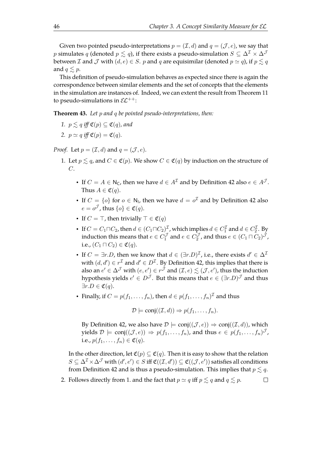Given two pointed pseudo-interpretations  $p = (\mathcal{I}, d)$  and  $q = (\mathcal{J}, e)$ , we say that p simulates q (denoted  $p \lesssim q$ ), if there exists a pseudo-simulation  $S \subseteq \Delta^{\mathcal{I}} \times \Delta^{\mathcal{J}}$ between *L* and *J* with  $(d, e) \in S$ . *p* and *q* are equisimilar (denoted  $p \simeq q$ ), if  $p \lesssim q$ and  $q \leq p$ .

This definition of pseudo-simulation behaves as expected since there is again the correspondence between similar elements and the set of concepts that the elements in the simulation are instances of. Indeed, we can extent the result from Theorem [11](#page-20-0) to pseudo-simulations in  $\mathcal{EL}^{++}$ :

**Theorem 43.** *Let* p *and* q *be pointed pseudo-interpretations, then:*

- *1.*  $p \leq q$  *iff*  $\mathfrak{C}(p) \subseteq \mathfrak{C}(q)$ *, and*
- 2.  $p \simeq q$  *iff*  $\mathfrak{C}(p) = \mathfrak{C}(q)$ *.*

*Proof.* Let  $p = (\mathcal{I}, d)$  and  $q = (\mathcal{J}, e)$ .

- 1. Let  $p \leq q$ , and  $C \in \mathfrak{C}(p)$ . We show  $C \in \mathfrak{C}(q)$  by induction on the structure of C.
	- If  $C = A \in N_C$ , then we have  $d \in A^{\mathcal{I}}$  and by Definition [42](#page-48-0) also  $e \in A^{\mathcal{J}}$ . Thus  $A \in \mathfrak{C}(q)$ .
	- If  $C = \{o\}$  for  $o \in \mathbb{N}_1$ , then we have  $d = o^{\mathcal{I}}$  and by Definition [42](#page-48-0) also  $e = o^{\mathcal{J}}$ , thus  $\{o\} \in \mathfrak{C}(q)$ .
	- If  $C = \top$ , then trivially  $\top \in \mathfrak{C}(q)$
	- If  $C = C_1 \sqcap C_2$ , then  $d \in (C_1 \sqcap C_2)^{\mathcal{I}}$ , which implies  $d \in C_1^{\mathcal{I}}$  and  $d \in C_2^{\mathcal{I}}$ . By induction this means that  $e \in C_1^{\mathcal{J}}$  and  $e \in C_2^{\mathcal{J}}$ , and thus  $e \in (C_1 \sqcap C_2)^{\mathcal{J}}$ , i.e.,  $(C_1 \sqcap C_2) \in \mathfrak{C}(q)$ .
	- If  $C = \exists r.D$ , then we know that  $d \in (\exists r.D)^{\mathcal{I}}$ , i.e., there exists  $d' \in \Delta^{\mathcal{I}}$ with  $(d, d') \in r^{\mathcal{I}}$  and  $d' \in D^{\mathcal{I}}$ . By Definition [42,](#page-48-0) this implies that there is also an  $e' \in \Delta^{\mathcal{J}}$  with  $(e,e') \in r^{\mathcal{J}}$  and  $(\mathcal{I},e) \lesssim (\mathcal{J},e')$ , thus the induction hypothesis yields  $e' \in D^{\mathcal{J}}.$  But this means that  $e \in (\exists r.D)^{\mathcal{J}}$  and thus  $\exists r.D \in \mathfrak{C}(q).$
	- Finally, if  $C = p(f_1, \ldots, f_n)$ , then  $d \in p(f_1, \ldots, f_n)^{\mathcal{I}}$  and thus

$$
\mathcal{D} \models \text{conj}((\mathcal{I},d)) \Rightarrow p(f_1,\ldots,f_n).
$$

By Definition [42,](#page-48-0) we also have  $\mathcal{D} \models \text{conj}((\mathcal{J}, e)) \Rightarrow \text{conj}((\mathcal{I}, d))$ , which yields  $\mathcal{D} \models \, \mathsf{conj}((\mathcal{J}, e)) \, \Rightarrow \, p(f_1, \ldots, f_n)$ , and thus  $e \, \in \, p(f_1, \ldots, f_n)^{\mathcal{J}}$ , i.e.,  $p(f_1, ..., f_n) \in \mathfrak{C}(q)$ .

In the other direction, let  $\mathfrak{C}(p) \subseteq \mathfrak{C}(q)$ . Then it is easy to show that the relation  $S\subseteq \Delta^\mathcal{I}\times \Delta^\mathcal{J}$  with  $(d',e')\in S$  iff  $\mathfrak{C}((\mathcal{I},d'))\subseteq \mathfrak{C}((\mathcal{J},e'))$  satisfies all conditions from Definition [42](#page-48-0) and is thus a pseudo-simulation. This implies that  $p \leq q$ .

2. Follows directly from 1. and the fact that  $p \simeq q$  iff  $p \lesssim q$  and  $q \lesssim p$ .  $\Box$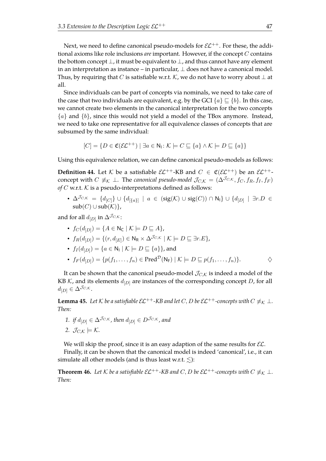Next, we need to define canonical pseudo-models for  $\mathcal{EL}^{++}$ . For these, the additional axioms like role inclusions *are* important. However, if the concept C contains the bottom concept  $\perp$ , it must be equivalent to  $\perp$ , and thus cannot have any element in an interpretation as instance – in particular,  $\perp$  does not have a canonical model. Thus, by requiring that C is satisfiable w.r.t.  $K$ , we do not have to worry about  $\perp$  at all.

Since individuals can be part of concepts via nominals, we need to take care of the case that two individuals are equivalent, e.g. by the GCI  $\{a\} \sqsubseteq \{b\}$ . In this case, we cannot create two elements in the canonical interpretation for the two concepts  ${a}$  and  ${b}$ , since this would not yield a model of the TBox anymore. Instead, we need to take one representative for all equivalence classes of concepts that are subsumed by the same individual:

$$
[C] = \{ D \in \mathfrak{C}(\mathcal{EL}^{++}) \mid \exists a \in \mathsf{N}_1 \colon \mathcal{K} \models C \sqsubseteq \{a\} \land \mathcal{K} \models D \sqsubseteq \{a\} \}
$$

Using this equivalence relation, we can defne canonical pseudo-models as follows:

**Definition 44.** Let K be a satisfiable  $\mathcal{EL}^{++}$ -KB and  $C \in \mathfrak{C}(\mathcal{EL}^{++})$  be an  $\mathcal{EL}^{++}$ concept with  $C \not\equiv_K \bot$ . The *canonical pseudo-model*  $\mathcal{J}_{C,K} = (\Delta^{\mathcal{J}_{C,K}}, f_C, f_R, f_I, f_F)$  $of C$  w.r.t.  $K$  is a pseudo-interpretations defined as follows:

•  $\Delta^{J_C,\kappa} = \{d_{[C]}\}\cup\{d_{[\{a\}]} \mid a \in (\text{sig}(\mathcal{K}) \cup \text{sig}(C)) \cap N_I\} \cup \{d_{[D]} \mid \exists r.D \in$  $sub(C) \cup sub(K)$ ,

and for all  $d_{[D]}$  in  $\Delta^{\mathcal{J}_{C,\mathcal{K}}}$ :

- $f_C(d_{[D]}) = \{A \in \mathsf{N}_{\mathsf{C}} \mid \mathcal{K} \models D \sqsubseteq A\},\$
- $f_R(d_{[D]}) = \{(r, d_{[E]}) \in N_R \times \Delta^{\mathcal{J}_{C,\mathcal{K}}} \mid \mathcal{K} \models D \sqsubseteq \exists r.E\},\$
- $f_I(d_{[D]}) = \{a \in \mathsf{N}_I \mid \mathcal{K} \models D \sqsubseteq \{a\}\}\)$ , and
- $f_F(d_{[D]}) = \{p(f_1, \ldots, f_n) \in \text{Pred}^{\mathcal{D}}(\mathsf{N}_{\mathsf{F}}) \mid \mathcal{K} \models D \sqsubseteq p(f_1, \ldots, f_n)\}.$   $\diamondsuit$

It can be shown that the canonical pseudo-model  $\mathcal{J}_{C,K}$  is indeed a model of the KB K, and its elements  $d_{[D]}$  are instances of the corresponding concept D, for all  $d_{[D]} \in \Delta^{\mathcal{J}_{C,\mathcal{K}}}$ .

**Lemma 45.** *Let*  $K$  *be a satisfiable*  $\mathcal{EL}^{++}$ *-KB and let*  $C, D$  *be*  $\mathcal{EL}^{++}$ *-concepts with*  $C \not\equiv_K \bot$ *. Then:*

*1. if*  $d_{[D]} \in \Delta^{\mathcal{J}_{C,\mathcal{K}}}$ , then  $d_{[D]} \in D^{\mathcal{J}_{C,\mathcal{K}}}$ , and 2.  $\mathcal{J}_{C,K} \models \mathcal{K}.$ 

We will skip the proof, since it is an easy adaption of the same results for  $E$ .

Finally, it can be shown that the canonical model is indeed 'canonical', i.e., it can simulate all other models (and is thus least w.r.t.  $\lesssim$ ):

**Theorem 46.** Let K be a satisfiable  $\mathcal{EL}^{++}$ -KB and C, D be  $\mathcal{EL}^{++}$ -concepts with  $C \not\equiv_K \bot$ . *Then:*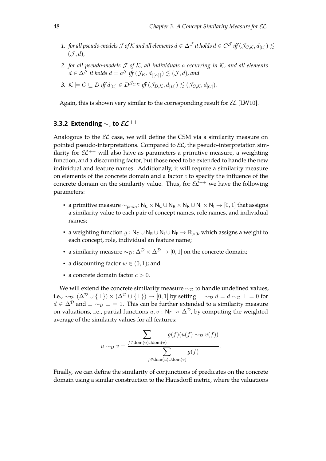- $1.$  *for all pseudo-models*  $\cal J$  *of*  $K$  *and all elements*  $d\in \Delta^{\cal J}$  *it holds*  $d\in C^{\cal J}$  *iff*  $(\cal J_{C,K},d_{[C]})\lesssim$  $({\cal J}, d)$
- *2. for all pseudo-models* J *of* K*, all individuals* a *occurring in* K*, and all elements*  $d \in \Delta^{\mathcal{J}}$  it holds  $d = a^{\mathcal{J}}$  iff  $(\mathcal{J}_K, d_{[\{a\}]} ) \lesssim (\mathcal{J}, d)$ , and
- 3.  $\mathcal{K} \models C \sqsubseteq D$  iff  $d_{[C]} \in D^{\mathcal{J}_{C,\mathcal{K}}}$  iff  $(\mathcal{J}_{D,\mathcal{K}}, d_{[D]}) \lesssim (\mathcal{J}_{C,\mathcal{K}}, d_{[C]})$ .

Again, this is shown very similar to the corresponding result for  $\mathcal{EL}$  [\[LW10\]](#page-111-0).

## **3.3.2 Extending ∼<sub>c</sub> to**  $\mathcal{EL}^{++}$

Analogous to the  $\mathcal{EL}$  case, we will define the CSM via a similarity measure on pointed pseudo-interpretations. Compared to  $\mathcal{EL}$ , the pseudo-interpretation similarity for  $\mathcal{EL}^{++}$  will also have as parameters a primitive measure, a weighting function, and a discounting factor, but those need to be extended to handle the new individual and feature names. Additionally, it will require a similarity measure on elements of the concrete domain and a factor  $c$  to specify the influence of the concrete domain on the similarity value. Thus, for  $\mathcal{EL}^{++}$  we have the following parameters:

- a primitive measure  $\sim_{prim}$ : N<sub>C</sub> × N<sub>C</sub> ∪ N<sub>R</sub> × N<sub>R</sub> ∪ N<sub>I</sub> × N<sub>I</sub> → [0, 1] that assigns a similarity value to each pair of concept names, role names, and individual names;
- a weighting function  $g : N_C \cup N_R \cup N_I \cup N_F \to \mathbb{R}_{>0}$ , which assigns a weight to each concept, role, individual an feature name;
- a similarity measure  $\sim_{\mathcal{D}}: \Delta^{\mathcal{D}} \times \Delta^{\mathcal{D}} \to [0, 1]$  on the concrete domain;
- a discounting factor  $w \in (0,1)$ ; and
- a concrete domain factor  $c > 0$ .

We will extend the concrete similarity measure  $\sim_{\mathcal{D}}$  to handle undefined values, i.e.,  $\sim_{\mathcal{D}}$ :  $(\Delta^{\mathcal{D}} \cup {\{\perp\}}) \times (\Delta^{\mathcal{D}} \cup {\{\perp\}}) \rightarrow [0,1]$  by setting  $\perp \sim_{\mathcal{D}} d = d \sim_{\mathcal{D}} \perp 0$  for  $d \in \Delta^{\mathcal{D}}$  and  $\perp \sim_{\mathcal{D}} \perp = 1$ . This can be further extended to a similarity measure on valuations, i.e., partial functions  $u, v : \mathsf{N}_{\mathsf{F}} \to \Delta^{\mathcal{D}}$ , by computing the weighted average of the similarity values for all features:

$$
u\sim_{\mathcal{D}}v=\frac{\displaystyle\sum_{f\in\text{dom}(u)\cup\text{dom}(v)}g(f)(u(f)\sim_{\mathcal{D}}v(f))}{\displaystyle\sum_{f\in\text{dom}(u)\cup\text{dom}(v)}g(f)}.
$$

Finally, we can defne the similarity of conjunctions of predicates on the concrete domain using a similar construction to the Hausdorff metric, where the valuations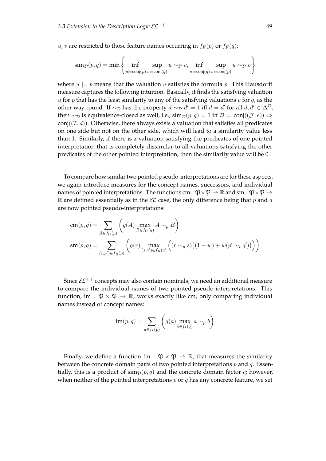u, v are restricted to those feature names occurring in  $f_F(p)$  or  $f_F(q)$ :

$$
sim_{\mathcal{D}}(p,q) = \min \left\{ \inf_{u \models conj(p)} \sup_{v \models conj(q)} u \sim_{\mathcal{D}} v, \inf_{u \models conj(q)} \sup_{v \models conj(p)} u \sim_{\mathcal{D}} v \right\}
$$

where  $u \models p$  means that the valuation u satisfies the formula p. This Hausdorff measure captures the following intuition. Basically, it fnds the satisfying valuation  $u$  for  $p$  that has the least similarity to any of the satisfying valuations  $v$  for  $q$ , as the other way round. If  $\sim_{\mathcal{D}}$  has the property  $d \sim_{\mathcal{D}} d' = 1$  iff  $d = d'$  for all  $d, d' \in \Delta^{\mathcal{D}}$ , then  $\sim_{\mathcal{D}}$  is equivalence-closed as well, i.e.,  $\text{sim}_{\mathcal{D}}(p, q) = 1$  iff  $\mathcal{D} \models \text{conj}((\mathcal{J}, e)) \Leftrightarrow$ conj $((\mathcal{I}, d))$ . Otherwise, there always exists a valuation that satisfies all predicates on one side but not on the other side, which will lead to a similarity value less than 1. Similarly, if there is a valuation satisfying the predicates of one pointed interpretation that is completely dissimilar to all valuations satisfying the other predicates of the other pointed interpretation, then the similarity value will be 0.

To compare how similar two pointed pseudo-interpretations are for these aspects, we again introduce measures for the concept names, successors, and individual names of pointed interpretations. The functions cm :  $\mathfrak{P} \times \mathfrak{P} \to \mathbb{R}$  and sm :  $\mathfrak{P} \times \mathfrak{P} \to$  $\mathbb R$  are defined essentially as in the  $\mathcal EL$  case, the only difference being that p and q are now pointed pseudo-interpretations:

$$
cm(p,q) = \sum_{A \in f_C(p)} \left( g(A) \max_{B \in f_C(q)} A \sim_p B \right)
$$

$$
sm(p,q) = \sum_{(r,p') \in f_R(p)} \left( g(r) \max_{(s,q') \in f_R(q)} \left( (r \sim_p s) \left( (1-w) + w(p' \sim_i q') \right) \right) \right)
$$

Since  $\mathcal{EL}^{++}$  concepts may also contain nominals, we need an additional measure to compare the individual names of two pointed pseudo-interpretations. This function, im :  $\mathfrak{P} \times \mathfrak{P} \to \mathbb{R}$ , works exactly like cm, only comparing individual names instead of concept names:

$$
\mathrm{im}(p,q) = \sum_{a \in f_I(p)} \left( g(a) \max_{b \in f_I(q)} a \sim_p b \right)
$$

Finally, we define a function fm :  $\mathfrak{P} \times \mathfrak{P} \to \mathbb{R}$ , that measures the similarity between the concrete domain parts of two pointed interpretations  $p$  and  $q$ . Essentially, this is a product of  $\operatorname{sim}_\mathcal{D}(p,q)$  and the concrete domain factor c; however, when neither of the pointed interpretations  $p$  or  $q$  has any concrete feature, we set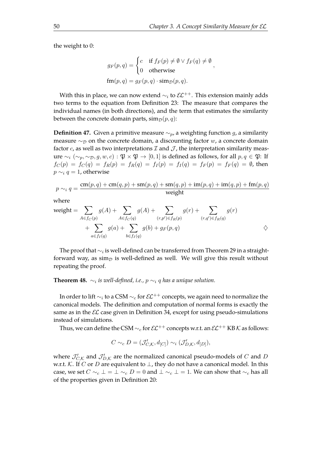the weight to 0:

$$
g_F(p,q) = \begin{cases} c & \text{if } f_F(p) \neq \emptyset \lor f_F(q) \neq \emptyset \\ 0 & \text{otherwise} \end{cases},
$$

$$
fm(p,q) = g_F(p,q) \cdot \text{sim}_{\mathcal{D}}(p,q).
$$

With this in place, we can now extend  $\sim_i$  to  $\mathcal{EL}^{++}$ . This extension mainly adds two terms to the equation from Definition [23:](#page-32-1) The measure that compares the individual names (in both directions), and the term that estimates the similarity between the concrete domain parts,  $\text{sim}_{\mathcal{D}}(p, q)$ :

**Definition 47.** Given a primitive measure  $\sim_p$ , a weighting function g, a similarity measure  $\sim_{\mathcal{D}}$  on the concrete domain, a discounting factor w, a concrete domain factor c, as well as two interpretations  $\mathcal I$  and  $\mathcal J$ , the interpretation similarity measure  $\sim_i (\sim_p, \sim_p, g, w, c): \mathfrak{P} \times \mathfrak{P} \to [0, 1]$  is defined as follows, for all  $p, q \in \mathfrak{P}$ : If  $f_C(p) = f_C(q) = f_R(p) = f_R(q) = f_I(p) = f_I(q) = f_F(p) = f_F(q) = \emptyset$ , then  $p \sim_i q = 1$ , otherwise

$$
p \sim_i q = \frac{\text{cm}(p, q) + \text{cm}(q, p) + \text{sm}(p, q) + \text{sm}(q, p) + \text{im}(p, q) + \text{im}(q, p) + \text{fm}(p, q)}{\text{weight}}
$$

where

$$
\text{weight} = \sum_{A \in f_C(p)} g(A) + \sum_{A \in f_C(q)} g(A) + \sum_{(r, p') \in f_R(p)} g(r) + \sum_{(r, q') \in f_R(q)} g(r) + \sum_{a \in f_I(q)} g(a) + \sum_{b \in f_I(q)} g(b) + g_F(p, q) \qquad \diamondsuit
$$

The proof that  $\sim_i$  is well-defined can be transferred from Theorem [29](#page-37-0) in a straightforward way, as  $\sin_{\mathcal{D}}$  is well-defined as well. We will give this result without repeating the proof.

**Theorem 48.**  $\sim_i$  is well-defined, i.e.,  $p \sim_i q$  has a unique solution.

In order to lift  $\sim_i$  to a CSM  $\sim_c$  for  $\mathcal{EL}^{++}$  concepts, we again need to normalize the canonical models. The defnition and computation of normal forms is exactly the same as in the  $E\mathcal{L}$  case given in Definition [34,](#page-39-2) except for using pseudo-simulations instead of simulations.

Thus, we can define the CSM  $\sim_c$  for  $\mathcal{EL}^{++}$  concepts w.r.t. an  $\mathcal{EL}^{++}$  KB K as follows:

$$
C \sim_c D = (\mathcal{J}'_{C,\mathcal{K}}, d_{[C]}) \sim_i (\mathcal{J}'_{D,\mathcal{K}}, d_{[D]}),
$$

where  $\mathcal{J}'_{C,\mathcal{K}}$  and  $\mathcal{J}'_{D,\mathcal{K}}$  are the normalized canonical pseudo-models of C and D w.r.t. K. If C or D are equivalent to  $\perp$ , they do not have a canonical model. In this case, we set  $C \sim_c \bot = \bot \sim_c D = 0$  and  $\bot \sim_c \bot = 1$ . We can show that  $\sim_c$  has all of the properties given in Defnition [20:](#page-27-1)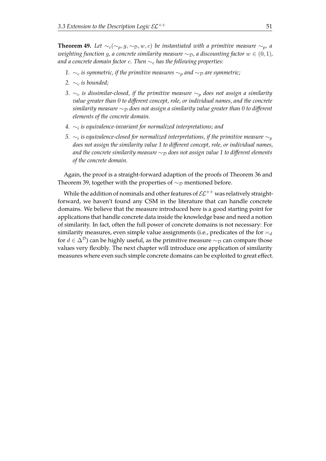**Theorem 49.** Let  $\sim_c(\sim_p, g, \sim_p, w, c)$  be instantiated with a primitive measure  $\sim_p$ , a *weighting function g, a concrete similarity measure*  $\sim_{\mathcal{D}}$ *, a discounting factor*  $w \in (0,1)$ *, and a concrete domain factor* c*. Then* ∼<sup>c</sup> *has the following properties:*

- *1.* ∼<sub>c</sub> *is symmetric, if the primitive measures* ∼<sub>*p</sub> and* ∼<sub>*D</sub> are symmetric;*</sub></sub>
- 2.  $\sim_c$  *is bounded;*
- *3.* ∼<sub>c</sub> *is dissimilar-closed, if the primitive measure* ∼<sub>p</sub> *does not assign a similarity value greater than 0 to diferent concept, role, or individual names, and the concrete similarity measure* ∼<sub>D</sub> does not assign a similarity value greater than 0 to different *elements of the concrete domain.*
- *4.* ∼<sup>i</sup> *is equivalence-invariant for normalized interpretations; and*
- 5.  $\sim_i$  is equivalence-closed for normalized interpretations, if the primitive measure  $\sim_p$ *does not assign the similarity value 1 to diferent concept, role, or individual names,* and the concrete similarity measure  $\sim$ <sub>D</sub> does not assign value 1 to different elements *of the concrete domain.*

Again, the proof is a straight-forward adaption of the proofs of Theorem [36](#page-41-0) and Theorem [39,](#page-43-0) together with the properties of  $\sim_{\mathcal{D}}$  mentioned before.

While the addition of nominals and other features of  $\mathcal{EL}^{++}$  was relatively straightforward, we haven't found any CSM in the literature that can handle concrete domains. We believe that the measure introduced here is a good starting point for applications that handle concrete data inside the knowledge base and need a notion of similarity. In fact, often the full power of concrete domains is not necessary: For similarity measures, even simple value assignments (i.e., predicates of the for  $=_d$ for  $d \in \Delta^{\mathcal{D}}$ ) can be highly useful, as the primitive measure  $\sim_{\mathcal{D}}$  can compare those values very fexibly. The next chapter will introduce one application of similarity measures where even such simple concrete domains can be exploited to great efect.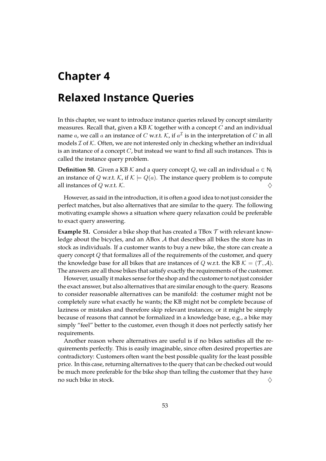# <span id="page-56-0"></span>**Chapter 4**

# **Relaxed Instance Queries**

In this chapter, we want to introduce instance queries relaxed by concept similarity measures. Recall that, given a KB  $K$  together with a concept  $C$  and an individual name  $a$ , we call  $a$  an instance of  $C$  w.r.t.  $\mathcal{K}$ , if  $a^\mathcal{I}$  is in the interpretation of  $C$  in all models  $\mathcal I$  of  $\mathcal K$ . Often, we are not interested only in checking whether an individual is an instance of a concept  $C$ , but instead we want to find all such instances. This is called the instance query problem.

**Definition 50.** Given a KB K and a query concept Q, we call an individual  $a \in N_1$ an instance of Q w.r.t. K, if  $\mathcal{K} \models Q(a)$ . The instance query problem is to compute all instances of Q w.r.t. K.  $\Diamond$ 

However, as said in the introduction, it is often a good idea to not just consider the perfect matches, but also alternatives that are similar to the query. The following motivating example shows a situation where query relaxation could be preferable to exact query answering.

**Example 51.** Consider a bike shop that has created a TBox  $\mathcal T$  with relevant knowledge about the bicycles, and an ABox A that describes all bikes the store has in stock as individuals. If a customer wants to buy a new bike, the store can create a query concept  $Q$  that formalizes all of the requirements of the customer, and query the knowledge base for all bikes that are instances of Q w.r.t. the KB  $K = (\mathcal{T}, \mathcal{A})$ . The answers are all those bikes that satisfy exactly the requirements of the customer.

However, usually it makes sense for the shop and the customer to not just consider the exact answer, but also alternatives that are similar enough to the query. Reasons to consider reasonable alternatives can be manifold: the costumer might not be completely sure what exactly he wants; the KB might not be complete because of laziness or mistakes and therefore skip relevant instances; or it might be simply because of reasons that cannot be formalized in a knowledge base, e.g., a bike may simply "feel" better to the customer, even though it does not perfectly satisfy her requirements.

Another reason where alternatives are useful is if no bikes satisfes all the requirements perfectly. This is easily imaginable, since often desired properties are contradictory: Customers often want the best possible quality for the least possible price. In this case, returning alternatives to the query that can be checked out would be much more preferable for the bike shop than telling the customer that they have no such bike in stock.  $\diamondsuit$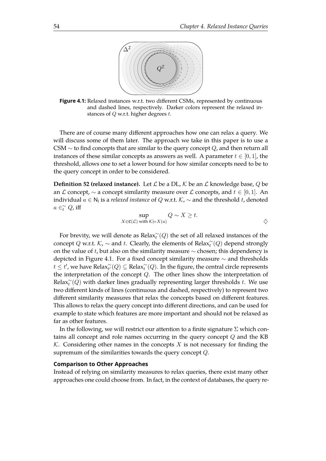<span id="page-57-0"></span>

**Figure 4.1:** Relaxed instances w.r.t. two different CSMs, represented by continuous and dashed lines, respectively. Darker colors represent the relaxed instances of  $Q$  w.r.t. higher degrees  $t$ .

There are of course many diferent approaches how one can relax a query. We will discuss some of them later. The approach we take in this paper is to use a CSM  $\sim$  to find concepts that are similar to the query concept Q, and then return all instances of these similar concepts as answers as well. A parameter  $t \in [0, 1]$ , the threshold, allows one to set a lower bound for how similar concepts need to be to the query concept in order to be considered.

**Definition 52 (relaxed instance).** Let  $\mathcal{L}$  be a DL,  $\mathcal{K}$  be an  $\mathcal{L}$  knowledge base,  $Q$  be an L concept,  $\sim$  a concept similarity measure over L concepts, and  $t \in [0, 1]$ . An individual  $a \in \mathsf{N}_\mathsf{l}$  is a *relaxed instance* of  $Q$  w.r.t.  $\mathcal{K}, \sim$  and the threshold  $t$ , denoted  $a \in_t^{\sim} Q$ , iff

$$
\sup_{X \in \mathfrak{C}(\mathcal{L}) \text{ with } \mathcal{K} \models X(a)} Q \sim X \ge t.
$$

For brevity, we will denote as  $\text{Relax}_t^{\sim}(Q)$  the set of all relaxed instances of the concept Q w.r.t.  $K$ ,  $\sim$  and t. Clearly, the elements of Relax $\chi^2(Q)$  depend strongly on the value of t, but also on the similarity measure  $\sim$  chosen; this dependency is depicted in Figure [4.1.](#page-57-0) For a fxed concept similarity measure ∼ and thresholds  $t \leq t'$ , we have  $\text{Relax}_{t'}^{\sim}(Q) \subseteq \text{Relax}_t^{\sim}(Q)$ . In the figure, the central circle represents the interpretation of the concept  $Q$ . The other lines show the interpretation of Rela $x_t^{\sim}(Q)$  with darker lines gradually representing larger thresholds t. We use two diferent kinds of lines (continuous and dashed, respectively) to represent two diferent similarity measures that relax the concepts based on diferent features. This allows to relax the query concept into diferent directions, and can be used for example to state which features are more important and should not be relaxed as far as other features.

In the following, we will restrict our attention to a finite signature  $\Sigma$  which contains all concept and role names occurring in the query concept Q and the KB K. Considering other names in the concepts X is not necessary for finding the supremum of the similarities towards the query concept Q.

#### **Comparison to Other Approaches**

Instead of relying on similarity measures to relax queries, there exist many other approaches one could choose from. In fact, in the context of databases, the query re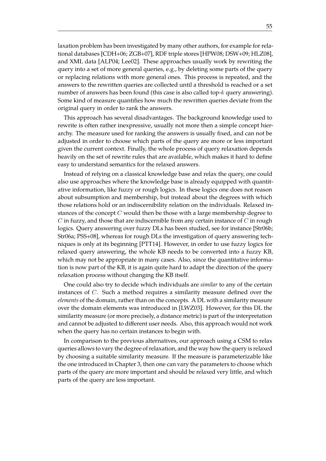laxation problem has been investigated by many other authors, for example for relational databases [\[CDH+06;](#page-107-1) [ZGB+07\]](#page-113-1), RDF triple stores [\[HPW08;](#page-109-1) [DSW+09;](#page-108-3) [HLZ08\]](#page-109-2), and XML data [\[ALP04;](#page-106-1) [Lee02\]](#page-110-3). These approaches usually work by rewriting the query into a set of more general queries, e.g., by deleting some parts of the query or replacing relations with more general ones. This process is repeated, and the answers to the rewritten queries are collected until a threshold is reached or a set number of answers has been found (this case is also called top-k query answering). Some kind of measure quantifes how much the rewritten queries deviate from the original query in order to rank the answers.

This approach has several disadvantages. The background knowledge used to rewrite is often rather inexpressive, usually not more then a simple concept hierarchy. The measure used for ranking the answers is usually fxed, and can not be adjusted in order to choose which parts of the query are more or less important given the current context. Finally, the whole process of query relaxation depends heavily on the set of rewrite rules that are available, which makes it hard to define easy to understand semantics for the relaxed answers.

Instead of relying on a classical knowledge base and relax the query, one could also use approaches where the knowledge base is already equipped with quantitative information, like fuzzy or rough logics. In these logics one does not reason about subsumption and membership, but instead about the degrees with which those relations hold or an indiscernibility relation on the individuals. Relaxed instances of the concept  $C$  would then be those with a large membership degree to  $C$  in fuzzy, and those that are indiscernible from any certain instance of  $C$  in rough logics. Query answering over fuzzy DLs has been studied, see for instance [\[Str06b;](#page-113-2) [Str06a;](#page-113-3) [PSS+08\]](#page-111-1), whereas for rough DLs the investigation of query answering techniques is only at its beginning [\[PTT14\]](#page-112-0). However, in order to use fuzzy logics for relaxed query answering, the whole KB needs to be converted into a fuzzy KB, which may not be appropriate in many cases. Also, since the quantitative information is now part of the KB, it is again quite hard to adapt the direction of the query relaxation process without changing the KB itself.

One could also try to decide which individuals are *similar* to any of the certain instances of C. Such a method requires a similarity measure defned over the *elements* of the domain, rather than on the concepts. A DL with a similarity measure over the domain elements was introduced in [\[LWZ03\]](#page-111-2). However, for this DL the similarity measure (or more precisely, a distance metric) is part of the interpretation and cannot be adjusted to diferent user needs. Also, this approach would not work when the query has no certain instances to begin with.

In comparison to the previous alternatives, our approach using a CSM to relax queries allows to vary the degree of relaxation, and the way how the query is relaxed by choosing a suitable similarity measure. If the measure is parameterizable like the one introduced in Chapter [3,](#page-30-0) then one can vary the parameters to choose which parts of the query are more important and should be relaxed very little, and which parts of the query are less important.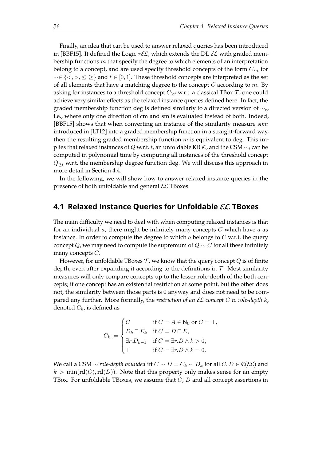Finally, an idea that can be used to answer relaxed queries has been introduced in [\[BBF15\]](#page-106-2). It defined the Logic  $\tau \mathcal{EL}$ , which extends the DL  $\mathcal{EL}$  with graded membership functions  $m$  that specify the degree to which elements of an interpretation belong to a concept, and are used specify threshold concepts of the form  $C_{\sim t}$  for  $\sim \in \{<,>,\leq,\geq\}$  and  $t \in [0,1]$ . These threshold concepts are interpreted as the set of all elements that have a matching degree to the concept  $C$  according to  $m$ . By asking for instances to a threshold concept  $C_{\geq t}$  w.r.t. a classical TBox  $\mathcal T$ , one could achieve very similar efects as the relaxed instance queries defned here. In fact, the graded membership function deg is defined similarly to a directed version of  $\sim_c$ , i.e., where only one direction of cm and sm is evaluated instead of both. Indeed, [\[BBF15\]](#page-106-2) shows that when converting an instance of the similarity measure *simi* introduced in [\[LT12\]](#page-110-1) into a graded membership function in a straight-forward way, then the resulting graded membership function  $m$  is equivalent to deg. This implies that relaxed instances of Q w.r.t. t, an unfoldable KB K, and the CSM  $\sim_i$  can be computed in polynomial time by computing all instances of the threshold concept  $Q_{\geq t}$  w.r.t. the membership degree function deg. We will discuss this approach in more detail in Section [4.4.](#page-76-0)

In the following, we will show how to answer relaxed instance queries in the presence of both unfoldable and general  $\mathcal{EL}$  TBoxes.

## **4.1 Relaxed Instance Queries for Unfoldable** EL **TBoxes**

The main difficulty we need to deal with when computing relaxed instances is that for an individual  $a$ , there might be infinitely many concepts  $C$  which have  $a$  as instance. In order to compute the degree to which a belongs to  $C$  w.r.t. the query concept Q, we may need to compute the supremum of  $Q \sim C$  for all these infinitely many concepts C.

However, for unfoldable TBoxes  $\mathcal T$ , we know that the query concept  $Q$  is of finite depth, even after expanding it according to the definitions in  $\mathcal T$ . Most similarity measures will only compare concepts up to the lesser role-depth of the both concepts; if one concept has an existential restriction at some point, but the other does not, the similarity between those parts is 0 anyway and does not need to be compared any further. More formally, the *restriction of an* EL *concept* C *to role-depth* k, denoted  $C_k$ , is defined as

$$
C_k := \begin{cases} C & \text{if } C = A \in \mathsf{N_C} \text{ or } C = \top, \\ D_k \sqcap E_k & \text{if } C = D \sqcap E, \\ \exists r.D_{k-1} & \text{if } C = \exists r.D \land k > 0, \\ \top & \text{if } C = \exists r.D \land k = 0. \end{cases}
$$

We call a CSM  $\sim$  *role-depth bounded* iff  $C \sim D = C_k \sim D_k$  for all  $C, D \in \mathfrak{C}(\mathcal{EL})$  and  $k > min(\text{rd}(C), \text{rd}(D)).$  Note that this property only makes sense for an empty TBox. For unfoldable TBoxes, we assume that  $C$ ,  $D$  and all concept assertions in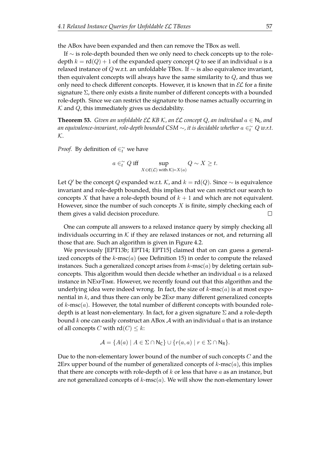the ABox have been expanded and then can remove the TBox as well.

If ∼ is role-depth bounded then we only need to check concepts up to the roledepth  $k = \text{rd}(Q) + 1$  of the expanded query concept Q to see if an individual a is a relaxed instance of Q w.r.t. an unfoldable TBox. If  $\sim$  is also equivalence invariant, then equivalent concepts will always have the same similarity to  $Q$ , and thus we only need to check different concepts. However, it is known that in  $\mathcal{EL}$  for a finite signature  $\Sigma$ , there only exists a finite number of different concepts with a bounded role-depth. Since we can restrict the signature to those names actually occurring in  $K$  and  $Q$ , this immediately gives us decidability.

**Theorem 53.** Given an unfoldable EL KB K, an EL concept Q, an individual  $a \in \mathsf{N}_\mathsf{I}$ , and an equivalence-invariant, role-depth bounded CSM  $\sim$ , it is decidable whether  $a \in_{t}^{\infty} Q$  w.r.t. K*.*

*Proof.* By definition of  $\in_t^{\sim}$  we have

$$
a \in_{t}^{\sim} Q \text{ iff } \sup_{X \in \mathfrak{C}(\mathcal{L}) \text{ with } \mathcal{K} \models X(a)} Q \sim X \geq t.
$$

Let Q' be the concept Q expanded w.r.t. K, and  $k = rd(Q)$ . Since  $\sim$  is equivalence invariant and role-depth bounded, this implies that we can restrict our search to concepts X that have a role-depth bound of  $k + 1$  and which are not equivalent. However, since the number of such concepts  $X$  is finite, simply checking each of them gives a valid decision procedure.  $\Box$ 

One can compute all answers to a relaxed instance query by simply checking all individuals occurring in K if they are relaxed instances or not, and returning all those that are. Such an algorithm is given in Figure [4.2.](#page-61-0)

We previously [\[EPT13b;](#page-108-4) [EPT14;](#page-108-5) [EPT15\]](#page-108-6) claimed that on can guess a generalized concepts of the  $k$ -msc( $a$ ) (see Definition [15\)](#page-22-0) in order to compute the relaxed instances. Such a generalized concept arises from  $k$ -msc $(a)$  by deleting certain subconcepts. This algorithm would then decide whether an individual  $a$  is a relaxed instance in NEx<sub>P</sub>T<sub>IME</sub>. However, we recently found out that this algorithm and the underlying idea were indeed wrong. In fact, the size of  $k$ -msc $(a)$  is at most exponential in  $k$ , and thus there can only be  $2Ex$  many different generalized concepts of  $k$ -msc $(a)$ . However, the total number of different concepts with bounded roledepth is at least non-elementary. In fact, for a given signature  $\Sigma$  and a role-depth bound k one can easily construct an ABox  $\mathcal A$  with an individual  $a$  that is an instance of all concepts C with  $rd(C) \leq k$ :

$$
\mathcal{A} = \{ A(a) \mid A \in \Sigma \cap \mathsf{N}_{\mathsf{C}} \} \cup \{ r(a,a) \mid r \in \Sigma \cap \mathsf{N}_{\mathsf{R}} \}.
$$

Due to the non-elementary lower bound of the number of such concepts C and the 2EPx upper bound of the number of generalized concepts of  $k$ -msc $(a)$ , this implies that there are concepts with role-depth of  $k$  or less that have  $a$  as an instance, but are not generalized concepts of  $k$ -msc $(a)$ . We will show the non-elementary lower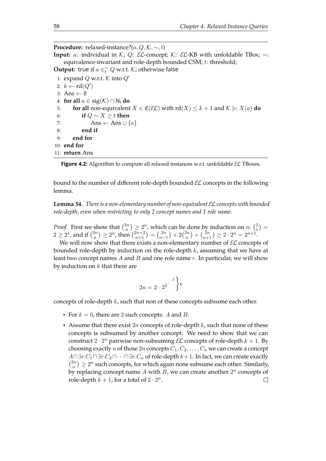<span id="page-61-0"></span>**Procedure:** relaxed-instance?( $a, Q, K, \sim, t$ ) **Input:** a: individual in K; Q: EL-concept; K: EL-KB with unfoldable TBox;  $\sim$ : equivalence-invariant and role-depth bounded CSM; t: threshold; **Output:** true if  $a \in \tilde{t}$  Q w.r.t. K; otherwise false 1: expand Q w.r.t. K into  $Q'$ 2:  $k \leftarrow \text{rd}(Q')$ 3: Ans  $\leftarrow \emptyset$ 4: **for all**  $a \in \text{sig}(\mathcal{K}) \cap N_1$  **do** 5: **for all** non-equivalent  $X \in \mathfrak{C}(\mathcal{EL})$  with  $\text{rd}(X) \leq k+1$  and  $\mathcal{K} \models X(a)$  **do** 6: **if** Q ∼ X ≥ t **then** 7: Ans  $\leftarrow$  Ans  $\cup$   $\{a\}$ 8: **end if** 9: **end for** 10: **end for** 11: **return** Ans

Figure 4.2: Algorithm to compute all relaxed instances w.r.t. unfoldable *EL* TBoxes.

bound to the number of different role-depth bounded  $\mathcal{EL}$  concepts in the following lemma.

**Lemma 54.** *There is a non-elementary number of non-equivalent* EL*concepts with bounded role-depth, even when restricting to only 2 concept names and 1 role name.*

*Proof.* First we show that  $\binom{2n}{n}$  $\binom{2n}{n} \geq 2^n$ , which can be done by induction on  $n: \binom{2n}{1}$  $_{1}^{2}) =$  $2 \geq 2^1$ , and if  $\binom{2n}{n}$  ${n \choose n} \ge 2^n$ , then  ${n+2 \choose n+1} = {2n \choose n-1}$  $\binom{2n}{n-1} + 2\binom{2n}{n}$  ${n \choose n} + {2n \choose n+1} \geq 2 \cdot 2^n = 2^{n+1}.$ 

We will now show that there exists a non-elementary number of  $\mathcal{EL}$  concepts of bounded role-depth by induction on the role-depth  $k$ , assuming that we have at least two concept names  $A$  and  $B$  and one role name  $r$ . In particular, we will show by induction on  $k$  that there are

$$
2n = 2 \cdot 2^2 \left\{\right\}^k
$$

concepts of role-depth k, such that non of these concepts subsume each other.

- For  $k = 0$ , there are 2 such concepts: A and B.
- Assume that there exist  $2n$  concepts of role-depth  $k$ , such that none of these concepts is subsumed by another concept. We need to show that we can construct  $2 \cdot 2^n$  pairwise non-subsuming  $\mathcal{EL}$  concepts of role-depth  $k + 1$ . By choosing exactly *n* of those  $2n$  concepts  $C_1, C_2, \ldots, C_n$  we can create a concept  $A \sqcap \exists r.C_1 \sqcap \exists r.C_2 \sqcap \cdots \sqcap \exists r.C_n$  of role-depth  $k+1$ . In fact, we can create exactly  $\binom{2n}{n}$  $\binom{2n}{n}\geq 2^n$  such concepts, for which again none subsume each other. Similarly, by replacing concept name A with B, we can create another  $2^n$  concepts of role-depth  $k + 1$ , for a total of  $2 \cdot 2^n$ .  $\Box$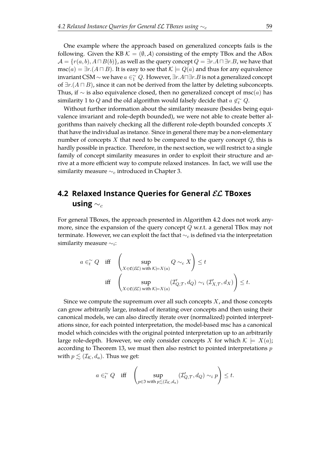One example where the approach based on generalized concepts fails is the following. Given the KB  $\mathcal{K} = (\emptyset, \mathcal{A})$  consisting of the empty TBox and the ABox  $\mathcal{A} = \{r(a, b), A \sqcap B(b)\}\$ , as well as the query concept  $Q = \exists r.A \sqcap \exists r.B$ , we have that  $\text{msc}(a) = \exists r. (A \sqcap B)$ . It is easy to see that  $\mathcal{K} \models Q(a)$  and thus for any equivalence invariant CSM  $\sim$  we have  $a\in _{1}^{\sim} Q$ . However, ∃ $r.A\sqcap \exists r.B$  is not a generalized concept of  $\exists r. (A \sqcap B)$ , since it can not be derived from the latter by deleting subconcepts. Thus, if  $\sim$  is also equivalence closed, then no generalized concept of msc $(a)$  has similarity 1 to  $Q$  and the old algorithm would falsely decide that  $a\not\in \widetilde{e}$   $Q.$ 

Without further information about the similarity measure (besides being equivalence invariant and role-depth bounded), we were not able to create better algorithms than naively checking all the different role-depth bounded concepts  $X$ that have the individual as instance. Since in general there may be a non-elementary number of concepts  $X$  that need to be compared to the query concept  $Q$ , this is hardly possible in practice. Therefore, in the next section, we will restrict to a single family of concept similarity measures in order to exploit their structure and arrive at a more efficient way to compute relaxed instances. In fact, we will use the similarity measure  $\sim_c$  introduced in Chapter [3.](#page-30-0)

# **4.2 Relaxed Instance Queries for General** EL **TBoxes using**  $\sim_c$

For general TBoxes, the approach presented in Algorithm [4.2](#page-61-0) does not work anymore, since the expansion of the query concept Q w.r.t. a general TBox may not terminate. However, we can exploit the fact that  $\sim_c$  is defined via the interpretation similarity measure  $\sim_i$ :

$$
a \in_{t}^{\infty} Q \quad \text{iff} \quad \left(\sup_{X \in \mathfrak{C}(\mathcal{EL}) \text{ with } \mathcal{K} \models X(a)} Q \sim_{c} X\right) \leq t
$$
  

$$
\text{iff} \quad \left(\sup_{X \in \mathfrak{C}(\mathcal{EL}) \text{ with } \mathcal{K} \models X(a)} (\mathcal{I}_{Q,\mathcal{T}}', d_{Q}) \sim_{i} (\mathcal{I}_{X,\mathcal{T}}', d_{X})\right) \leq t.
$$

Since we compute the supremum over all such concepts  $X$ , and those concepts can grow arbitrarily large, instead of iterating over concepts and then using their canonical models, we can also directly iterate over (normalized) pointed interpretations since, for each pointed interpretation, the model-based msc has a canonical model which coincides with the original pointed interpretation up to an arbitrarily large role-depth. However, we only consider concepts X for which  $\mathcal{K} \models X(a)$ ; according to Theorem [13,](#page-21-0) we must then also restrict to pointed interpretations  $p$ with  $p \leq (\mathcal{I}_{\mathcal{K}}, d_a)$ . Thus we get:

$$
a\in_{t}^{\sim} Q \quad \text{iff} \quad \left(\sup_{p\in \mathfrak{I} \text{ with } p\lesssim (\mathcal{I}_{\mathcal{K}},d_a)}(\mathcal{I}_{Q,\mathcal{T}}',d_Q)\sim_{i} p\right)\leq t.
$$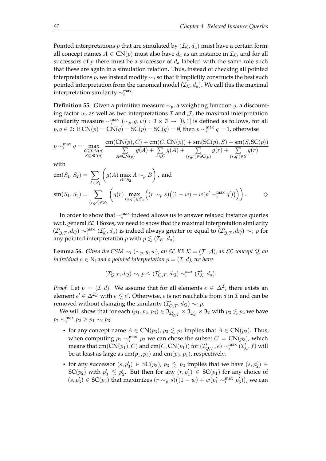Pointed interpretations p that are simulated by  $(\mathcal{I}_{\mathcal{K}}, d_a)$  must have a certain form: all concept names  $A \in CN(p)$  must also have  $d_a$  as an instance in  $\mathcal{I}_K$ , and for all successors of  $p$  there must be a successor of  $d_a$  labeled with the same role such that these are again in a simulation relation. Thus, instead of checking all pointed interpretations p, we instead modify  $\sim_i$  so that it implicitly constructs the best such pointed interpretation from the canonical model  $(\mathcal{I}_{\mathcal{K}}, d_a)$ . We call this the maximal interpretation similarity  $\sim_i^{\text{max}}$ .

<span id="page-63-1"></span>**Definition 55.** Given a primitive measure  $\sim_p$ , a weighting function g, a discounting factor  $w$ , as well as two interpretations  $\mathcal I$  and  $\mathcal J$ , the maximal interpretation similarity measure  $\sim_i^{\max}$   $(\sim_p, g, w) : \mathfrak{I} \times \mathfrak{I} \to [0, 1]$  is defined as follows, for all  $p, q \in \mathfrak{I}$ : If  $CN(p) = CN(q) = SC(p) = SC(q) = \emptyset$ , then  $p \sim_i^{max} q = 1$ , otherwise

$$
p \sim_i^{\max} q = \max_{\substack{C \subseteq \text{CN}(q) \\ S \subseteq \text{SC}(q)}} \frac{\text{cm}(\text{CN}(p), C) + \text{cm}(C, \text{CN}(p)) + \text{sm}(\text{SC}(p), S) + \text{sm}(S, \text{SC}(p))}{\sum_{A \in \text{CN}(p)} g(A) + \sum_{A \in C} g(A) + \sum_{(r, p') \in \text{SC}(p)} g(r) + \sum_{(r, q') \in S} g(r)}
$$

with

$$
cm(S_1, S_2) = \sum_{A \in S_1} \left( g(A) \max_{B \in S_2} A \sim_p B \right), \text{ and}
$$
  
\n
$$
sm(S_1, S_2) = \sum_{(r, p') \in S_1} \left( g(r) \max_{(s, q') \in S_2} \left( (r \sim_p s) \left( (1 - w) + w(p' \sim_i^{\max} q') \right) \right) \right).
$$

In order to show that  $\sim_i^{\max}$  indeed allows us to answer relaxed instance queries w.r.t. general  $\mathcal{EL}$  TBoxes, we need to show that the maximal interpretation similarity  $(L'_{Q,T}, d_Q) \sim_i^{\max} (L'_{K}, d_a)$  is indeed always greater or equal to  $(L'_{Q,T}, d_Q) \sim_i p$  for any pointed interpretation *p* with  $p \lesssim (\mathcal{I}_K, d_a)$ .

<span id="page-63-0"></span>**Lemma 56.** *Given the CSM*  $\sim_i (\sim_p, g, w)$ *, an EL KB K* =  $(\mathcal{T}, \mathcal{A})$ *, an EL concept Q, an individual*  $a \in \mathbb{N}_1$  *and a pointed interpretation*  $p = (\mathcal{I}, d)$ *, we have* 

$$
(\mathcal{I}_{Q,\mathcal{T}}', d_Q) \sim_i p \leq (\mathcal{I}_{Q,\mathcal{T}}', d_Q) \sim_i^{\max} (\mathcal{I}_{\mathcal{K}}', d_a).
$$

*Proof.* Let  $p = (\mathcal{I}, d)$ . We assume that for all elements  $e \in \Delta^{\mathcal{I}}$ , there exists an element  $e' \in \Delta^{\mathcal{I}'_K}$  with  $e \lesssim e'$ . Otherwise,  $e$  is not reachable from  $d$  in  $\mathcal I$  and can be removed without changing the similarity  $(\mathcal{I}'_{Q,\mathcal{T}},d_Q) \sim_i p$ .

We will show that for each  $(p_1,p_2,p_3)\in \mathfrak{I}_{\mathcal{I}_{Q,\mathcal{T}}}^{*}\times \mathfrak{I}_{\mathcal{I}_{\mathcal{K}}}^{*}\times \mathfrak{I}_{\mathcal{I}}$  with  $p_3\lesssim p_2$  we have  $p_1 \sim_i^{\text{max}} p_2 \geq p_1 \sim_i p_3$ :

- for any concept name  $A \in CN(p_3)$ ,  $p_3 \leq p_2$  implies that  $A \in CN(p_2)$ . Thus, when computing  $p_1 \sim_i^{\max} p_2$  we can chose the subset  $C = \mathbb{CN}(p_3)$ , which means that  $cm(CN(p_1), C)$  and  $cm(C, CN(p_1))$  for  $(\mathcal{I}_{Q,\mathcal{T}}', e) \sim_i^{max} (\mathcal{I}_{\mathcal{K}}', f)$  will be at least as large as  $cm(p_1, p_3)$  and  $cm(p_3, p_1)$ , respectively.
- for any successor  $(s, p'_3) \in SC(p_3)$ ,  $p_3 \leq p_2$  implies that we have  $(s, p'_2) \in$  $SC(p_2)$  with  $p'_3 \leq p'_2$ . But then for any  $(r, p'_1) \in SC(p_1)$  for any choice of  $(s, p'_3)$  ∈ SC $(p_3)$  that maximizes  $(r \sim_p s)(1-w) + w(p'_1 \sim_p^{\max} p'_3)$ ), we can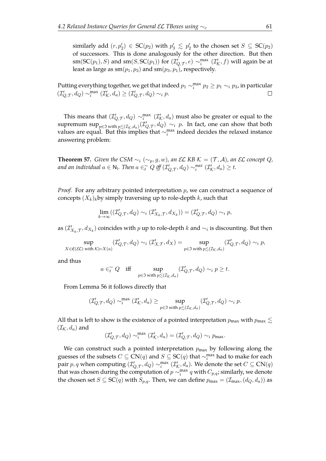similarly add  $(r, p'_2) \in SC(p_2)$  with  $p'_3 \leq p'_2$  to the chosen set  $S \subseteq SC(p_2)$ of successors. This is done analogously for the other direction. But then  $sm({\mathsf{SC}}(p_1),S)$  and  $sm(S, {\mathsf{SC}}(p_1))$  for  $({\mathcal I}'_{Q,\mathcal T},e) \sim^{\max}_i ({\mathcal I}'_{\mathcal K},f)$  will again be at least as large as  $sm(p_1, p_3)$  and  $sm(p_3, p_1)$ , respectively.

Putting everything together, we get that indeed  $p_1 \sim_i^{\max} p_2 \geq p_1 \sim_i p_3$ , in particular  $(\mathcal{I}_{Q,\mathcal{T}}',d_Q) \sim_i^{\max} (\mathcal{I}_{\mathcal{K}}',d_a) \geq (\mathcal{I}_{Q,\mathcal{T}}',d_Q) \sim_i p.$  $\Box$ 

This means that  $(\mathcal{I}'_{Q,\mathcal{T}},d_Q) \sim_i^{\max} (\mathcal{I}'_{\mathcal{K}},d_a)$  must also be greater or equal to the supremum sup<sub>p∈J</sub> with  $p_{\leq (I_K,d_a)}(I'_{Q,\mathcal{T}},d_Q) \sim_i p$ . In fact, one can show that both values are equal. But this implies that  $\sim_i^{\text{max}}$  indeed decides the relaxed instance answering problem:

<span id="page-64-0"></span>**Theorem 57.** *Given the CSM*  $\sim_i (\sim_p, g, w)$ *, an EL KB K* =  $(T, \mathcal{A})$ *, an EL concept* Q*,* and an individual  $a \in \mathsf{N}_1$ . Then  $a \in_{t_1}^{\infty} Q$  iff  $(\mathcal{I}_{Q,\mathcal{T}}',d_Q) \sim_i^{max} (\mathcal{I}_{\mathcal{K}}',d_a) \geq t$ .

*Proof.* For any arbitrary pointed interpretation p, we can construct a sequence of concepts  $(X_k)_k$ by simply traversing up to role-depth k, such that

$$
\lim_{k \to \infty} ((\mathcal{I}_{Q,\mathcal{T}}', d_Q) \sim_i (\mathcal{I}_{X_k, \mathcal{T}}', d_{X_k})) = (\mathcal{I}_{Q, \mathcal{T}}', d_Q) \sim_i p,
$$

as  $(\mathcal{I}'_{X_k,\mathcal{T}},d_{X_k})$  coincides with  $p$  up to role-depth  $k$  and  $\sim_i$  is discounting. But then

$$
\sup_{X\in\mathfrak{C}(\mathcal{EL})\text{ with }\mathcal{K}\models X(a)}(\mathcal{I}_{Q,\mathcal{T}}',d_{Q})\sim_i(\mathcal{I}_{X,\mathcal{T}}',d_{X})=\sup_{p\in\mathfrak{I}\text{ with }p\lesssim(\mathcal{I}_{\mathcal{K}},d_{a})}(\mathcal{I}_{Q,\mathcal{T}}',d_{Q})\sim_i p,
$$

and thus

$$
a\in_{t}^{\sim} Q \quad \text{iff} \quad \sup_{p\in \mathfrak{I} \text{ with } p\lesssim (\mathcal{I}_{\mathcal{K}},d_{a})} (\mathcal{I}_{Q,\mathcal{T}}^{\prime},d_{Q})\sim_{i} p\geq t.
$$

From Lemma [56](#page-63-0) it follows directly that

$$
(\mathcal{I}_{Q,\mathcal{T}}',d_Q)\sim_i^{\max}(\mathcal{I}_{\mathcal{K}}',d_a)\geq \sup_{p\in\mathfrak{I}\text{ with }p\lesssim (\mathcal{I}_{\mathcal{K}},d_a)}(\mathcal{I}_{Q,\mathcal{T}}',d_Q)\sim_i p.
$$

All that is left to show is the existence of a pointed interpretation  $p_{\text{max}}$  with  $p_{\text{max}} \lesssim$  $(\mathcal{I}_{\mathcal{K}}, d_a)$  and

$$
(\mathcal{I}_{Q,\mathcal{T}}',d_Q) \sim_i^{\max} (\mathcal{I}_{\mathcal{K}}',d_a) = (\mathcal{I}_{Q,\mathcal{T}}',d_Q) \sim_i p_{\max}.
$$

We can construct such a pointed interpretation  $p_{\text{max}}$  by following along the guesses of the subsets  $C \subseteq \mathsf{CN}(q)$  and  $S \subseteq \mathsf{SC}(q)$  that  $\sim_i^{\max}$  had to make for each pair  $p,q$  when computing  $(\mathcal{I}'_{Q,\mathcal{T}},d_Q)\sim^{\max}_i (\mathcal{I}'_{\mathcal{K}},d_a)$ . We denote the set  $C\subseteq\mathsf{CN}(q)$ that was chosen during the computation of  $p \sim_i^{\max} q$  with  $C_{p,q}$ ; similarly, we denote the chosen set  $S \subseteq SC(q)$  with  $S_{p,q}$ . Then, we can define  $p_{\max} = (\mathcal{I}_{\max},(d_O, d_a))$  as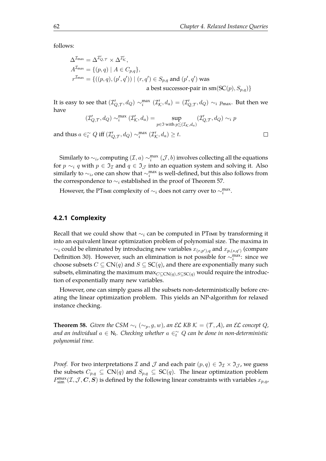$\Box$ 

follows:

$$
\Delta^{\mathcal{I}_{\text{max}}} = \Delta^{\mathcal{I}'_{Q,\mathcal{T}}} \times \Delta^{\mathcal{I}'_{\mathcal{K}}},
$$
  
\n
$$
A^{\mathcal{I}_{\text{max}}} = \{ (p,q) \mid A \in C_{p,q} \},
$$
  
\n
$$
r^{\mathcal{I}_{\text{max}}} = \{ ((p,q), (p',q')) \mid (r,q') \in S_{p,q} \text{ and } (p',q') \text{ was}
$$
  
\n
$$
\text{a best successor-pair in sm}(SC(p), S_{p,q}) \}
$$

It is easy to see that  $(\mathcal{I}'_{Q,\mathcal{T}},d_Q)\sim^{\max}_i(\mathcal{I}'_{\mathcal{K}},d_a)=(\mathcal{I}'_{Q,\mathcal{T}},d_Q)\sim_i p_{\text{max}}.$  But then we have

$$
(\mathcal{I}_{Q,\mathcal{T}}',d_Q)\sim_i^{\max}(\mathcal{I}_{\mathcal{K}}',d_a)=\sup_{p\in\mathfrak{I}\text{ with }p^<_{\sim}(\mathcal{I}_{\mathcal{K}},d_a)}(\mathcal{I}_{Q,\mathcal{T}}',d_Q)\sim_i p
$$

and thus  $a \in_{t}^{\infty} Q$  iff  $(\mathcal{I}_{Q,\mathcal{T}}',d_Q) \sim_{i}^{\max} (\mathcal{I}_{\mathcal{K}}',d_a) \geq t$ .

Similarly to  $\sim_i$ , computing  $(\mathcal{I},a) \sim_i^{\max} (\mathcal{J},b)$  involves collecting all the equations for  $p \sim_i q$  with  $p \in \mathfrak{I}_\mathcal{I}$  and  $q \in \mathfrak{I}_\mathcal{I}$  into an equation system and solving it. Also similarly to  $\sim_i$ , one can show that  $\sim_i^{\max}$  is well-defined, but this also follows from the correspondence to  $\sim_i$  established in the proof of Theorem [57.](#page-64-0)

However, the PTme complexity of  $\sim_i$  does not carry over to  $\sim_i^{\text{max}}$ .

### **4.2.1 Complexity**

Recall that we could show that  $\sim_i$  can be computed in PTIME by transforming it into an equivalent linear optimization problem of polynomial size. The maxima in  $\sim_i$  could be eliminated by introducing new variables  $x_{(r,p'),q}$  and  $x_{p,(s,q')}$  (compare Definition [30\)](#page-37-2). However, such an elimination is not possible for  $\sim_i^{\max}$ : since we choose subsets  $C \subseteq CN(q)$  and  $S \subseteq SC(q)$ , and there are exponentially many such subsets, eliminating the maximum max $_{C\subseteq CN(q),S\subseteq SC(q)}$  would require the introduction of exponentially many new variables.

However, one can simply guess all the subsets non-deterministically before creating the linear optimization problem. This yields an NP-algorithm for relaxed instance checking.

**Theorem 58.** *Given the CSM*  $\sim_i (\sim_p, g, w)$ *, an EL KB K* =  $(\mathcal{T}, \mathcal{A})$ *, an EL concept* Q*,* and an individual  $a \in \mathsf{N}_\mathsf{l}$ . Checking whether  $a \in_{t}^\sim Q$  can be done in non-deterministic *polynomial time.*

*Proof.* For two interpretations *I* and *J* and each pair  $(p, q) \in \mathcal{I}_{\mathcal{I}} \times \mathcal{I}_{\mathcal{I}}$ , we guess the subsets  $C_{p,q} \subseteq CN(q)$  and  $S_{p,q} \subseteq SC(q)$ . The linear optimization problem  $P_{\text{sim}}^{\text{max}}(\mathcal{I},\mathcal{J},\bm{C},\bm{S})$  is defined by the following linear constraints with variables  $x_{p,q}$ ,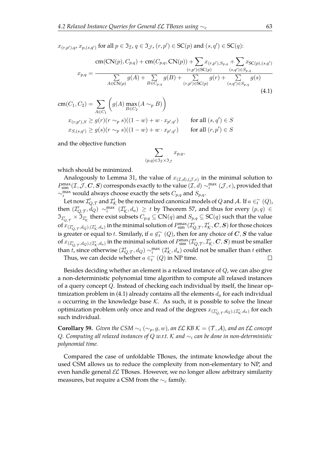$x_{(r,p'),q}$ ,  $x_{p,(s,q')}$  for all  $p \in \mathfrak{I}_{\mathcal{I}}$ ,  $q \in \mathfrak{I}_{\mathcal{J}}$ ,  $(r,p') \in \mathrm{SC}(p)$  and  $(s,q') \in \mathrm{SC}(q)$ :

$$
m(CN(p), C_{p,q}) + cm(C_{p,q}, CN(p)) + \sum x_{(r,p'), S_{p,q}} + \sum x_{SC(p),(s,q')}
$$

$$
x_{p,q} = \frac{\sum_{(r,p') \in SC(p)} g(A) + \sum_{B \in C_{p,q}} g(B) + \sum_{(r,p') \in SC(p)} g(r) + \sum_{(s,q') \in S_{p,q}} g(s)}{x_{(CN(p))}}}
$$

$$
m(C_1, C_2) = \sum_{A \in C_1} \left( g(A) \max_{B \in C_2} (A \sim_p B) \right)
$$

$$
x_{(r,p'), S} \ge g(r)(r \sim_p s)((1-w) + w \cdot x_{p',q'}) \qquad \text{for all } (s,q') \in S
$$

$$
x_{S,(s,q')} \ge g(s)(r \sim_p s)((1-w) + w \cdot x_{p',q'}) \qquad \text{for all } (r,p') \in S
$$

and the objective function

<span id="page-66-0"></span>
$$
\sum_{(p,q)\in\Im_{\mathcal{I}}\times\Im_{\mathcal{J}}}x_{p,q},
$$

which should be minimized.

Analogously to Lemma [31,](#page-37-1) the value of  $x_{(\mathcal{I},d),(\mathcal{J},e)}$  in the minimal solution to  $P_{\text{sim}}^{\text{max}}(\mathcal{I},\mathcal{J},\bm{C},\bm{S})$  corresponds exactly to the value  $(\mathcal{I},d)\sim_i^{\text{max}}(\mathcal{J},e)$ , provided that  $\sim_i^{\text{max}}$  would always choose exactly the sets  $C_{p,q}$  and  $S_{p,q}$ .

Let now  $\mathcal{I}_{Q,\mathcal{T}}'$  and  $\mathcal{I}_{\mathcal{K}}'$  be the normalized canonical models of  $Q$  and  $\mathcal{A}$ . If  $a\in^{\sim}_t(Q)$ , then  $(\mathcal{I}'_{Q,\mathcal{T}},\dot{d}_Q) \sim_i^{\max} (\mathcal{I}'_{\mathcal{K}},d_a) \geq t$  by Theorem [57,](#page-64-0) and thus for every  $(p,q) \in$  $\mathfrak{I}_{\mathcal{I}'_Q,\tau}\times\mathfrak{I}_{\mathcal{I}'_K}$  there exist subsets  $C_{p,q}\subseteq\mathsf{CN}(q)$  and  $S_{p,q}\subseteq\mathsf{SC}(q)$  such that the value of  $x_{(\mathcal{I}'_Q,\tau,d_Q),(\mathcal{I}'_K,d_a)}$  in the minimal solution of  $P_{\text{sim}}^{\text{max}}(\mathcal{I}'_{Q,\mathcal{T}},\mathcal{I}'_K,\bm{C},\bm{S})$  for those choices is greater or equal to t. Similarly, if  $a\not\in_{t}^{\sim}(Q)$ , then for any choice of  $\bm{C},\bm{S}$  the value of  $x_{(\mathcal{I}'_Q,\tau,d_Q),(\mathcal{I}'_K,d_a)}$  in the minimal solution of  $P_{\sf sim}^{\sf max}(\mathcal{I}'_{Q,\mathcal{T}},\mathcal{I}'_K,\bm{C},\bm{S})$  must be smaller than t, since otherwise  $(\mathcal{I}'_{Q,\mathcal{T}},d_Q)\sim^{\max}_i(\mathcal{I}'_{\mathcal{K}},d_a)$  could not be smaller than t either.  $\Box$ 

Thus, we can decide whether  $a \in_{t}^{\infty} (Q)$  in NP time.

Besides deciding whether an element is a relaxed instance of Q, we can also give a non-deterministic polynomial time algorithm to compute all relaxed instances of a query concept Q. Instead of checking each individual by itself, the linear op-timization problem in [\(4.1\)](#page-66-0) already contains all the elements  $d_a$  for each individual a occurring in the knowledge base  $K$ . As such, it is possible to solve the linear optimization problem only once and read of the degrees  $x_{(\mathcal{I}'_{Q,\mathcal{T}},d_Q),(\mathcal{I}'_{\mathcal{K}},d_a)}$  for each such individual.

**Corollary 59.** *Given the CSM*  $\sim_i (\sim_p, g, w)$ *, an EL KB K* =  $(\mathcal{T}, \mathcal{A})$ *, and an EL concept* Q*. Computing all relaxed instances of* Q *w.r.t.* K *and* ∼<sup>i</sup> *can be done in non-deterministic polynomial time.*

Compared the case of unfoldable TBoxes, the intimate knowledge about the used CSM allows us to reduce the complexity from non-elementary to NP, and even handle general  $\mathcal{EL}$  TBoxes. However, we no longer allow arbitrary similarity measures, but require a CSM from the  $\sim_c$  family.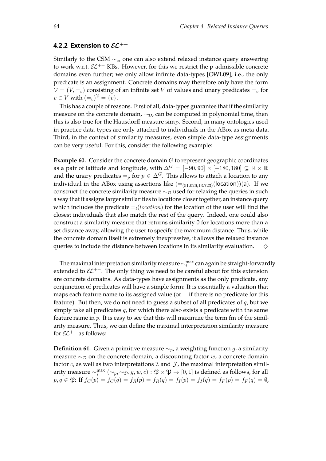### **4.2.2 Extension to** EL++

Similarly to the CSM  $\sim_{c}$ , one can also extend relaxed instance query answering to work w.r.t.  $\mathcal{EL}^{++}$  KBs. However, for this we restrict the p-admissible concrete domains even further; we only allow infinite data-types [\[OWL09\]](#page-111-3), i.e., the only predicate is an assignment. Concrete domains may therefore only have the form  $V = (V, =v)$  consisting of an infinite set V of values and unary predicates  $=_{v}$  for  $v \in V$  with  $(=_v)^{\mathcal{V}} = \{v\}.$ 

This has a couple of reasons. First of all, data-types guarantee that if the similarity measure on the concrete domain,  $\sim_{\mathcal{D}}$ , can be computed in polynomial time, then this is also true for the Hausdorff measure  $\sin p$ . Second, in many ontologies used in practice data-types are only attached to individuals in the ABox as meta data. Third, in the context of similarity measures, even simple data-type assignments can be very useful. For this, consider the following example:

**Example 60.** Consider the concrete domain G to represent geographic coordinates as a pair of latitude and longitude, with  $\Delta^G = [-90, 90] \times [-180, 180] \subseteq \mathbb{R} \times \mathbb{R}$ and the unary predicates  $=_p$  for  $p \in \Delta^G$ . This allows to attach a location to any individual in the ABox using assertions like  $(=(51.026, 13.723)(\text{location}))(a)$ . If we construct the concrete similarity measure  $\sim_{\mathcal{D}}$  used for relaxing the queries in such a way that it assigns larger similarities to locations closer together, an instance query which includes the predicate  $=$ <sub>[</sub>(location) for the location of the user will find the closest individuals that also match the rest of the query. Indeed, one could also construct a similarity measure that returns similarity 0 for locations more than a set distance away, allowing the user to specify the maximum distance. Thus, while the concrete domain itself is extremely inexpressive, it allows the relaxed instance queries to include the distance between locations in its similarity evaluation.  $\Diamond$ 

The maximal interpretation similarity measure  $\sim_i^{\max}$  can again be straight-forwardly extended to  $\mathcal{EL}^{++}$ . The only thing we need to be careful about for this extension are concrete domains. As data-types have assignments as the only predicate, any conjunction of predicates will have a simple form: It is essentially a valuation that maps each feature name to its assigned value (or  $\perp$  if there is no predicate for this feature). But then, we do not need to guess a subset of all predicates of  $q$ , but we simply take all predicates  $q$ , for which there also exists a predicate with the same feature name in p. It is easy to see that this will maximize the term fm of the similarity measure. Thus, we can define the maximal interpretation similarity measure for  $\mathcal{EL}^{++}$  as follows:

**Definition 61.** Given a primitive measure  $\sim_p$ , a weighting function g, a similarity measure  $~\sim_{\mathcal{D}}$  on the concrete domain, a discounting factor w, a concrete domain factor  $c$ , as well as two interpretations  $\mathcal I$  and  $\mathcal J$ , the maximal interpretation similarity measure  $\sim_i^{\max}(\sim_p,\sim_\mathcal{D},g,w,c):\mathfrak{P}\times\mathfrak{P}\to[0,1]$  is defined as follows, for all  $p, q \in \mathfrak{P}:$  If  $f_C(p) = f_C(q) = f_R(p) = f_R(q) = f_I(p) = f_I(q) = f_F(p) = f_F(q) = \emptyset$ ,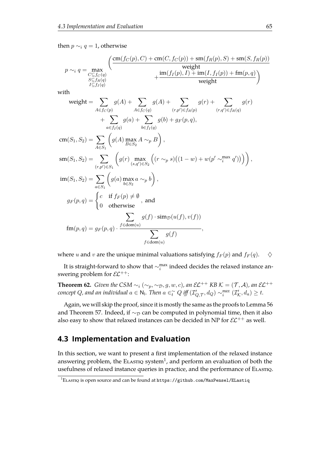then  $p \sim_i q = 1$ , otherwise

$$
p \sim_i q = \max_{\substack{C \subseteq f_C(q) \\ S \subseteq f_R(q) \\ I \subseteq f_I(q)}} \left( \frac{\text{cm}(f_C(p), C) + \text{cm}(C, f_C(p)) + \text{sm}(f_R(p), S) + \text{sm}(S, f_R(p))}{\text{weight}} \right)
$$

with

$$
\text{weight} = \sum_{A \in f_C(p)} g(A) + \sum_{A \in f_C(q)} g(A) + \sum_{(r,p') \in f_R(p)} g(r) + \sum_{(r,q') \in f_R(q)} g(r)
$$
  
+ 
$$
\sum_{a \in f_I(q)} g(a) + \sum_{b \in f_I(q)} g(b) + g_F(p,q),
$$
  

$$
\text{cm}(S_1, S_2) = \sum_{A \in S_1} \left( g(A) \max_{B \in S_2} A \sim_p B \right),
$$
  

$$
\text{sm}(S_1, S_2) = \sum_{(r,p') \in S_1} \left( g(r) \max_{(s,q') \in S_2} \left( (r \sim_p s) \left( (1-w) + w(p' \sim_i^{\max} q') \right) \right) \right),
$$
  

$$
\text{im}(S_1, S_2) = \sum_{a \in S_1} \left( g(a) \max_{b \in S_2} a \sim_p b \right),
$$
  

$$
g_F(p,q) = \begin{cases} c & \text{if } f_F(p) \neq \emptyset \\ 0 & \text{otherwise} \end{cases}, \text{ and}
$$
  

$$
\sum_{f \in \text{dom}(u)} g(f) \cdot \text{sim}_{\mathcal{D}}(u(f), v(f))
$$
  

$$
\text{fm}(p,q) = g_F(p,q) \cdot \frac{f \in \text{dom}(u)}{\sum_{f \in \text{dom}(u)} g(f)}
$$

where u and v are the unique minimal valuations satisfying  $f_F(p)$  and  $f_F(q)$ .  $\diamondsuit$ 

It is straight-forward to show that  $\sim_i^{\max}$  indeed decides the relaxed instance answering problem for  $\mathcal{EL}^{++}$ :

**Theorem 62.** *Given the CSM*  $\sim_i (\sim_p, \sim_p, g, w, c)$ *, an*  $\mathcal{EL}^{++}$  *KB*  $\mathcal{K} = (\mathcal{T}, \mathcal{A})$ *, an*  $\mathcal{EL}^{++}$ *concept Q, and an individual*  $a \in \mathbb{N}$ *. Then*  $a \in_{t}^{\infty} Q$  *iff*  $(\mathcal{I}_{Q,\mathcal{T}}',d_Q) \sim_{i}^{max} (\mathcal{I}_{\mathcal{K}}',d_a) \geq t$ *.* 

Again, we will skip the proof, since it is mostly the same as the proofs to Lemma [56](#page-63-0) and Theorem [57.](#page-64-0) Indeed, if  $\sim_{\mathcal{D}}$  can be computed in polynomial time, then it also also easy to show that relaxed instances can be decided in NP for  $\mathcal{EL}^{++}$  as well.

## **4.3 Implementation and Evaluation**

In this section, we want to present a first implementation of the relaxed instance answering problem, the ELAsriq system<sup>[1](#page-113-4)</sup>, and perform an evaluation of both the usefulness of relaxed instance queries in practice, and the performance of ELASTIQ.

 $1$ ELASTIQ is open source and can be found at <https://github.com/MaxPensel/ELastiq>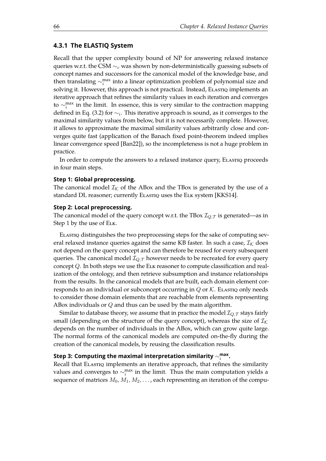## **4.3.1 The ELASTIQ System**

Recall that the upper complexity bound of NP for answering relaxed instance queries w.r.t. the CSM  $\sim_c$  was shown by non-deterministically guessing subsets of concept names and successors for the canonical model of the knowledge base, and then translating  $\sim_i^{\max}$  into a linear optimization problem of polynomial size and solving it. However, this approach is not practical. Instead, ELASTIQ implements an iterative approach that refines the similarity values in each iteration and converges to  $\sim_i^{\text{max}}$  in the limit. In essence, this is very similar to the contraction mapping defined in Eq. [\(3.2\)](#page-35-1) for  $\sim_i$ . This iterative approach is sound, as it converges to the maximal similarity values from below, but it is not necessarily complete. However, it allows to approximate the maximal similarity values arbitrarily close and converges quite fast (application of the Banach fxed point-theorem indeed implies linear convergence speed [\[Ban22\]](#page-107-2)), so the incompleteness is not a huge problem in practice.

In order to compute the answers to a relaxed instance query, Elasting proceeds in four main steps.

#### **Step 1: Global preprocessing.**

The canonical model  $\mathcal{I}_{\mathcal{K}}$  of the ABox and the TBox is generated by the use of a standard DL reasoner; currently Elastiques the Elk system [\[KKS14\]](#page-110-4).

#### **Step 2: Local preprocessing.**

The canonical model of the query concept w.r.t. the TBox  $\mathcal{I}_{Q,\mathcal{T}}$  is generated—as in Step 1 by the use of ELK.

ElastiЀ distinguishes the two preprocessing steps for the sake of computing several relaxed instance queries against the same KB faster. In such a case,  $\mathcal{I}_{K}$  does not depend on the query concept and can therefore be reused for every subsequent queries. The canonical model  $\mathcal{I}_{Q,T}$  however needs to be recreated for every query concept Q. In both steps we use the Elk reasoner to compute classifcation and realization of the ontology, and then retrieve subsumption and instance relationships from the results. In the canonical models that are built, each domain element corresponds to an individual or subconcept occurring in  $Q$  or  $K$ . Elastiq only needs to consider those domain elements that are reachable from elements representing ABox individuals or  $Q$  and thus can be used by the main algorithm.

Similar to database theory, we assume that in practice the model  $\mathcal{I}_{Q,\mathcal{T}}$  stays fairly small (depending on the structure of the query concept), whereas the size of  $\mathcal{I}_{K}$ depends on the number of individuals in the ABox, which can grow quite large. The normal forms of the canonical models are computed on-the-fy during the creation of the canonical models, by reusing the classifcation results.

# Step 3: Computing the maximal interpretation similarity  $\sim_i^{\sf max}$ .

Recall that ELASTIQ implements an iterative approach, that refines the similarity values and converges to  $\sim_i^{\text{max}}$  in the limit. Thus the main computation yields a sequence of matrices  $M_0, M_1, M_2, \ldots$ , each representing an iteration of the compu-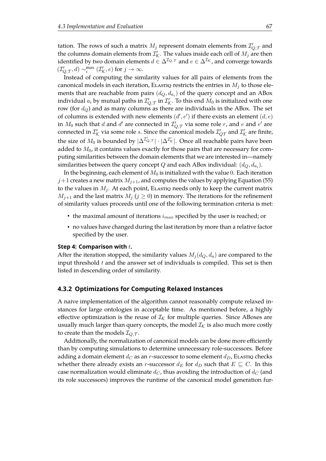tation. The rows of such a matrix  $M_j$  represent domain elements from  $\mathcal{I}_{Q,\mathcal{T}}'$  and the columns domain elements from  $\mathcal{I}'_\mathcal{K}$ . The values inside each cell of  $M_j$  are then identified by two domain elements  $d \in \Delta^{\mathcal{I}_{Q, \mathcal{T}}}$  and  $e \in \Delta^{\mathcal{I}_{\mathcal{K}}}$ , and converge towards  $(\mathcal{I}'_{Q,\mathcal{T}}, d) \sim_i^{\max} (\mathcal{I}'_{\mathcal{K}}, e)$  for  $j \to \infty$ .

Instead of computing the similarity values for all pairs of elements from the canonical models in each iteration, ELASTIQ restricts the entries in  $M_i$  to those elements that are reachable from pairs  $(d_Q, d_{a_i})$  of the query concept and an ABox individual  $a_i$  by mutual paths in  $\mathcal{I}_{Q,\mathcal{T}}'$  in  $\mathcal{I}_{\mathcal{K}}'$ . To this end  $M_0$  is initialized with one row (for  $d_Q$ ) and as many columns as there are individuals in the ABox. The set of columns is extended with new elements  $(d', e')$  if there exists an element  $(d, e)$ in  $M_0$  such that  $d$  and  $d'$  are connected in  $\mathcal{I}'_{Q,\mathcal{T}}$  via some role  $r$ , and  $e$  and  $e'$  are connected in  $\mathcal{I}'_\mathcal{K}$  via some role s. Since the canonical models  $\mathcal{I}'_{Q\mathcal{T}}$  and  $\mathcal{I}'_\mathcal{K}$  are finite, the size of  $M_0$  is bounded by  $|\Delta^{\mathcal{I}'_{Q,\mathcal{T}}}| \cdot |\Delta^{\mathcal{I}'_{K}}|$ . Once all reachable pairs have been added to  $M_0$ , it contains values exactly for those pairs that are necessary for computing similarities between the domain elements that we are interested in—namely similarities between the query concept  $Q$  and each ABox individual:  $(d_Q, d_{a_i})$ .

In the beginning, each element of  $M_0$  is initialized with the value 0. Each iteration  $j+1$  creates a new matrix  $M_{j+1}$ , and computes the values by applying Equation [\(55\)](#page-63-1) to the values in  $M_i$ . At each point, ELASTIQ needs only to keep the current matrix  $M_{j+1}$  and the last matrix  $M_j$  ( $j \geq 0$ ) in memory. The iterations for the refinement of similarity values proceeds until one of the following termination criteria is met:

- the maximal amount of iterations  $i_{max}$  specified by the user is reached; or
- no values have changed during the last iteration by more than a relative factor specified by the user.

#### **Step 4: Comparison with t.**

After the iteration stopped, the similarity values  $M_j(d_Q, d_a)$  are compared to the input threshold  $t$  and the answer set of individuals is compiled. This set is then listed in descending order of similarity.

#### **4.3.2 Optimizations for Computing Relaxed Instances**

A naive implementation of the algorithm cannot reasonably compute relaxed instances for large ontologies in acceptable time. As mentioned before, a highly effective optimization is the reuse of  $\mathcal{I}_{K}$  for multiple queries. Since ABoxes are usually much larger than query concepts, the model  $\mathcal{I}_{\mathcal{K}}$  is also much more costly to create than the models  $\mathcal{I}_{Q,T}$ .

Additionally, the normalization of canonical models can be done more efficiently than by computing simulations to determine unnecessary role-successors. Before adding a domain element  $d_C$  as an r-successor to some element  $d_D$ , ELASTIQ checks whether there already exists an *r*-successor  $d_E$  for  $d_D$  such that  $E \subseteq C$ . In this case normalization would eliminate  $d_C$ , thus avoiding the introduction of  $d_C$  (and its role successors) improves the runtime of the canonical model generation fur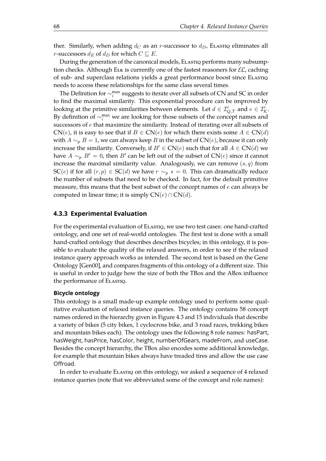ther. Similarly, when adding  $d_C$  as an r-successor to  $d_D$ , Elasting eliminates all *r*-successors  $d_E$  of  $d_D$  for which  $C \subseteq E$ .

During the generation of the canonical models, ELASTIQ performs many subsumption checks. Although ELK is currently one of the fastest reasoners for  $\mathcal{EL}$ , caching of sub- and superclass relations yields a great performance boost since ELASTIQ needs to access these relationships for the same class several times.

The Definition for  $\sim_i^{\max}$  suggests to iterate over all subsets of CN and SC in order to fnd the maximal similarity. This exponential procedure can be improved by looking at the primitive similarities between elements. Let  $d \in \mathcal{I}_{Q,\mathcal{T}}'$  and  $e \in \mathcal{I}_{\mathcal{K}}'.$ By definition of  $\sim_i^{\text{max}}$  we are looking for those subsets of the concept names and successors of e that maximize the similarity. Instead of iterating over all subsets of  $CN(e)$ , it is easy to see that if  $B \in CN(e)$  for which there exists some  $A \in CN(d)$ with  $A \sim_{p} B = 1$ , we can always keep B in the subset of CN(e), because it can only increase the similarity. Conversely, if  $B' \in CN(e)$  such that for all  $A \in CN(d)$  we have  $A \sim_p B' = 0$ , then  $B'$  can be left out of the subset of  $CN(e)$  since it cannot increase the maximal similarity value. Analogously, we can remove  $(s, q)$  from SC(e) if for all  $(r, p) \in \mathcal{SC}(d)$  we have  $r \sim_p s = 0$ . This can dramatically reduce the number of subsets that need to be checked. In fact, for the default primitive measure, this means that the best subset of the concept names of  $e$  can always be computed in linear time; it is simply  $CN(e) \cap CN(d)$ .

### **4.3.3 Experimental Evaluation**

For the experimental evaluation of ELASTIQ, we use two test cases: one hand-crafted ontology, and one set of real-world ontologies. The frst test is done with a small hand-crafted ontology that describes describes bicycles; in this ontology, it is possible to evaluate the quality of the relaxed answers, in order to see if the relaxed instance query approach works as intended. The second test is based on the Gene Ontology [\[Gen00\]](#page-109-3), and compares fragments of this ontology of a diferent size. This is useful in order to judge how the size of both the TBox and the ABox infuence the performance of ELASTIQ.

#### **Bicycle ontology**

This ontology is a small made-up example ontology used to perform some qualitative evaluation of relaxed instance queries. The ontology contains 58 concept names ordered in the hierarchy given in Figure [4.3](#page-72-0) and 15 individuals that describe a variety of bikes (5 city bikes, 1 cyclocross bike, and 3 road races, trekking bikes and mountain bikes each). The ontology uses the following 8 role names: hasPart, hasWeight, hasPrice, hasColor, height, numberOfGears, madeFrom, and useCase. Besides the concept hierarchy, the TBox also encodes some additional knowledge, for example that mountain bikes always have treaded tires and allow the use case Ofroad.

In order to evaluate Elastiq on this ontology, we asked a sequence of 4 relaxed instance queries (note that we abbreviated some of the concept and role names):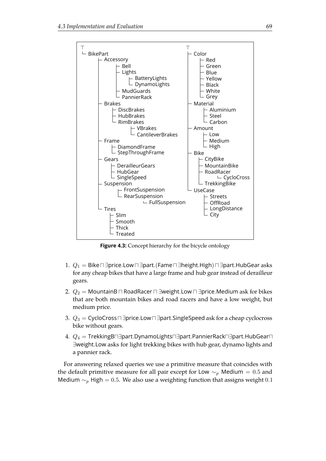

Figure 4.3: Concept hierarchy for the bicycle ontology

- 1.  $Q_1 =$  Bike $\sqcap \exists$ price.Low $\sqcap \exists$ part. $(\mathsf{Fame} \sqcap \exists \mathsf{height}. \mathsf{High}) \sqcap \exists$ part.HubGear asks for any cheap bikes that have a large frame and hub gear instead of derailleur gears.
- 2.  $Q_2$  = MountainB  $\Box$  RoadRacer  $\Box$  ∃weight.Low  $\Box$  ∃price.Medium ask for bikes that are both mountain bikes and road racers and have a low weight, but medium price.
- 3.  $Q_3$  = CycloCross  $\Box$  ∃price.Low  $\Box$  ∃part.SingleSpeed ask for a cheap cyclocross bike without gears.
- 4.  $Q_4$  = TrekkingB $\Box$ ∃part.DynamoLights $\Box$ ∃part.PannierRack $\Box$ ∃part.HubGear $\Box$ ∃weight.Low asks for light trekking bikes with hub gear, dynamo lights and a pannier rack.

For answering relaxed queries we use a primitive measure that coincides with the default primitive measure for all pair except for Low  $\sim_p$  Medium = 0.5 and Medium  $\sim_p$  High = 0.5. We also use a weighting function that assigns weight 0.1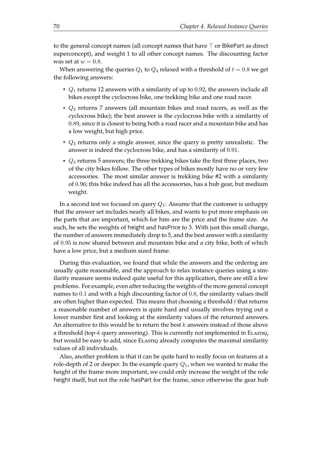to the general concept names (all concept names that have  $\top$  or BikePart as direct superconcept), and weight 1 to all other concept names. The discounting factor was set at  $w = 0.8$ .

When answering the queries  $Q_1$  to  $Q_4$  relaxed with a threshold of  $t = 0.8$  we get the following answers:

- $Q_1$  returns 12 answers with a similarity of up to 0.92, the answers include all bikes except the cyclocross bike, one trekking bike and one road racer.
- $Q_2$  returns 7 answers (all mountain bikes and road racers, as well as the cyclocross bike); the best answer is the cyclocross bike with a similarity of 0.89, since it is closest to being both a road racer and a mountain bike and has a low weight, but high price.
- $Q_3$  returns only a single answer, since the query is pretty unrealistic. The answer is indeed the cyclocross bike, and has a similarity of 0.91.
- $Q_4$  returns 5 answers; the three trekking bikes take the first three places, two of the city bikes follow. The other types of bikes mostly have no or very few accessories. The most similar answer is trekking bike #2 with a similarity of 0.96; this bike indeed has all the accessories, has a hub gear, but medium weight.

In a second test we focused on query  $Q_1$ : Assume that the customer is unhappy that the answer set includes nearly all bikes, and wants to put more emphasis on the parts that are important, which for him are the price and the frame size. As such, he sets the weights of height and hasPrice to 3. With just this small change, the number of answers immediately drop to 5, and the best answer with a similarity of 0.95 is now shared between and mountain bike and a city bike, both of which have a low price, but a medium sized frame.

During this evaluation, we found that while the answers and the ordering are usually quite reasonable, and the approach to relax instance queries using a similarity measure seems indeed quite useful for this application, there are still a few problems. For example, even after reducing the weights of the more general concept names to 0.1 and with a high discounting factor of 0.8, the similarity values itself are often higher than expected. This means that choosing a threshold  $t$  that returns a reasonable number of answers is quite hard and usually involves trying out a lower number frst and looking at the similarity values of the returned answers. An alternative to this would be to return the best  $k$  answers instead of those above a threshold (top-k query answering). This is currently not implemented in Elastiq, but would be easy to add, since ELASTIQ already computes the maximal similarity values of all individuals.

Also, another problem is that it can be quite hard to really focus on features at a role-depth of 2 or deeper. In the example query  $Q_1$ , when we wanted to make the height of the frame more important, we could only increase the weight of the role height itself, but not the role hasPart for the frame, since otherwise the gear hub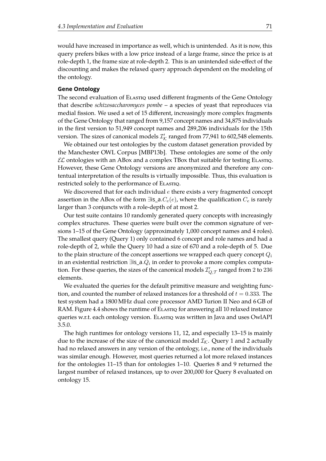would have increased in importance as well, which is unintended. As it is now, this query prefers bikes with a low price instead of a large frame, since the price is at role-depth 1, the frame size at role-depth 2. This is an unintended side-efect of the discounting and makes the relaxed query approach dependent on the modeling of the ontology.

#### **Gene Ontology**

The second evaluation of ELASTIQ used different fragments of the Gene Ontology that describe *schizosaccharomyces pombe* – a species of yeast that reproduces via medial fission. We used a set of 15 different, increasingly more complex fragments of the Gene Ontology that ranged from 9,157 concept names and 34,875 individuals in the frst version to 51,949 concept names and 289,206 individuals for the 15th version. The sizes of canonical models  $\mathcal{I}'_\mathcal{K}$  ranged from 77,941 to 602,548 elements.

We obtained our test ontologies by the custom dataset generation provided by the Manchester OWL Corpus [\[MBP13b\]](#page-111-0). These ontologies are some of the only  $\mathcal{EL}$  ontologies with an ABox and a complex TBox that suitable for testing Elastiq. However, these Gene Ontology versions are anonymized and therefore any contentual interpretation of the results is virtually impossible. Thus, this evaluation is restricted solely to the performance of ELASTIQ.

We discovered that for each individual  $e$  there exists a very fragmented concept assertion in the ABox of the form  $\exists$ is\_a. $C_e(e)$ , where the qualification  $C_e$  is rarely larger than 3 conjuncts with a role-depth of at most 2.

Our test suite contains 10 randomly generated query concepts with increasingly complex structures. These queries were built over the common signature of versions 1–15 of the Gene Ontology (approximately 1,000 concept names and 4 roles). The smallest query (Query 1) only contained 6 concept and role names and had a role-depth of 2, while the Query 10 had a size of 670 and a role-depth of 5. Due to the plain structure of the concept assertions we wrapped each query concept  $Q_i$ in an existential restriction ∃is\_a. $Q_i$  in order to provoke a more complex computation. For these queries, the sizes of the canonical models  $\mathcal{I}_{Q,\mathcal{T}}'$  ranged from 2 to 236 elements.

We evaluated the queries for the default primitive measure and weighting function, and counted the number of relaxed instances for a threshold of  $t = 0.333$ . The test system had a 1800 MHz dual core processor AMD Turion II Neo and 6 GB of RAM. Figure [4.4](#page-75-0) shows the runtime of Elastiq for answering all 10 relaxed instance queries w.r.t. each ontology version. ELASTIQ was written in Java and uses OwlAPI 3.5.0.

The high runtimes for ontology versions 11, 12, and especially 13–15 is mainly due to the increase of the size of the canonical model  $\mathcal{I}_{\mathcal{K}}$ . Query 1 and 2 actually had no relaxed answers in any version of the ontology, i.e., none of the individuals was similar enough. However, most queries returned a lot more relaxed instances for the ontologies 11–15 than for ontologies 1–10. Queries 8 and 9 returned the largest number of relaxed instances, up to over 200,000 for Query 8 evaluated on ontology 15.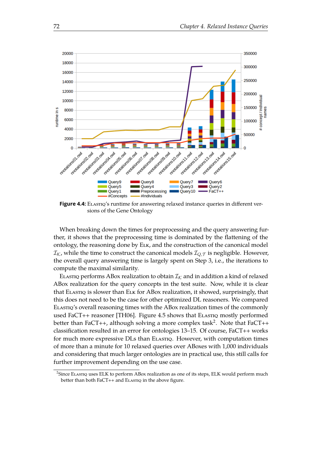<span id="page-75-0"></span>

**Figure 4.4:** ELASTIQ's runtime for answering relaxed instance queries in different versions of the Gene Ontology

When breaking down the times for preprocessing and the query answering further, it shows that the preprocessing time is dominated by the fattening of the ontology, the reasoning done by Elk, and the construction of the canonical model  $I_{\mathcal{K}}$ , while the time to construct the canonical models  $I_{Q,\mathcal{T}}$  is negligible. However, the overall query answering time is largely spent on Step 3, i.e., the iterations to compute the maximal similarity.

ELASTIQ performs ABox realization to obtain  $\mathcal{I}_k$  and in addition a kind of relaxed ABox realization for the query concepts in the test suite. Now, while it is clear that ElastiЀ is slower than Elk for ABox realization, it showed, surprisingly, that this does not need to be the case for other optimized DL reasoners. We compared ELASTIQ'S overall reasoning times with the ABox realization times of the commonly used FaCT++ reasoner [\[TH06\]](#page-113-0). Figure [4.5](#page-76-0) shows that ELAsting mostly performed better than FaCT++, although solving a more complex task<sup>[2](#page-113-1)</sup>. Note that FaCT++ classifcation resulted in an error for ontologies 13–15. Of course, FaCT++ works for much more expressive DLs than ELASTIQ. However, with computation times of more than a minute for 10 relaxed queries over ABoxes with 1,000 individuals and considering that much larger ontologies are in practical use, this still calls for further improvement depending on the use case.

 ${}^{2}$ Since Elastiq uses ELK to perform ABox realization as one of its steps, ELK would perform much better than both FaCT++ and ELASTIQ in the above figure.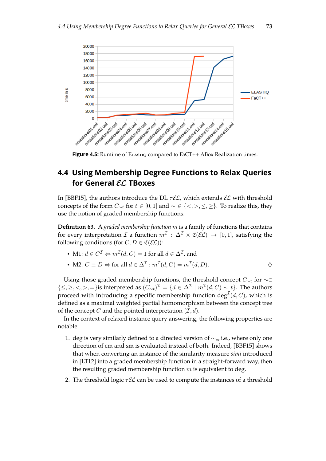<span id="page-76-2"></span><span id="page-76-0"></span>

**Figure 4.5:** Runtime of ELASTIQ compared to FaCT++ ABox Realization times.

## **4.4 Using Membership Degree Functions to Relax Queries for General** EL **TBoxes**

In [\[BBF15\]](#page-106-0), the authors introduce the DL  $\tau \mathcal{EL}$ , which extends  $\mathcal{EL}$  with threshold concepts of the form  $C_{\sim t}$  for  $t \in [0,1]$  and  $\sim \in \{<,>,\leq,\geq\}$ . To realize this, they use the notion of graded membership functions:

<span id="page-76-1"></span>**Defnition 63.** A *graded membership function* m is a family of functions that contains for every interpretation  $\mathcal I$  a function  $m^{\mathcal I}: \Delta^{\mathcal I} \times \mathfrak{C}(\mathcal{EL}) \to [0,1]$ , satisfying the following conditions (for  $C, D \in \mathfrak{C}(\mathcal{EL})$ ):

• M1: 
$$
d \in C^{\mathcal{I}} \Leftrightarrow m^{\mathcal{I}}(d, C) = 1
$$
 for all  $d \in \Delta^{\mathcal{I}}$ , and

• M2: 
$$
C \equiv D \Leftrightarrow
$$
 for all  $d \in \Delta^{\mathcal{I}} : m^{\mathcal{I}}(d, C) = m^{\mathcal{I}}(d, D)$ .

Using those graded membership functions, the threshold concept  $C_{\sim t}$  for  $\sim \in$ {≤, ≥, <, >, =}is interpreted as  $(C_{\sim t})^{\mathcal{I}} = \{d \in \Delta^{\mathcal{I}} \mid m^{\mathcal{I}}(d, C) \sim t\}$ . The authors proceed with introducing a specific membership function  $\deg^{\mathcal{I}}(d,C)$ , which is defned as a maximal weighted partial homomorphism between the concept tree of the concept C and the pointed interpretation  $(\mathcal{I}, d)$ .

In the context of relaxed instance query answering, the following properties are notable:

- 1. deg is very similarly defined to a directed version of  $\sim_c$ , i.e., where only one direction of cm and sm is evaluated instead of both. Indeed, [\[BBF15\]](#page-106-0) shows that when converting an instance of the similarity measure *simi* introduced in [\[LT12\]](#page-110-0) into a graded membership function in a straight-forward way, then the resulting graded membership function  $m$  is equivalent to deg.
- 2. The threshold logic  $\tau \mathcal{EL}$  can be used to compute the instances of a threshold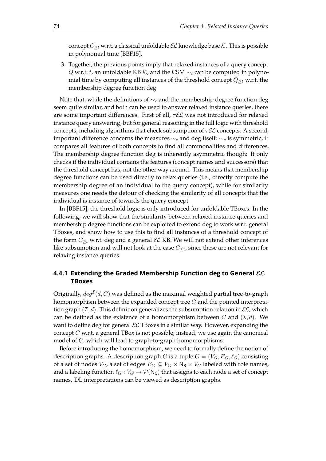<span id="page-77-0"></span>concept  $C_{\geq t}$  w.r.t. a classical unfoldable  $\mathcal{EL}$  knowledge base  $\mathcal{K}$ . This is possible in polynomial time [\[BBF15\]](#page-106-0).

3. Together, the previous points imply that relaxed instances of a query concept Q w.r.t. t, an unfoldable KB K, and the CSM  $\sim_i$  can be computed in polynomial time by computing all instances of the threshold concept  $Q_{\geq t}$  w.r.t. the membership degree function deg.

Note that, while the definitions of  $\sim_c$  and the membership degree function deg seem quite similar, and both can be used to answer relaxed instance queries, there are some important differences. First of all,  $\tau \mathcal{EL}$  was not introduced for relaxed instance query answering, but for general reasoning in the full logic with threshold concepts, including algorithms that check subsumption of  $\tau \mathcal{EL}$  concepts. A second, important difference concerns the measures  $\sim_c$  and deg itself:  $\sim_c$  is symmetric, it compares all features of both concepts to fnd all commonalities and diferences. The membership degree function deg is inherently asymmetric though: It only checks if the individual contains the features (concept names and successors) that the threshold concept has, not the other way around. This means that membership degree functions can be used directly to relax queries (i.e., directly compute the membership degree of an individual to the query concept), while for similarity measures one needs the detour of checking the similarity of all concepts that the individual is instance of towards the query concept.

In [\[BBF15\]](#page-106-0), the threshold logic is only introduced for unfoldable TBoxes. In the following, we will show that the similarity between relaxed instance queries and membership degree functions can be exploited to extend deg to work w.r.t. general TBoxes, and show how to use this to fnd all instances of a threshold concept of the form  $C_{\geq t}$  w.r.t. deg and a general  $\mathcal{EL}$  KB. We will not extend other inferences like subsumption and will not look at the case  $C_{\leq t}$ , since these are not relevant for relaxing instance queries.

### **4.4.1 Extending the Graded Membership Function deg to General** EL **TBoxes**

Originally,  $deg^{\mathcal{I}}(d,C)$  was defined as the maximal weighted partial tree-to-graph homomorphism between the expanded concept tree  $C$  and the pointed interpretation graph  $(\mathcal{I}, d)$ . This definition generalizes the subsumption relation in  $\mathcal{EL}$ , which can be defined as the existence of a homomorphism between C and  $(\mathcal{I}, d)$ . We want to define deg for general  $\mathcal{EL}$  TBoxes in a similar way. However, expanding the concept  $C$  w.r.t. a general TBox is not possible; instead, we use again the canonical model of C, which will lead to graph-to-graph homomorphisms.

Before introducing the homomorphism, we need to formally define the notion of description graphs. A description graph G is a tuple  $G = (V_G, E_G, \ell_G)$  consisting of a set of nodes  $V_G$ , a set of edges  $E_G \subseteq V_G \times N_R \times V_G$  labeled with role names, and a labeling function  $\ell_G : V_G \to \mathcal{P}(\mathsf{N}_\mathsf{C})$  that assigns to each node a set of concept names. DL interpretations can be viewed as description graphs.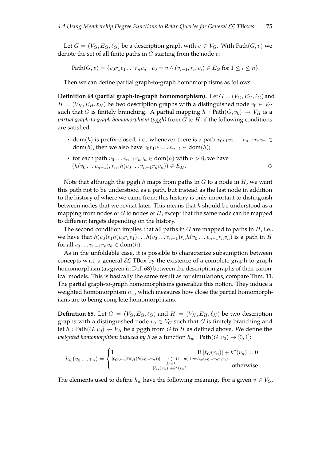Let  $G = (V_G, E_G, \ell_G)$  be a description graph with  $v \in V_G$ . With Path $(G, v)$  we denote the set of all finite paths in  $G$  starting from the node  $v$ :

Path
$$
(G, v) = \{v_0r_1v_1 \dots r_nv_n \mid v_0 = v \land (v_{i-1}, r_i, v_i) \in E_G \text{ for } 1 \le i \le n\}
$$

Then we can define partial graph-to-graph homomorphisms as follows:

**Definition 64 (partial graph-to-graph homomorphism).** Let  $G = (V_G, E_G, \ell_G)$  and  $H = (V_H, E_H, \ell_H)$  be two description graphs with a distinguished node  $v_0 \in V_G$ such that G is finitely branching. A partial mapping  $h : Path(G, v_0) \rightarrow V_H$  is a *partial graph-to-graph homomorphism (pggh)* from G to H, if the following conditions are satisfied:

- dom(h) is prefix-closed, i.e., whenever there is a path  $v_0r_1v_1 \ldots v_{n-1}r_nv_n \in$ dom(*h*), then we also have  $v_0r_1v_1 \dots v_{n-1} \in \text{dom}(h)$ ;
- for each path  $v_0 \ldots v_{n-1} r_n v_n \in \text{dom}(h)$  with  $n > 0$ , we have  $(h(v_0 \ldots v_{n-1}), r_n, h(v_0 \ldots v_{n-1}r_nv_n)) \in E_H.$

Note that although the pggh  $h$  maps from paths in  $G$  to a node in  $H$ , we want this path not to be understood as a path, but instead as the last node in addition to the history of where we came from; this history is only important to distinguish between nodes that we revisit later. This means that  $h$  should be understood as a mapping from nodes of  $G$  to nodes of  $H$ , except that the same node can be mapped to diferent targets depending on the history.

The second condition implies that all paths in  $G$  are mapped to paths in  $H$ , i.e., we have that  $h(v_0)r_1h(v_0r_1v_1)...h(v_0...v_{n-1})r_nh(v_0...v_{n-1}r_nv_n)$  is a path in H for all  $v_0 \dots v_{n-1} r_n v_n \in \text{dom}(h)$ .

As in the unfoldable case, it is possible to characterize subsumption between concepts w.r.t. a general  $\mathcal{EL}$  TBox by the existence of a complete graph-to-graph homomorphism (as given in Def. [68\)](#page-81-0) between the description graphs of their canonical models. This is basically the same result as for simulations, compare Thm. [11.](#page-20-0) The partial graph-to-graph homomorphisms generalize this notion. They induce a weighted homomorphism  $h_w$ , which measures how close the partial homomorphisms are to being complete homomorphisms.

<span id="page-78-0"></span>**Definition 65.** Let  $G = (V_G, E_G, \ell_G)$  and  $H = (V_H, E_H, \ell_H)$  be two description graphs with a distinguished node  $v_0 \in V_G$  such that G is finitely branching and let  $h: \text{Path}(G, v_0) \rightarrow V_H$  be a pggh from G to H as defined above. We define the *weighted homomorphism induced by* h as a function  $h_w$ :  $Path(G, v_0) \rightarrow [0, 1]$ :

$$
h_w(v_0...v_n) = \begin{cases} 1 & \text{if } |\ell_G(v_n)| + k^*(v_n) = 0\\ \frac{|\ell_G(v_n) \cap \ell_H(h(v_0...v_n))| + \sum\limits_{1 \le i \le k} (1-w) + w \cdot h_w(v_0...v_nv_iv_i)}{|\ell_G(v_n)| + k^*(v_n)} & \text{otherwise} \end{cases}
$$

The elements used to define  $h_w$  have the following meaning. For a given  $v \in V_G$ ,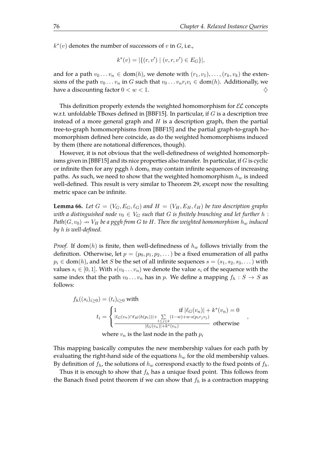,

<span id="page-79-1"></span> $k^*(v)$  denotes the number of successors of v in  $G$ , i.e.,

$$
k^*(v) = |\{(r, v') \mid (v, r, v') \in E_G\}|,
$$

and for a path  $v_0 \dots v_n \in \text{dom}(h)$ , we denote with  $(r_1, v_1), \dots, (r_k, v_k)$  the extensions of the path  $v_0 \ldots v_n$  in G such that  $v_0 \ldots v_n r_i v_i \in \text{dom}(h)$ . Additionally, we have a discounting factor  $0 < w < 1$ .

This definition properly extends the weighted homomorphism for  $E$  concepts w.r.t. unfoldable TBoxes defined in [\[BBF15\]](#page-106-0). In particular, if  $G$  is a description tree instead of a more general graph and  $H$  is a description graph, then the partial tree-to-graph homomorphisms from [\[BBF15\]](#page-106-0) and the partial graph-to-graph homomorphism defined here coincide, as do the weighted homomorphisms induced by them (there are notational diferences, though).

However, it is not obvious that the well-definedness of weighted homomorph-isms given in [\[BBF15\]](#page-106-0) and its nice properties also transfer. In particular, if  $G$  is cyclic or infinite then for any pggh h dom<sub>h</sub> may contain infinite sequences of increasing paths. As such, we need to show that the weighted homomorphism  $h_w$  is indeed well-defined. This result is very similar to Theorem [29,](#page-37-0) except now the resulting metric space can be infinite.

<span id="page-79-0"></span>**Lemma 66.** Let  $G = (V_G, E_G, \ell_G)$  and  $H = (V_H, E_H, \ell_H)$  be two description graphs *with a distinguished node*  $v_0 \in V_G$  *such that* G *is finitely branching and let further* h : *Path*( $G$ ,  $v_0$ )  $\rightarrow$   $V_H$  *be a pggh from*  $G$  *to*  $H$ . Then the weighted homomorphism  $h_w$  induced *by* h *is well-defned.*

*Proof.* If dom(h) is finite, then well-definedness of  $h_w$  follows trivially from the definition. Otherwise, let  $p = (p_0, p_1, p_2, ...)$  be a fixed enumeration of all paths  $p_i \in \text{dom}(h)$ , and let S be the set of all infinite sequences  $s = (s_1, s_2, s_3, \dots)$  with values  $s_i \in [0, 1]$ . With  $s(v_0 \ldots v_n)$  we denote the value  $s_i$  of the sequence with the same index that the path  $v_0 \dots v_n$  has in p. We define a mapping  $f_h : S \to S$  as follows:

$$
f_h((s_i)_{i\geq 0}) = (t_i)_{i\geq 0} \text{ with}
$$
  

$$
t_i = \begin{cases} 1 & \text{if } |\ell_G(v_n)| + k^*(v_n) = 0\\ \frac{|\ell_G(v_n) \cap \ell_H(h(p_i))| + \sum\limits_{1 \leq j \leq k} (1 - w) + w \cdot s(p_i r_j v_j)}{|\ell_G(v_n)| + k^*(v_n)} & \text{otherwise} \end{cases}
$$

where  $v_n$  is the last node in the path  $p_i$ 

This mapping basically computes the new membership values for each path by evaluating the right-hand side of the equations  $h_w$  for the old membership values. By definition of  $f_h$ , the solutions of  $h_w$  correspond exactly to the fixed points of  $f_h$ .

Thus it is enough to show that  $f_h$  has a unique fixed point. This follows from the Banach fixed point theorem if we can show that  $f_h$  is a contraction mapping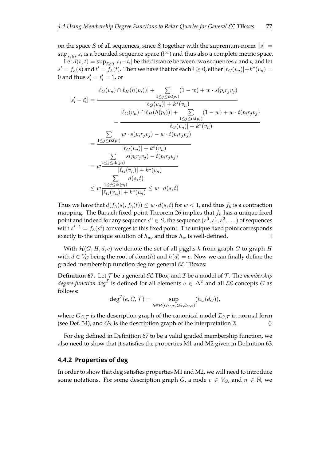on the space S of all sequences, since S together with the supremum-norm  $||s|| =$  $\sup_{s_i \in s} s_i$  is a bounded sequence space  $(l^{\infty})$  and thus also a complete metric space.

Let  $d(s,t) = \sup_{i \geq 0} |s_i-t_i|$  be the distance between two sequences  $s$  and  $t$ , and let  $s' = f_h(s)$  and  $t' = \bar{f}_h(t)$ . Then we have that for each  $i \geq 0$ , either  $|\ell_G(v_n)| + k^*(v_n) =$ 0 and thus  $s_i' = t_i' = 1$ , or

$$
|s'_{i} - t'_{i}| = \frac{|\ell_{G}(v_{n}) \cap \ell_{H}(h(p_{i}))| + \sum_{1 \leq j \leq \text{rk}(p_{i})} (1 - w) + w \cdot s(p_{i}r_{j}v_{j})}{|\ell_{G}(v_{n})| + k^{*}(v_{n})} - \frac{|\ell_{G}(v_{n}) \cap \ell_{H}(h(p_{i}))| + \sum_{1 \leq j \leq \text{rk}(p_{i})} (1 - w) + w \cdot t(p_{i}r_{j}v_{j})}{|\ell_{G}(v_{n})| + k^{*}(v_{n})} - \frac{\sum_{1 \leq j \leq \text{rk}(p_{i})} w \cdot s(p_{i}r_{j}v_{j}) - w \cdot t(p_{i}r_{j}v_{j})}{|\ell_{G}(v_{n})| + k^{*}(v_{n})}}{\sum_{1 \leq j \leq \text{rk}(p_{i})} s(p_{i}r_{j}v_{j}) - t(p_{i}r_{j}v_{j})}
$$
  

$$
= w \frac{1 \leq j \leq \text{rk}(p_{i})}{|\ell_{G}(v_{n})| + k^{*}(v_{n})} - \frac{\sum_{1 \leq j \leq \text{rk}(p_{i})} d(s, t)}{d(s, t)}
$$
  

$$
\leq w \frac{1 \leq j \leq \text{rk}(p_{i})}{|\ell_{G}(v_{n})| + k^{*}(v_{n})} \leq w \cdot d(s, t)
$$

Thus we have that  $d(f_h(s), f_h(t)) \leq w \cdot d(s,t)$  for  $w < 1$ , and thus  $f_h$  is a contraction mapping. The Banach fixed-point Theorem [26](#page-34-0) implies that  $f_h$  has a unique fixed point and indeed for any sequence  $s^0 \in S$ , the sequence  $(s^0, s^1, s^2, \dots)$  of sequences with  $s^{i+1} = f_h(s^i)$  converges to this fixed point. The unique fixed point corresponds exactly to the unique solution of  $h_w$ , and thus  $h_w$  is well-defined.  $\Box$ 

With  $H(G, H, d, e)$  we denote the set of all pgghs h from graph G to graph H with  $d \in V_G$  being the root of dom(h) and  $h(d) = e$ . Now we can finally define the graded membership function deg for general  $\mathcal{EL}$  TBoxes:

<span id="page-80-0"></span>**Definition 67.** Let  $T$  be a general  $\mathcal{EL}$  TBox, and  $\mathcal{I}$  be a model of  $T$ . The *membership degree function*  $deg^{\mathcal{I}}$  is defined for all elements  $e \in \Delta^{\mathcal{I}}$  and all  $\mathcal{EL}$  concepts  $C$  as follows:

$$
\deg^{\mathcal{I}}(e, C, \mathcal{T}) = \sup_{h \in \mathcal{H}(G_{C, \mathcal{T}}, G_{\mathcal{I}}, d_{C}, e)} (h_{w}(d_{C})),
$$

where  $G_{C,\mathcal{T}}$  is the description graph of the canonical model  $\mathcal{I}_{C,\mathcal{T}}$  in normal form (see Def. [34\)](#page-39-0), and  $G_{\mathcal{I}}$  is the description graph of the interpretation  $\mathcal{I}$ .

For deg defned in Defnition [67](#page-80-0) to be a valid graded membership function, we also need to show that it satisfies the properties M1 and M2 given in Definition [63.](#page-76-1)

#### **4.4.2 Properties of deg**

In order to show that deg satisfes properties M1 and M2, we will need to introduce some notations. For some description graph G, a node  $v \in V_G$ , and  $n \in \mathbb{N}$ , we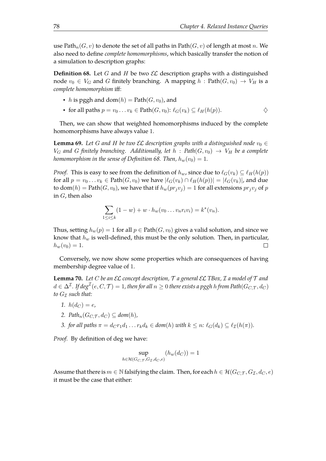use Path<sub>n</sub>(G, v) to denote the set of all paths in Path(G, v) of length at most n. We also need to defne *complete homomorphisms*, which basically transfer the notion of a simulation to description graphs:

<span id="page-81-0"></span>**Definition 68.** Let G and H be two  $\mathcal{EL}$  description graphs with a distinguished node  $v_0 \in V_G$  and G finitely branching. A mapping  $h : \text{Path}(G, v_0) \to V_H$  is a *complete homomorphism* if:

- h is pggh and dom $(h)$  = Path $(G, v_0)$ , and
- for all paths  $p = v_0 \dots v_k \in \text{Path}(G, v_0)$ :  $\ell_G(v_k) \subseteq \ell_H(h(p)).$   $\diamondsuit$

Then, we can show that weighted homomorphisms induced by the complete homomorphisms have always value 1.

<span id="page-81-2"></span>**Lemma 69.** Let G and H be two  $\mathcal{EL}$  description graphs with a distinguished node  $v_0 \in$  $V_G$  and G finitely branching. Additionally, let  $h$ : Path $(G, v_0) \rightarrow V_H$  be a complete *homomorphism in the sense of Definition* [68.](#page-81-0) *Then,*  $h_w(v_0) = 1$ .

*Proof.* This is easy to see from the definition of  $h_w$ , since due to  $\ell_G(v_k) \subseteq \ell_H(h(p))$ for all  $p = v_0 \ldots v_k \in \text{Path}(G, v_0)$  we have  $|\ell_G(v_k) \cap \ell_H(h(p))| = |\ell_G(v_k)|$ , and due to dom(h) = Path(G,  $v_0$ ), we have that if  $h_w(pr_jv_j) = 1$  for all extensions  $pr_jv_j$  of p in  $G$ , then also

$$
\sum_{1 \le i \le k} (1 - w) + w \cdot h_w(v_0 \dots v_n r_i v_i) = k^*(v_n).
$$

Thus, setting  $h_w(p) = 1$  for all  $p \in \text{Path}(G, v_0)$  gives a valid solution, and since we know that  $h_w$  is well-defined, this must be the only solution. Then, in particular,  $h_w(v_0) = 1.$  $\Box$ 

Conversely, we now show some properties which are consequences of having membership degree value of 1.

<span id="page-81-1"></span>**Lemma 70.** *Let* C *be an* EL *concept description,* T *a general* EL *TBox,* I *a model of* T *and*  $d\in \Delta^\mathcal{I}$ . If  $\deg^{\mathcal{I}}(e,C,\mathcal{T})=1$ , then for all  $n\geq 0$  there exists a pggh  $h$  from Path $(G_{C,\mathcal{T}},d_C)$ *to*  $G_{\mathcal{I}}$  *such that:* 

- *1.*  $h(d_C) = e$ ,
- 2. Path<sub>n</sub>( $G_{C,T}$ , $d_{C}$ )  $\subset$  dom(h),
- *3. for all paths*  $\pi = d_{CT_1}d_1 \dots r_k d_k \in dom(h)$  *with*  $k \leq n$ :  $\ell_G(d_k) \subseteq \ell_{\mathcal{I}}(h(\pi))$ .

Proof. By definition of deg we have:

$$
\sup_{h \in \mathcal{H}(G_{C,\mathcal{T}},G_{\mathcal{I}},d_{C},e)} (h_{w}(d_{C})) = 1
$$

Assume that there is  $m \in \mathbb{N}$  falsifying the claim. Then, for each  $h \in \mathcal{H}(G_{C,T}, G_T, d_C, e)$ it must be the case that either: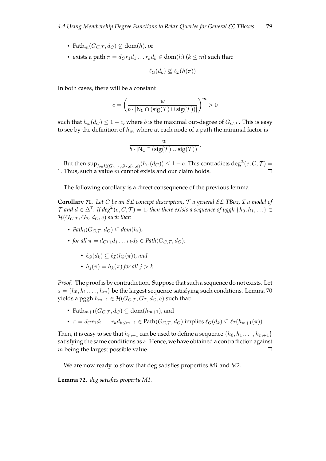- Path $_m(G_{C,T}, d_C) \not\subseteq$  dom(h), or
- exists a path  $\pi = d_C r_1 d_1 \dots r_k d_k \in \text{dom}(h)$   $(k \leq m)$  such that:

$$
\ell_G(d_k) \not\subseteq \ell_{\mathcal{I}}(h(\pi))
$$

In both cases, there will be a constant

$$
c = \left(\frac{w}{b\cdot |\mathsf{N}_{\mathsf{C}} \cap (\mathrm{sig}(\mathcal{T}) \cup \mathrm{sig}(\mathcal{T}))|} \right)^m > 0
$$

such that  $h_w(d_C) \leq 1 - c$ , where b is the maximal out-degree of  $G_{C,\mathcal{T}}$ . This is easy to see by the definition of  $h_w$ , where at each node of a path the minimal factor is

<span id="page-82-0"></span>
$$
\frac{w}{b\cdot |\mathsf{N}_{\mathsf{C}}\cap (\mathrm{sig}(\mathcal{T})\cup \mathrm{sig}(\mathcal{T}))|}.
$$

But then  $\sup_{h\in \mathcal{H}(G_{C,\mathcal{T}},G_{\mathcal{T}},d_C,e)}(h_w(d_C))\leq 1-c.$  This contradicts  $\deg^{\mathcal{I}}(e,C,\mathcal{T})=$ 1. Thus, such a value  $\dot{m}$  cannot exists and our claim holds.  $\Box$ 

The following corollary is a direct consequence of the previous lemma.

**Corollary 71.** *Let* C *be an* EL *concept description,* T *a general* EL *TBox,* I *a model of*  $\mathcal T$  and  $d\in \Delta^\mathcal I.$  If  $\deg^\mathcal I(e,C,\mathcal T)=1$ , then there exists a sequence of pggh  $\{h_0,h_1,\ldots\}\in\mathcal T$  $\mathcal{H}(G_{C,T}, G_{\mathcal{I}}, d_C, e)$  *such that:* 

- $Path_i(G_{CT}, d_C) \subseteq dom(h_i)$ ,
- *for all*  $\pi = d_C r_1 d_1 \dots r_k d_k \in \text{Path}(G_{C,\mathcal{T}}, d_C)$ :
	- $\ell_G(d_k) \subset \ell_{\mathcal{T}}(h_k(\pi))$ , and
	- $h_i(\pi) = h_k(\pi)$  *for all*  $j > k$ *.*

*Proof.* The proof is by contradiction. Suppose that such a sequence do not exists. Let  $s = \{h_0, h_1, \ldots, h_m\}$  be the largest sequence satisfying such conditions. Lemma [70](#page-81-1) yields a pggh  $h_{m+1} \in \mathcal{H}(G_{C,\mathcal{T}}, G_{\mathcal{I}}, d_C, e)$  such that:

- Path $_{m+1}(G_C, \tau, d_C) \subseteq \text{dom}(h_{m+1})$ , and
- $\pi = d_{C}r_1d_1 \dots r_k d_{k\leq m+1} \in \text{Path}(G_{C,\mathcal{T}}, d_C)$  implies  $\ell_G(d_k) \subseteq \ell_{\mathcal{I}}(h_{m+1}(\pi)).$

Then, it is easy to see that  $h_{m+1}$  can be used to define a sequence  $\{h_0, h_1, \ldots, h_{m+1}\}$ satisfying the same conditions as s. Hence, we have obtained a contradiction against m being the largest possible value.  $\Box$ 

We are now ready to show that deg satisfies properties  $M1$  and  $M2$ .

**Lemma 72.** *deg satisfes property M1.*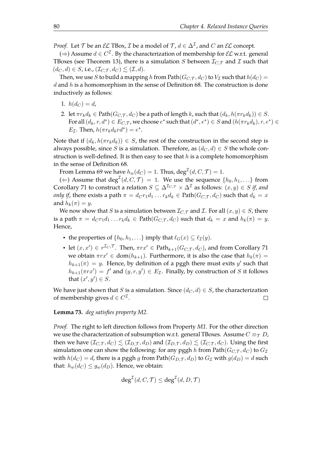*Proof.* Let  $\mathcal T$  be an  $\mathcal EL$  TBox,  $\mathcal I$  be a model of  $\mathcal T$ ,  $d \in \Delta^{\mathcal I}$ , and  $C$  an  $\mathcal EL$  concept.

(⇒) Assume  $d \in C^{\mathcal{I}}$ . By the characterization of membership for  $\mathcal{EL}$  w.r.t. general TBoxes (see Theorem [13\)](#page-21-0), there is a simulation S between  $\mathcal{I}_{C,\mathcal{T}}$  and I such that  $(d_C, d) \in S$ , i.e.,  $(\mathcal{I}_{C,\mathcal{T}}, d_C) \lesssim (\mathcal{I}, d)$ .

Then, we use S to build a mapping h from Path( $G_{C,T}$ ,  $d_C$ ) to  $V_{\mathcal{I}}$  such that  $h(d_C)$  =  $d$  and  $h$  is a homomorphism in the sense of Definition [68.](#page-81-0) The construction is done inductively as follows:

- 1.  $h(d_C) = d$ ,
- 2. let  $\pi r_k d_k \in \text{Path}(G_{C,\mathcal{T}}, d_C)$  be a path of length k, such that  $(d_k, h(\pi r_k d_k)) \in S$ . For all  $(d_k, r, d^*) \in E_{C,\mathcal{T}}$ , we choose  $e^*$  such that  $(d^*, e^*) \in S$  and  $(h(\pi r_k d_k), r, e^*) \in S$  $E_{\mathcal{I}}$ . Then,  $h(\pi r_k d_k r d^*) = e^*$ .

Note that if  $(d_k, h(\pi r_k d_k)) \in S$ , the rest of the construction in the second step is always possible, since S is a simulation. Therefore, as  $(d_C, d) \in S$  the whole construction is well-defined. It is then easy to see that  $h$  is a complete homomorphism in the sense of Definition [68.](#page-81-0)

From Lemma [69](#page-81-2) we have  $h_w(d_C)=1$ . Thus,  $\mathrm{deg}^\mathcal{I}(d,C,\mathcal{T})=1.$ 

(←) Assume that  $\text{deg}^{\mathcal{I}}(d, C, \mathcal{T}) = 1$ . We use the sequence  $\{h_0, h_1, \ldots\}$  from Corollary [71](#page-82-0) to construct a relation  $S \subseteq \Delta^{\mathcal{I}_{C,\mathcal{T}}} \times \Delta^{\mathcal{I}}$  as follows:  $(x, y) \in S$  *if, and only if*, there exists a path  $\pi = d_C r_1 d_1 \dots r_k d_k \in \text{Path}(G_{C,\mathcal{T}}, d_C)$  such that  $d_k = x$ and  $h_k(\pi) = y$ .

We now show that S is a simulation between  $\mathcal{I}_{C,\mathcal{T}}$  and  $\mathcal{I}$ . For all  $(x, y) \in S$ , there is a path  $\pi = d_{C}r_{1}d_{1} \ldots r_{k}d_{k} \in \text{Path}(G_{C,\mathcal{T}},d_{C})$  such that  $d_{k} = x$  and  $h_{k}(\pi) = y$ . Hence,

- the properties of  $\{h_0, h_1, ...\}$  imply that  $\ell_G(x) \subseteq \ell_{\mathcal{I}}(y)$ .
- let  $(x, x') \in r^{\mathcal{I}_C, \mathcal{T}}$ . Then,  $\pi r x' \in \text{Path}_{k+1}(G_{C, \mathcal{T}}, d_C)$ , and from Corollary [71](#page-82-0) we obtain  $\pi rx' \in \text{dom}(h_{k+1})$ . Furthermore, it is also the case that  $h_k(\pi) =$  $h_{k+1}(\pi) = y$ . Hence, by definition of a pggh there must exits y' such that  $h_{k+1}(\pi rx') = f'$  and  $(y, r, y') \in E_{\mathcal{I}}$ . Finally, by construction of S it follows that  $(x', y') \in S$ .

We have just shown that S is a simulation. Since  $(d_C, d) \in S$ , the characterization of membership gives  $d \in C^{\mathcal{I}}$ .  $\Box$ 

#### **Lemma 73.** *deg satisfes property M2.*

*Proof.* The right to left direction follows from Property *M1*. For the other direction we use the characterization of subsumption w.r.t. general TBoxes. Assume  $C \equiv_{\mathcal{T}} D$ , then we have  $(\mathcal{I}_{C,T}, d_C) \lesssim (\mathcal{I}_{D,T}, d_D)$  and  $(\mathcal{I}_{D,T}, d_D) \lesssim (\mathcal{I}_{C,T}, d_C)$ . Using the first simulation one can show the following: for any pggh h from Path( $G_{C,T}$ ,  $d_C$ ) to  $G_{\mathcal{I}}$ with  $h(d_C) = d$ , there is a pggh g from Path $(G_{D,T}, d_D)$  to  $G_{\mathcal{I}}$  with  $g(d_D) = d$  such that:  $h_w(d_C) \leq g_w(d_D)$ . Hence, we obtain:

$$
\deg^{\mathcal{I}}(d, C, \mathcal{T}) \le \deg^{\mathcal{I}}(d, D, \mathcal{T})
$$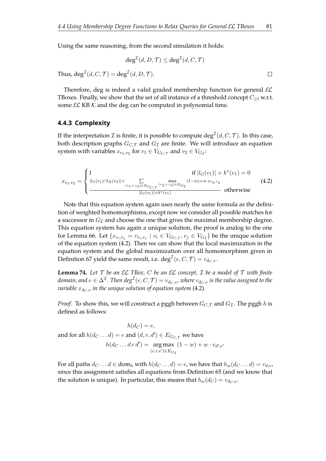Using the same reasoning, from the second simulation it holds:

$$
\deg^{\mathcal{I}}(d, D, \mathcal{T}) \le \deg^{\mathcal{I}}(d, C, \mathcal{T})
$$
  
Thus,  $\deg^{\mathcal{I}}(d, C, \mathcal{T}) = \deg^{\mathcal{I}}(d, D, \mathcal{T}).$ 

Therefore, deg is indeed a valid graded membership function for general  $\mathcal{EL}$ TBoxes. Finally, we show that the set of all instance of a threshold concept  $C_{\geq t}$  w.r.t. some  $\mathcal{EL}$  KB  $\mathcal K$  and the deg can be computed in polynomial time.

#### **4.4.3 Complexity**

If the interpretation  ${\cal I}$  is finite, it is possible to compute  ${\rm deg}^{\cal I}(d,C,{\cal T}).$  In this case, both description graphs  $G_{C,T}$  and  $G_{\mathcal{I}}$  are finite. We will introduce an equation system with variables  $x_{v_1,v_2}$  for  $v_1 \in V_{G_{C,\mathcal{T}}}$  and  $v_2 \in V_{G_{\mathcal{I}}}\$ :

<span id="page-84-0"></span>
$$
x_{v_1,v_2} = \begin{cases} 1 & \text{if } |l_G(v_1)| + k^*(v_1) = 0\\ \frac{|l_G(v_1) \cap l_H(v_2)| + \sum_{(v_1, v, v_3) \in E_{G_{C, \mathcal{T}}}} (v_2, v, v_4) \in E_{G_{\mathcal{T}}}}{(v_1, v_2)} \\ \frac{|l_G(v_1)| + k^*(v_1)}{|l_G(v_1)| + k^*(v_1)} & \text{otherwise} \end{cases}
$$
(4.2)

Note that this equation system again uses nearly the same formula as the defnition of weighted homomorphisms, except now we consider all possible matches for a successor in  $G_{\mathcal{I}}$  and choose the one that gives the maximal membership degree. This equation system has again a unique solution, the proof is analog to the one for Lemma [66.](#page-79-0) Let  $\{x_{v_i,v_j} = v_{v_i,v_j} \mid v_i \in V_{G_{C,\mathcal{T}}}, v_j \in V_{G_{\mathcal{I}}}\}$  be the unique solution of the equation system [\(4.2\)](#page-84-0). Then we can show that the local maximization in the equation system and the global maximization over all homomorphism given in Definition [67](#page-80-0) yield the same result, i.e.  $\mathrm{deg}^\mathcal{I}(e, C, \mathcal{T}) = v_{d_C,e}.$ 

**Lemma 74.** Let  $\mathcal T$  be an  $\mathcal EL$   $TBox$ ,  $C$  be an  $\mathcal EL$  concept,  $\mathcal I$  be a model of  $\mathcal T$  with finite domain, and  $e\in \Delta^\mathcal{I}$ . Then  $deg^\mathcal{I}(e,C,\mathcal{T})=v_{d_C,e}$ , where  $v_{d_C,e}$  is the value assigned to the *variable*  $x_{d_C,e}$  *in the unique solution of equation system* [\(4.2\)](#page-84-0).

*Proof.* To show this, we will construct a pggh between  $G_{C,\mathcal{T}}$  and  $G_{\mathcal{I}}$ . The pggh h is defined as follows:

$$
h(d_C) = e,
$$
  
and for all  $h(d_C \dots d) = e$  and  $(d, r, d') \in E_{G_{C, \mathcal{T}}}$  we have  

$$
h(d_C \dots d \, r \, d') = \underset{(e, r, e') \in E_{G_{\mathcal{T}}}}{\arg \max} (1 - w) + w \cdot v_{d', e'}
$$

For all paths  $d_C \dots d \in \text{dom}_h$  with  $h(d_C \dots d) = e$ , we have that  $h_w(d_C \dots d) = v_{d,e}$ , since this assignment satisfes all equations from Defnition [65](#page-78-0) (and we know that the solution is unique). In particular, this means that  $h_w(d_C) = v_{d_C, e}$ .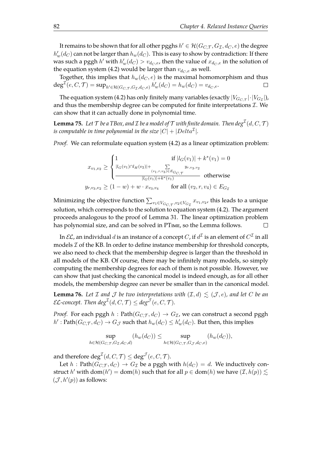It remains to be shown that for all other pgghs  $h' \in \mathcal{H}(G_{C,\mathcal{T}},G_{\mathcal{I}},d_C,e)$  the degree  $h'_w(d_C)$  can not be larger than  $h_w(d_C)$ . This is easy to show by contradiction: If there was such a pggh  $h'$  with  $h'_w(d_C) > v_{d_C,e}$ , then the value of  $x_{d_C,e}$  in the solution of the equation system [\(4.2\)](#page-84-0) would be larger than  $v_{d_C, e}$  as well.

Together, this implies that  $h_w(d_C, e)$  is the maximal homomorphism and thus  $\deg^{\mathcal{I}}(e, C, \mathcal{T}) = \sup_{h' \in \mathcal{H}(G_{C, \mathcal{T}}, G_{\mathcal{I}}, d_{C}, e)} h'_{w}(d_{C}) = h_{w}(d_{C}) = v_{d_{C}, e}.$  $\Box$ 

The equation system [\(4.2\)](#page-84-0) has only finitely many variables (exactly  $|V_{G_{C,\mathcal{T}}}| \cdot |V_{G_{\mathcal{I}}}|)$  , and thus the membership degree can be computed for finite interpretations  $I$ . We can show that it can actually done in polynomial time.

**Lemma 75.** Let  $\mathcal T$  be a TBox, and  $\mathcal I$  be a model of  $\mathcal T$  with finite domain. Then  $\deg^{\mathcal I}(d, C, \mathcal T)$ *is computable in time polynomial in the size*  $|C| + |Delta^{\mathcal{I}}|.$ 

*Proof.* We can reformulate equation system [\(4.2\)](#page-84-0) as a linear optimization problem:

$$
x_{v_1, v_2} \ge \begin{cases} 1 & \text{if } |l_G(v_1)| + k^*(v_1) = 0\\ |l_G(v_1) \cap l_H(v_2)| + \sum_{(v_1, v, v_3) \in E_{G_C, \mathcal{T}}} y_{r, v_3, v_2} \\ \frac{1}{|l_G(v_1)| + k^*(v_1)} & \text{otherwise} \end{cases}
$$
  

$$
y_{r, v_3, v_2} \ge (1 - w) + w \cdot x_{v_3, v_4} \quad \text{for all } (v_2, r, v_4) \in E_{G_{\mathcal{T}}}
$$

Minimizing the objective function  $\sum_{v_1 \in V_{G_{C,\mathcal{T}}}, v_2 \in V_{G_{\mathcal{I}}}} x_{v_1,v_2}$ , this leads to a unique solution, which corresponds to the solution to equation system [\(4.2\)](#page-84-0). The argument proceeds analogous to the proof of Lemma [31.](#page-37-1) The linear optimization problem has polynomial size, and can be solved in PTIME, so the Lemma follows.  $\Box$ 

In  $\mathcal{EL}$ , an individual  $d$  is an instance of a concept  $C$ , if  $d^\mathcal{I}$  is an element of  $C^\mathcal{I}$  in all models  $\mathcal I$  of the KB. In order to define instance membership for threshold concepts, we also need to check that the membership degree is larger than the threshold in all models of the KB. Of course, there may be infnitely many models, so simply computing the membership degrees for each of them is not possible. However, we can show that just checking the canonical model is indeed enough, as for all other models, the membership degree can never be smaller than in the canonical model.

**Lemma 76.** Let *I* and *J* be two interpretations with  $(I, d) \leq (J, e)$ , and let *C* be an *EL*-concept. Then  $deg^{\mathcal{I}}(d, C, \mathcal{T}) \leq deg^{\mathcal{J}}(e, C, \mathcal{T})$ .

*Proof.* For each pggh h : Path( $G_{CT}$ ,  $d_C$ )  $\rightarrow$   $G_{\mathcal{I}}$ , we can construct a second pggh  $h'$ : Path $(G_{C,\mathcal{T}},d_C)\to G_{\mathcal{J}}$  such that  $h_w(d_C)\leq h'_w(d_C)$ . But then, this implies

$$
\sup_{h \in \mathcal{H}(G_{C,\mathcal{T}}, G_{\mathcal{T}}, d_{C}, d)} (h_{w}(d_{C})) \leq \sup_{h \in \mathcal{H}(G_{C,\mathcal{T}}, G_{\mathcal{T}}, d_{C}, e)} (h_{w}(d_{C})),
$$

and therefore  $\text{deg}^{\mathcal{I}}(d, C, \mathcal{T}) \leq \text{deg}^{\mathcal{J}}(e, C, \mathcal{T}).$ 

Let  $h$ : Path $(G_{C,T}, d_C) \rightarrow G_T$  be a pggh with  $h(d_C) = d$ . We inductively construct h' with dom $(h') = \text{dom}(h)$  such that for all  $p \in \text{dom}(h)$  we have  $(\mathcal{I}, h(p)) \lesssim$  $(\mathcal{J}, h'(p))$  as follows: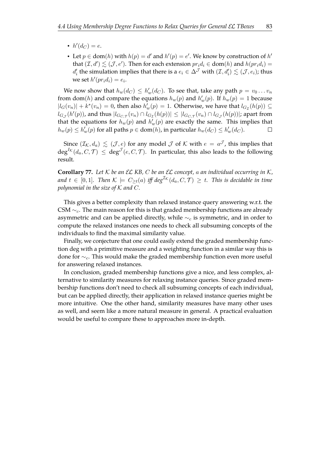- $h'(d_C) = e$ .
- Let  $p \in \text{dom}(h)$  with  $h(p) = d'$  and  $h'(p) = e'$ . We know by construction of  $h'$ that  $(\mathcal{I}, d') \lesssim (\mathcal{J}, e')$ . Then for each extension  $pr_i d_i \in \text{dom}(h)$  and  $h(pr_i d_i) =$  $d'_i$  the simulation implies that there is a  $e_i\in \Delta^\mathcal{J}$  with  $(\mathcal{I},d'_i)\lesssim (\mathcal{J},e_i)$ ; thus we set  $h'(pr_i d_i) = e_i$ .

We now show that  $h_w(d_C) \leq h'_w(d_C)$ . To see that, take any path  $p = v_0 \dots v_n$ from dom(*h*) and compare the equations  $h_w(p)$  and  $h'_w(p)$ . If  $h_w(p) = 1$  because  $|l_G(v_n)| + k^*(v_n) = 0$ , then also  $h'_w(p) = 1$ . Otherwise, we have that  $l_{G_{\mathcal{I}}}(h(p)) \subseteq$  $l_{G_\mathcal{J}}(h'(p))$ , and thus  $|l_{G_{C,\mathcal{T}}}(v_n) \cap l_{G_{\mathcal{I}}}(h(p))| \leq |l_{G_{C,\mathcal{T}}}(v_n) \cap l_{G_{\mathcal{J}}}(h(p))|$ ; apart from that the equations for  $h_w(p)$  and  $h'_w(p)$  are exactly the same. This implies that  $h_w(p) \le h'_w(p)$  for all paths  $p \in \text{dom}(h)$ , in particular  $h_w(d_C) \le h'_w(d_C)$ .  $\Box$ 

Since  $(\mathcal{I}_{\mathcal{K}},d_a)\,\lesssim\,(\mathcal{J},e)$  for any model  $\mathcal J$  of  $\mathcal K$  with  $e\,=\,a^{\mathcal J}$ , this implies that  $\deg^{I_{\mathcal{K}}}(d_a,C,\mathcal{T})\ \leq\ \deg^{\mathcal{T}}(e,C,\mathcal{T}).$  In particular, this also leads to the following result.

**Corollary 77.** *Let* K *be an* EL *KB,* C *be an* EL *concept,* a *an individual occurring in* K*,* and  $t \in [0,1]$ . Then  $K \models C_{\geq t}(a)$  iff  $deg^{\mathcal{I}_{\mathcal{K}}}(d_a, C, \mathcal{T}) \geq t$ . This is decidable in time *polynomial in the size of* K *and* C*.*

This gives a better complexity than relaxed instance query answering w.r.t. the CSM  $\sim_c$ . The main reason for this is that graded membership functions are already asymmetric and can be applied directly, while  $\sim_c$  is symmetric, and in order to compute the relaxed instances one needs to check all subsuming concepts of the individuals to find the maximal similarity value.

Finally, we conjecture that one could easily extend the graded membership function deg with a primitive measure and a weighting function in a similar way this is done for  $\sim_c$ . This would make the graded membership function even more useful for answering relaxed instances.

In conclusion, graded membership functions give a nice, and less complex, alternative to similarity measures for relaxing instance queries. Since graded membership functions don't need to check all subsuming concepts of each individual, but can be applied directly, their application in relaxed instance queries might be more intuitive. One the other hand, similarity measures have many other uses as well, and seem like a more natural measure in general. A practical evaluation would be useful to compare these to approaches more in-depth.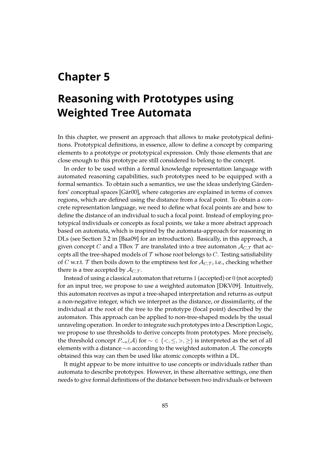## <span id="page-88-1"></span><span id="page-88-0"></span>**Chapter 5**

# **Reasoning with Prototypes using Weighted Tree Automata**

In this chapter, we present an approach that allows to make prototypical defnitions. Prototypical defnitions, in essence, allow to defne a concept by comparing elements to a prototype or prototypical expression. Only those elements that are close enough to this prototype are still considered to belong to the concept.

In order to be used within a formal knowledge representation language with automated reasoning capabilities, such prototypes need to be equipped with a formal semantics. To obtain such a semantics, we use the ideas underlying Gärdenfors' conceptual spaces [\[Gär00\]](#page-109-0), where categories are explained in terms of convex regions, which are defned using the distance from a focal point. To obtain a concrete representation language, we need to defne what focal points are and how to defne the distance of an individual to such a focal point. Instead of employing prototypical individuals or concepts as focal points, we take a more abstract approach based on automata, which is inspired by the automata-approach for reasoning in DLs (see Section 3.2 in [\[Baa09\]](#page-106-1) for an introduction). Basically, in this approach, a given concept C and a TBox T are translated into a tree automaton  $\mathcal{A}_{C,T}$  that accepts all the tree-shaped models of  $T$  whose root belongs to  $C$ . Testing satisfiability of C w.r.t.  $\mathcal T$  then boils down to the emptiness test for  $\mathcal A_{C,\mathcal T}$ , i.e., checking whether there is a tree accepted by  $A_{C,T}$ .

Instead of using a classical automaton that returns 1 (accepted) or 0 (not accepted) for an input tree, we propose to use a weighted automaton [\[DKV09\]](#page-108-0). Intuitively, this automaton receives as input a tree-shaped interpretation and returns as output a non-negative integer, which we interpret as the distance, or dissimilarity, of the individual at the root of the tree to the prototype (focal point) described by the automaton. This approach can be applied to non-tree-shaped models by the usual unraveling operation. In order to integrate such prototypes into a Description Logic, we propose to use thresholds to derive concepts from prototypes. More precisely, the threshold concept  $P_{\sim n}(A)$  for  $\sim \in \{<,\leq,>,\geq\}$  is interpreted as the set of all elements with a distance  $\sim$ n according to the weighted automaton A. The concepts obtained this way can then be used like atomic concepts within a DL.

It might appear to be more intuitive to use concepts or individuals rather than automata to describe prototypes. However, in these alternative settings, one then needs to give formal definitions of the distance between two individuals or between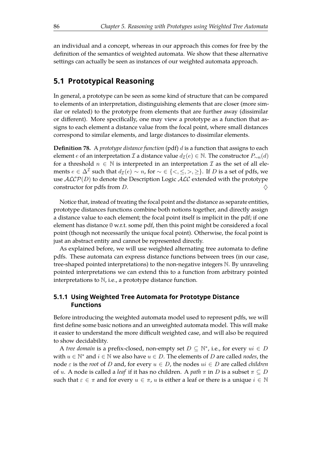an individual and a concept, whereas in our approach this comes for free by the defnition of the semantics of weighted automata. We show that these alternative settings can actually be seen as instances of our weighted automata approach.

## **5.1 Prototypical Reasoning**

In general, a prototype can be seen as some kind of structure that can be compared to elements of an interpretation, distinguishing elements that are closer (more similar or related) to the prototype from elements that are further away (dissimilar or diferent). More specifcally, one may view a prototype as a function that assigns to each element a distance value from the focal point, where small distances correspond to similar elements, and large distances to dissimilar elements.

**Defnition 78.** A *prototype distance function* (pdf) d is a function that assigns to each element *e* of an interpretation *I* a distance value  $d_{\mathcal{I}}(e) \in \mathbb{N}$ . The constructor  $P_{\sim n}(d)$ for a threshold  $n \in \mathbb{N}$  is interpreted in an interpretation  $\mathcal I$  as the set of all elements  $e \in \Delta^{\mathcal{I}}$  such that  $d_{\mathcal{I}}(e) \sim n$ , for  $\sim \in \{<,\leq,>,\geq\}$ . If  $D$  is a set of pdfs, we use  $ALCP(D)$  to denote the Description Logic  $ALC$  extended with the prototype constructor for pdfs from D.  $\diamondsuit$ 

Notice that, instead of treating the focal point and the distance as separate entities, prototype distances functions combine both notions together, and directly assign a distance value to each element; the focal point itself is implicit in the pdf; if one element has distance 0 w.r.t. some pdf, then this point might be considered a focal point (though not necessarily the unique focal point). Otherwise, the focal point is just an abstract entity and cannot be represented directly.

As explained before, we will use weighted alternating tree automata to defne pdfs. These automata can express distance functions between trees (in our case, tree-shaped pointed interpretations) to the non-negative integers N. By unraveling pointed interpretations we can extend this to a function from arbitrary pointed interpretations to  $\mathbb N$ , i.e., a prototype distance function.

### **5.1.1 Using Weighted Tree Automata for Prototype Distance Functions**

Before introducing the weighted automata model used to represent pdfs, we will frst defne some basic notions and an unweighted automata model. This will make it easier to understand the more difficult weighted case, and will also be required to show decidability.

A *tree domain* is a prefix-closed, non-empty set  $D \subseteq \mathbb{N}^*$ , i.e., for every  $ui \in D$ with  $u \in \mathbb{N}^*$  and  $i \in \mathbb{N}$  we also have  $u \in D$ . The elements of D are called *nodes*, the node  $\varepsilon$  is the *root* of D and, for every  $u \in D$ , the nodes  $ui \in D$  are called *children* of u. A node is called a *leaf* if it has no children. A *path*  $\pi$  in D is a subset  $\pi \subseteq D$ such that  $\varepsilon \in \pi$  and for every  $u \in \pi$ , u is either a leaf or there is a unique  $i \in \mathbb{N}$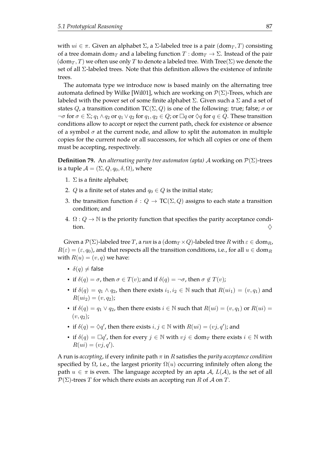with  $ui \in \pi$ . Given an alphabet Σ, a Σ-labeled tree is a pair  $(\text{dom}_T, T)$  consisting of a tree domain dom<sub>T</sub> and a labeling function  $T : dom_T \to \Sigma$ . Instead of the pair  $(\text{dom}_T, T)$  we often use only T to denote a labeled tree. With Tree( $\Sigma$ ) we denote the set of all Σ-labeled trees. Note that this defnition allows the existence of infnite trees.

The automata type we introduce now is based mainly on the alternating tree automata defined by Wilke [\[Wil01\]](#page-113-2), which are working on  $\mathcal{P}(\Sigma)$ -Trees, which are labeled with the power set of some finite alphabet  $\Sigma$ . Given such a  $\Sigma$  and a set of states Q, a transition condition  $TC(\Sigma, Q)$  is one of the following: true; false;  $\sigma$  or  $\neg \sigma$  for  $\sigma \in \Sigma$ ;  $q_1 \wedge q_2$  or  $q_1 \vee q_2$  for  $q_1, q_2 \in Q$ ; or  $\Box q$  or  $\Diamond q$  for  $q \in Q$ . These transition conditions allow to accept or reject the current path, check for existence or absence of a symbol  $\sigma$  at the current node, and allow to split the automaton in multiple copies for the current node or all successors, for which all copies or one of them must be accepting, respectively.

**Definition 79.** An *alternating parity tree automaton (apta)* A working on  $\mathcal{P}(\Sigma)$ -trees is a tuple  $\mathcal{A} = (\Sigma, Q, q_0, \delta, \Omega)$ , where

- 1.  $\Sigma$  is a finite alphabet;
- 2. *Q* is a finite set of states and  $q_0 \in Q$  is the initial state;
- 3. the transition function  $\delta: Q \to \text{TC}(\Sigma, Q)$  assigns to each state a transition condition; and
- 4.  $\Omega$ :  $Q \rightarrow \mathbb{N}$  is the priority function that specifies the parity acceptance condition.  $\diamondsuit$

Given a  $\mathcal{P}(\Sigma)$ -labeled tree T, a run is a  $(\text{dom}_T \times Q)$ -labeled tree R with  $\varepsilon \in \text{dom}_R$ ,  $R(\varepsilon) = (\varepsilon, q_0)$ , and that respects all the transition conditions, i.e., for all  $u \in dom_R$ with  $R(u) = (v, q)$  we have:

- $\delta(q) \neq \text{false}$
- if  $\delta(q) = \sigma$ , then  $\sigma \in T(v)$ ; and if  $\delta(q) = \neg \sigma$ , then  $\sigma \notin T(v)$ ;
- if  $\delta(q) = q_1 \wedge q_2$ , then there exists  $i_1, i_2 \in \mathbb{N}$  such that  $R(u_i) = (v, q_1)$  and  $R(u_i) = (v, q_2);$
- if  $\delta(q) = q_1 \vee q_2$ , then there exists  $i \in \mathbb{N}$  such that  $R(ui) = (v, q_1)$  or  $R(ui) =$  $(v, q_2)$ ;
- if  $\delta(q) = \Diamond q'$ , then there exists  $i, j \in \mathbb{N}$  with  $R(ui) = (vj, q')$ ; and
- if  $\delta(q) = \Box q'$ , then for every  $j \in \mathbb{N}$  with  $vj \in dom_T$  there exists  $i \in \mathbb{N}$  with  $R(ui) = (vj, q').$

A run is *accepting*, if every infinite path  $\pi$  in R satisfies the *parity acceptance condition* specified by  $\Omega$ , i.e., the largest priority  $\Omega(u)$  occurring infinitely often along the path  $u \in \pi$  is even. The language accepted by an apta  $\mathcal{A}, L(\mathcal{A})$ , is the set of all  $P(\Sigma)$ -trees T for which there exists an accepting run R of A on T.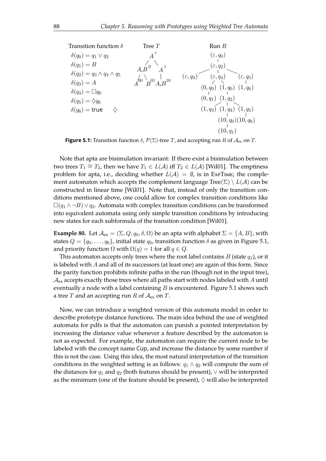<span id="page-91-0"></span>

**Figure 5.1:** Transition function  $\delta$ ,  $\mathcal{P}(\Sigma)$ -tree T, and accepting run R of  $\mathcal{A}_{ex}$  on T.

Note that apta are bisimulation invariant: If there exist a bisimulation between two trees  $T_1 \cong T_2$ , then we have  $T_1 \in L(\mathcal{A})$  iff  $T_2 \in L(\mathcal{A})$  [\[Wil01\]](#page-113-2). The emptiness problem for apta, i.e., deciding whether  $L(\mathcal{A}) = \emptyset$ , is in ExPTIME; the complement automaton which accepts the complement language  $Tree(\Sigma) \setminus L(\mathcal{A})$  can be constructed in linear time [\[Wil01\]](#page-113-2). Note that, instead of only the transition conditions mentioned above, one could allow for complex transition conditions like  $\Box(q_1 \land \neg B) \lor q_2$ . Automata with complex transition conditions can be transformed into equivalent automata using only simple transition conditions by introducing new states for each subformula of the transition condition [\[Wil01\]](#page-113-2).

**Example 80.** Let  $\mathcal{A}_{ex} = (\Sigma, Q, q_0, \delta, \Omega)$  be an apta with alphabet  $\Sigma = \{A, B\}$ , with states  $Q = \{q_0, \ldots, q_6\}$ , initial state  $q_0$ , transition function  $\delta$  as given in Figure [5.1,](#page-91-0) and priority function  $\Omega$  with  $\Omega(q) = 1$  for all  $q \in Q$ .

This automaton accepts only trees where the root label contains  $B$  (state  $q_1$ ), or it is labeled with  $A$  and all of its successors (at least one) are again of this form. Since the parity function prohibits infnite paths in the run (though not in the input tree),  $A_{\text{ex}}$  accepts exactly those trees where all paths start with nodes labeled with A until eventually a node with a label containing  $B$  is encountered. Figure [5.1](#page-91-0) shows such a tree T and an accepting run R of  $A_{ex}$  on T.

Now, we can introduce a weighted version of this automata model in order to describe prototype distance functions. The main idea behind the use of weighted automata for pdfs is that the automaton can punish a pointed interpretation by increasing the distance value whenever a feature described by the automaton is not as expected. For example, the automaton can require the current node to be labeled with the concept name Cup, and increase the distance by some number if this is not the case. Using this idea, the most natural interpretation of the transition conditions in the weighted setting is as follows:  $q_1 \wedge q_2$  will compute the sum of the distances for  $q_1$  and  $q_2$  (both features should be present),  $\vee$  will be interpreted as the minimum (one of the feature should be present),  $\Diamond$  will also be interpreted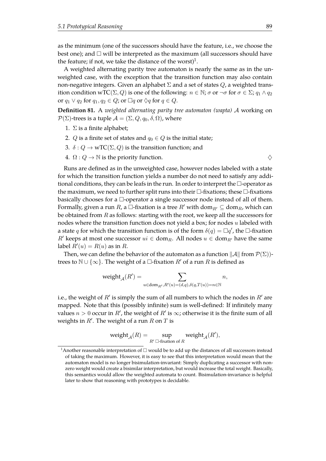as the minimum (one of the successors should have the feature, i.e., we choose the best one); and  $\Box$  will be interpreted as the maximum (all successors should have the feature; if not, we take the distance of the worst)<sup>[1](#page-113-1)</sup>.

A weighted alternating parity tree automaton is nearly the same as in the unweighted case, with the exception that the transition function may also contain non-negative integers. Given an alphabet  $\Sigma$  and a set of states  $Q$ , a weighted transition condition wTC( $\Sigma$ , Q) is one of the following:  $n \in \mathbb{N}$ ;  $\sigma$  or  $\neg \sigma$  for  $\sigma \in \Sigma$ ;  $q_1 \wedge q_2$ or  $q_1 \vee q_2$  for  $q_1, q_2 \in Q$ ; or  $\Box q$  or  $\Diamond q$  for  $q \in Q$ .

**Defnition 81.** A *weighted alternating parity tree automaton (wapta)* A working on  $\mathcal{P}(\Sigma)$ -trees is a tuple  $\mathcal{A} = (\Sigma, Q, q_0, \delta, \Omega)$ , where

- 1.  $\Sigma$  is a finite alphabet;
- 2. Q is a finite set of states and  $q_0 \in Q$  is the initial state;
- 3.  $\delta$ :  $Q \rightarrow wTC(\Sigma, Q)$  is the transition function; and
- 4.  $\Omega: Q \to \mathbb{N}$  is the priority function.  $\diamondsuit$

Runs are defned as in the unweighted case, however nodes labeled with a state for which the transition function yields a number do not need to satisfy any additional conditions, they can be leafs in the run. In order to interpret the  $\Box$ -operator as the maximum, we need to further split runs into their  $\Box$ -fixations; these  $\Box$ -fixations basically chooses for a  $\Box$ -operator a single successor node instead of all of them. Formally, given a run R, a  $\Box$ -fixation is a tree  $R'$  with dom $_{R'} \subseteq \mathrm{dom}_R$ , which can be obtained from  $R$  as follows: starting with the root, we keep all the successors for nodes where the transition function does not yield a box; for nodes  $u$  labeled with a state q for which the transition function is of the form  $\delta(q) = \Box q'$ , the  $\Box$ -fixation  $R'$  keeps at most one successor  $ui \in \text{dom}_{R}$ . All nodes  $u \in \text{dom}_{R'}$  have the same label  $R'(u) = R(u)$  as in R.

Then, we can define the behavior of the automaton as a function  $\|\mathcal{A}\|$  from  $\mathcal{P}(\Sigma)$ )trees to  $\mathbb{N} \cup \{\infty\}$ . The weight of a  $\Box$ -fixation  $R'$  of a run R is defined as

$$
\operatorname{weight}_{\mathcal{A}}(R') = \sum_{u \in \operatorname{dom}_{R'}, R'(u) = (d, q), \delta(q, T(u)) = n \in \mathbb{N}} n,
$$

i.e., the weight of  $R'$  is simply the sum of all numbers to which the nodes in  $R'$  are mapped. Note that this (possibly infinite) sum is well-defined: If infinitely many values  $n > 0$  occur in  $R'$ , the weight of  $R'$  is  $\infty$ ; otherwise it is the finite sum of all weights in  $R'$ . The weight of a run R on T is

$$
\operatorname{weight}_{\mathcal{A}}(R) = \sup_{R' \; \square \text{-fixation of } R} \operatorname{weight}_{\mathcal{A}}(R'),
$$

<sup>&</sup>lt;sup>1</sup> Another reasonable interpretation of  $\Box$  would be to add up the distances of all successors instead of taking the maximum. However, it is easy to see that this interpretation would mean that the automaton model is no longer bisimulation-invariant: Simply duplicating a successor with nonzero weight would create a bisimilar interpretation, but would increase the total weight. Basically, this semantics would allow the weighted automata to count. Bisimulation-invariance is helpful later to show that reasoning with prototypes is decidable.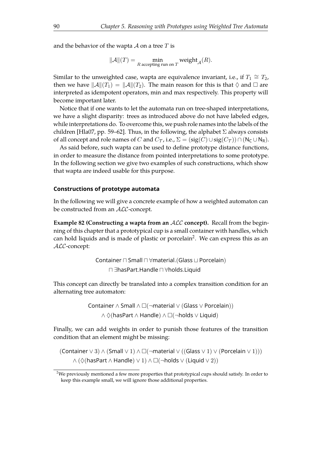and the behavior of the wapta  $\mathcal A$  on a tree  $T$  is

$$
\|\mathcal{A}\|(T) = \min_{R \text{ accepting run on } T} \text{weight}_{\mathcal{A}}(R).
$$

Similar to the unweighted case, wapta are equivalence invariant, i.e., if  $T_1 \cong T_2$ , then we have  $\|\mathcal{A}\|(T_1) = \|\mathcal{A}\|(T_2)$ . The main reason for this is that  $\Diamond$  and  $\Box$  are interpreted as idempotent operators, min and max respectively. This property will become important later.

Notice that if one wants to let the automata run on tree-shaped interpretations, we have a slight disparity: trees as introduced above do not have labeled edges, while interpretations do. To overcome this, we push role names into the labels of the children [\[Hla07,](#page-109-1) pp. 59–62]. Thus, in the following, the alphabet  $\Sigma$  always consists of all concept and role names of C and  $C_{\mathcal{T}}$ , i.e.,  $\Sigma = (sig(C) \cup sig(C_{\mathcal{T}})) \cap (N_{\mathsf{C}} \cup N_{\mathsf{R}})$ .

As said before, such wapta can be used to defne prototype distance functions, in order to measure the distance from pointed interpretations to some prototype. In the following section we give two examples of such constructions, which show that wapta are indeed usable for this purpose.

#### **Constructions of prototype automata**

In the following we will give a concrete example of how a weighted automaton can be constructed from an ALC-concept.

<span id="page-93-0"></span>**Example 82 (Constructing a wapta from an** ALC **concept).** Recall from the beginning of this chapter that a prototypical cup is a small container with handles, which can hold liquids and is made of plastic or porcelain<sup>[2](#page-113-1)</sup>. We can express this as an ALC-concept:

> Container  $\sqcap$  Small  $\sqcap$   $\forall$ material.(Glass  $\sqcup$  Porcelain) u ∃hasPart.Handle u ∀holds.Liquid

This concept can directly be translated into a complex transition condition for an alternating tree automaton:

> Container ∧ Small ∧  $\square(\neg$ material  $\vee$  (Glass  $\vee$  Porcelain)) ∧  $\Diamond$ (hasPart ∧ Handle) ∧  $\square$ (¬holds  $\lor$  Liquid)

Finally, we can add weights in order to punish those features of the transition condition that an element might be missing:

(Container  $\vee$  3)  $\wedge$  (Small  $\vee$  1)  $\wedge$   $\square$   $\vdash$  material  $\vee$  ((Glass  $\vee$  1)  $\vee$  (Porcelain  $\vee$  1)))  $\wedge$  ( $\Diamond$ (hasPart  $\wedge$  Handle)  $\vee$  1)  $\wedge$   $\square$ (¬holds  $\vee$  (Liquid  $\vee$  2))

<sup>&</sup>lt;sup>2</sup>We previously mentioned a few more properties that prototypical cups should satisfy. In order to keep this example small, we will ignore those additional properties.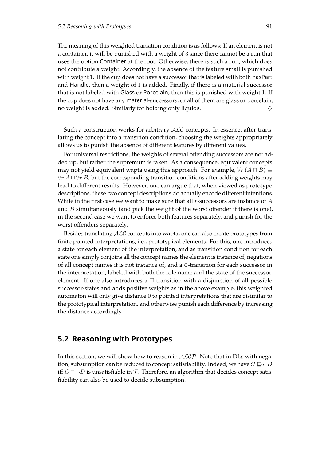The meaning of this weighted transition condition is as follows: If an element is not a container, it will be punished with a weight of 3 since there cannot be a run that uses the option Container at the root. Otherwise, there is such a run, which does not contribute a weight. Accordingly, the absence of the feature small is punished with weight 1. If the cup does not have a successor that is labeled with both hasPart and Handle, then a weight of 1 is added. Finally, if there is a material-successor that is not labeled with Glass or Porcelain, then this is punished with weight 1. If the cup does not have any material-successors, or all of them are glass or porcelain, no weight is added. Similarly for holding only liquids.  $\Diamond$ 

Such a construction works for arbitrary ALC concepts. In essence, after translating the concept into a transition condition, choosing the weights appropriately allows us to punish the absence of diferent features by diferent values.

For universal restrictions, the weights of several ofending successors are not added up, but rather the supremum is taken. As a consequence, equivalent concepts may not yield equivalent wapta using this approach. For example,  $\forall r.(A \sqcap B) \equiv$  $∀r.A \sqcap ∀r.B$ , but the corresponding transition conditions after adding weights may lead to diferent results. However, one can argue that, when viewed as prototype descriptions, these two concept descriptions do actually encode diferent intentions. While in the first case we want to make sure that all  $r$ -successors are instance of  $A$ and  $B$  simultaneously (and pick the weight of the worst offender if there is one), in the second case we want to enforce both features separately, and punish for the worst offenders separately.

Besides translating ALC concepts into wapta, one can also create prototypes from finite pointed interpretations, i.e., prototypical elements. For this, one introduces a state for each element of the interpretation, and as transition condition for each state one simply conjoins all the concept names the element is instance of, negations of all concept names it is not instance of, and a  $\Diamond$ -transition for each successor in the interpretation, labeled with both the role name and the state of the successorelement. If one also introduces a  $\Box$ -transition with a disjunction of all possible successor-states and adds positive weights as in the above example, this weighted automaton will only give distance 0 to pointed interpretations that are bisimilar to the prototypical interpretation, and otherwise punish each diference by increasing the distance accordingly.

### **5.2 Reasoning with Prototypes**

In this section, we will show how to reason in  $ALCP$ . Note that in DLs with negation, subsumption can be reduced to concept satisfiability. Indeed, we have  $C \sqsubseteq_{\mathcal{T}} D$ iff  $C \sqcap \neg D$  is unsatisfiable in  $\mathcal T$ . Therefore, an algorithm that decides concept satisfability can also be used to decide subsumption.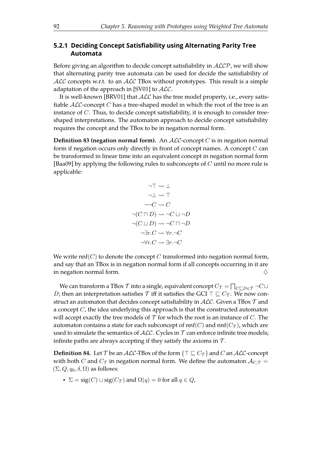### <span id="page-95-2"></span>**5.2.1 Deciding Concept Satisfability using Alternating Parity Tree Automata**

Before giving an algorithm to decide concept satisfiability in  $ALCP$ , we will show that alternating parity tree automata can be used for decide the satisfability of  $ALC$  concepts w.r.t. to an  $ALC$  TBox without prototypes. This result is a simple adaptation of the approach in [\[SV01\]](#page-112-0) to  $ALC$ .

It is well-known [\[BRV01\]](#page-107-0) that ALC has the tree model property, i.e., every satisfiable  $ALC$ -concept C has a tree-shaped model in which the root of the tree is an instance of C. Thus, to decide concept satisfability, it is enough to consider treeshaped interpretations. The automaton approach to decide concept satisfability requires the concept and the TBox to be in negation normal form.

**Definition 83 (negation normal form).** An  $ALC$ -concept C is in negation normal form if negation occurs only directly in front of concept names. A concept C can be transformed in linear time into an equivalent concept in negation normal form [\[Baa09\]](#page-106-1) by applying the following rules to subconcepts of  $C$  until no more rule is applicable:

<span id="page-95-1"></span>
$$
\neg \top \leadsto \bot
$$
\n
$$
\neg \bot \leadsto \top
$$
\n
$$
\neg \neg C \leadsto C
$$
\n
$$
\neg (C \sqcap D) \leadsto \neg C \sqcup \neg D
$$
\n
$$
\neg (C \sqcup D) \leadsto \neg C \sqcap \neg D
$$
\n
$$
\neg \exists r. C \leadsto \forall r. \neg C
$$
\n
$$
\neg \forall r. C \leadsto \exists r. \neg C
$$

We write nnf( $C$ ) to denote the concept  $C$  transformed into negation normal form, and say that an TBox is in negation normal form if all concepts occurring in it are in negation normal form.  $\diamondsuit$ 

We can transform a TBox  ${\cal T}$  into a single, equivalent concept  $C_{\cal T}=\bigcap_{C\sqsubseteq D\in{\cal T}}\neg C\sqcup$ D; then an interpretation satisfies  $\mathcal T$  iff it satisfies the GCI  $\top \sqsubseteq C_{\mathcal T}$ . We now construct an automaton that decides concept satisfiability in  $ALC$ . Given a TBox  $\mathcal T$  and a concept  $C$ , the idea underlying this approach is that the constructed automaton will accept exactly the tree models of  $\mathcal T$  for which the root is an instance of C. The automaton contains a state for each subconcept of  $nnf(C)$  and  $nnf(C<sub>T</sub>)$ , which are used to simulate the semantics of  $ALC$ . Cycles in  $T$  can enforce infinite tree models; infinite paths are always accepting if they satisfy the axioms in  $T$ .

<span id="page-95-0"></span>**Definition 84.** Let T be an ALC-TBox of the form  $\{\top \sqsubseteq C_{\mathcal{T}}\}$  and C an ALC-concept with both C and  $C_{\mathcal{T}}$  in negation normal form. We define the automaton  $\mathcal{A}_{C,\mathcal{T}} =$  $(\Sigma, Q, q_0, \delta, \Omega)$  as follows:

•  $\Sigma = \text{sig}(C) \cup \text{sig}(C_{\mathcal{T}})$  and  $\Omega(q) = 0$  for all  $q \in Q$ ,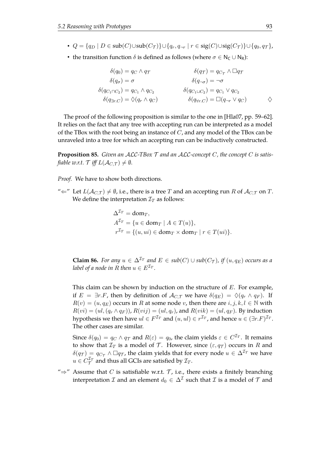- $Q = \{q_D \mid D \in \text{sub}(C) \cup \text{sub}(C_{\mathcal{T}})\} \cup \{q_r, q_{\neg r} \mid r \in \text{sig}(C) \cup \text{sig}(C_{\mathcal{T}})\} \cup \{q_0, q_{\mathcal{T}}\},\$
- the transition function  $\delta$  is defined as follows (where  $\sigma \in N_C \cup N_R$ ):

$$
\begin{aligned}\n\delta(q_0) &= q_C \wedge q_T & \delta(q_T) &= q_{C_T} \wedge \Box q_T \\
\delta(q_{\sigma}) &= \sigma & \delta(q_{-\sigma}) &= \neg \sigma \\
\delta(q_{C_1 \sqcap C_2}) &= q_{C_1} \wedge q_{C_2} & \delta(q_{C_1 \sqcup C_2}) &= q_{C_1} \vee q_{C_2} \\
\delta(q_{\exists r.C}) &= \Diamond(q_r \wedge q_C) & \delta(q_{\forall r.C}) &= \Box(q_{\neg r} \vee q_C) & \diamondsuit\n\end{aligned}
$$

The proof of the following proposition is similar to the one in [\[Hla07,](#page-109-1) pp. 59–62]. It relies on the fact that any tree with accepting run can be interpreted as a model of the TBox with the root being an instance of  $C$ , and any model of the TBox can be unraveled into a tree for which an accepting run can be inductively constructed.

<span id="page-96-0"></span>**Proposition 85.** *Given an* ALC*-TBox* T *and an* ALC*-concept* C*, the concept* C *is satisfiable w.r.t.*  $\mathcal{T}$  *iff*  $L(\mathcal{A}_{C,\mathcal{T}}) \neq \emptyset$ *.* 

*Proof.* We have to show both directions.

" $\Leftarrow$ " Let  $L(\mathcal{A}_{CT}) \neq \emptyset$ , i.e., there is a tree T and an accepting run R of  $\mathcal{A}_{CT}$  on T. We define the interpretation  $\mathcal{I}_T$  as follows:

$$
\Delta^{\mathcal{I}_T} = \text{dom}_T,
$$
  
\n
$$
A^{\mathcal{I}_T} = \{ u \in \text{dom}_T \mid A \in T(u) \},
$$
  
\n
$$
r^{\mathcal{I}_T} = \{ (u, ui) \in \text{dom}_T \times \text{dom}_T \mid r \in T(ui) \}.
$$

**Claim 86.** *For any*  $u \in \Delta^{T_T}$  *and*  $E \in sub(C) \cup sub(C_T)$ *, if*  $(u, q_E)$  *occurs as a label of a node in* R *then*  $u \in E^{\mathcal{I}_T}$ *.* 

This claim can be shown by induction on the structure of  $E$ . For example, if  $E = \exists r.F$ , then by definition of  $\mathcal{A}_{C,\mathcal{T}}$  we have  $\delta(q_E) = \Diamond(q_r \land q_F)$ . If  $R(v) = (u, q_E)$  occurs in R at some node v, then there are  $i, j, k, l \in \mathbb{N}$  with  $R(vi) = (ul, (q_r \wedge q_F))$ ,  $R(vij) = (ul, q_r)$ , and  $R(vik) = (ul, q_F)$ . By induction hypothesis we then have  $ul \in F^{\mathcal{I}_T}$  and  $(u, ul) \in r^{\mathcal{I}_T}$ , and hence  $u \in (\exists r.F)^{\mathcal{I}_T}$ . The other cases are similar.

Since  $\delta(q_0)=q_C\wedge q_{\mathcal{T}}$  and  $R(\varepsilon)=q_0$ , the claim yields  $\varepsilon\in C^{\mathcal{I}_T}.$  It remains to show that  $\mathcal{I}_T$  is a model of  $\mathcal{T}$ . However, since  $(\varepsilon, q\tau)$  occurs in R and  $\delta(q_T) = q_{C_T} \wedge \Box q_T$ , the claim yields that for every node  $u \in \Delta^{I_T}$  we have  $u \in C_{\mathcal{T}}^{\mathcal{I}_{T}}$  and thus all GCIs are satisfied by  $\mathcal{I}_{T}.$ 

" $\Rightarrow$ " Assume that C is satisfiable w.r.t. T, i.e., there exists a finitely branching interpretation  ${\cal I}$  and an element  $d_0\in \Delta^{\cal I}$  such that  ${\cal I}$  is a model of  ${\cal T}$  and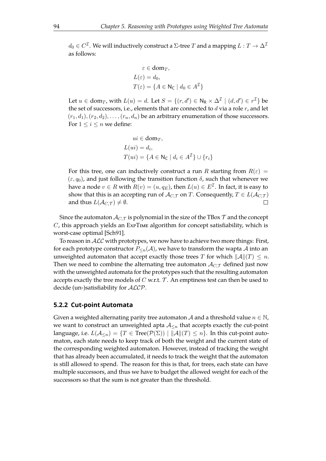$d_0\in C^\mathcal{I}.$  We will inductively construct a  $\Sigma$ -tree  $T$  and a mapping  $L:T\to \Delta^\mathcal{I}$ as follows:

$$
\varepsilon \in \text{dom}_T,
$$
  
\n
$$
L(\varepsilon) = d_0,
$$
  
\n
$$
T(\varepsilon) = \{A \in \mathsf{N}_{\mathsf{C}} \mid d_0 \in A^{\mathcal{I}}\}
$$

Let  $u \in \text{dom}_T$ , with  $L(u) = d$ . Let  $S = \{(r, d') \in \mathsf{N}_{\mathsf{R}} \times \Delta^{\mathcal{I}} \mid (d, d') \in r^{\mathcal{I}}\}$  be the set of successors, i.e., elements that are connected to  $d$  via a role  $r$ , and let  $(r_1, d_1), (r_2, d_2), \ldots, (r_n, d_n)$  be an arbitrary enumeration of those successors. For  $1 \leq i \leq n$  we define:

$$
ui \in \text{dom}_T,
$$
  
\n
$$
L(ui) = d_i,
$$
  
\n
$$
T(ui) = \{A \in \mathsf{N}_{\mathsf{C}} \mid d_i \in A^{\mathcal{I}}\} \cup \{r_i\}
$$

For this tree, one can inductively construct a run R starting from  $R(\varepsilon)$  =  $(\varepsilon, q_0)$ , and just following the transition function  $\delta$ , such that whenever we have a node  $v \in R$  with  $R(v) = (u, q_E)$ , then  $L(u) \in E^{\mathcal{I}}.$  In fact, it is easy to show that this is an accepting run of  $\mathcal{A}_{C,\mathcal{T}}$  on T. Consequently,  $T \in L(\mathcal{A}_{C,\mathcal{T}})$ and thus  $L(A_{C,\mathcal{T}}) \neq \emptyset$ .  $\Box$ 

Since the automaton  $A_{C,\mathcal{T}}$  is polynomial in the size of the TBox  $\mathcal{T}$  and the concept  $C$ , this approach yields an ExPTIME algorithm for concept satisfiability, which is worst-case optimal [\[Sch91\]](#page-112-1).

To reason in  $ALC$  with prototypes, we now have to achieve two more things: First, for each prototype constructor  $P_{\leq n}(\mathcal{A})$ , we have to transform the wapta  $\mathcal A$  into an unweighted automaton that accept exactly those trees T for which  $||A||(T) \leq n$ . Then we need to combine the alternating tree automaton  $\mathcal{A}_{C,\mathcal{T}}$  defined just now with the unweighted automata for the prototypes such that the resulting automaton accepts exactly the tree models of  $C$  w.r.t.  $\mathcal T$ . An emptiness test can then be used to decide (un-)satisfability for ALCP.

#### **5.2.2 Cut-point Automata**

Given a weighted alternating parity tree automaton A and a threshold value  $n \in \mathbb{N}$ , we want to construct an unweighted apta  $A_{\leq n}$  that accepts exactly the cut-point language, i.e.  $L(A_{\leq n}) = \{T \in \text{Tree}(\mathcal{P}(\Sigma)) \mid ||A||(T) \leq n\}$ . In this cut-point automaton, each state needs to keep track of both the weight and the current state of the corresponding weighted automaton. However, instead of tracking the weight that has already been accumulated, it needs to track the weight that the automaton is still allowed to spend. The reason for this is that, for trees, each state can have multiple successors, and thus we have to budget the allowed weight for each of the successors so that the sum is not greater than the threshold.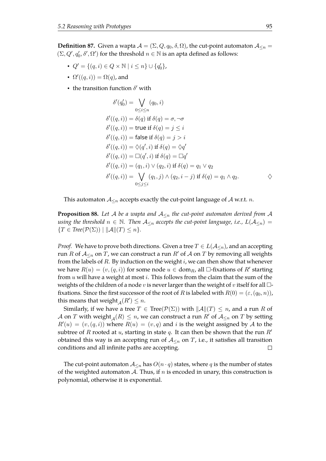**Definition 87.** Given a wapta  $A = (\Sigma, Q, q_0, \delta, \Omega)$ , the cut-point automaton  $A_{\leq n} =$  $(\Sigma, Q', q'_0, \delta', \Omega')$  for the threshold  $n \in \mathbb{N}$  is an apta defined as follows:

- $Q' = \{(q, i) \in Q \times \mathbb{N} \mid i \leq n\} \cup \{q'_0\},\$
- $\Omega'((q, i)) = \Omega(q)$ , and
- the transition function  $\delta'$  with

$$
\delta'(q'_0) = \bigvee_{0 \le i \le n} (q_0, i)
$$
  
\n
$$
\delta'((q, i)) = \delta(q) \text{ if } \delta(q) = \sigma, \neg \sigma
$$
  
\n
$$
\delta'((q, i)) = \text{true if } \delta(q) = j \le i
$$
  
\n
$$
\delta'((q, i)) = \text{false if } \delta(q) = j > i
$$
  
\n
$$
\delta'((q, i)) = \Diamond(q', i) \text{ if } \delta(q) = \Diamond q'
$$
  
\n
$$
\delta'((q, i)) = \Box(q', i) \text{ if } \delta(q) = \Box q'
$$
  
\n
$$
\delta'((q, i)) = (q_1, i) \lor (q_2, i) \text{ if } \delta(q) = q_1 \lor q_2
$$
  
\n
$$
\delta'((q, i)) = \bigvee_{0 \le j \le i} (q_1, j) \land (q_2, i - j) \text{ if } \delta(q) = q_1 \land q_2.
$$

<span id="page-98-0"></span>This automaton  $A_{\leq n}$  accepts exactly the cut-point language of A w.r.t. n.

**Proposition 88.** Let A be a wapta and  $A_{\leq n}$  the cut-point automaton derived from A *using the threshold*  $n \in \mathbb{N}$ . Then  $\mathcal{A}_{\leq n}$  accepts the cut-point language, i.e.,  $L(\mathcal{A}_{\leq n}) =$  $\{T \in Tree(\mathcal{P}(\Sigma)) \mid ||\mathcal{A}||(T) \leq n\}.$ 

*Proof.* We have to prove both directions. Given a tree  $T \in L(\mathcal{A}_{\leq n})$ , and an accepting run R of  $A_{\le n}$  on T, we can construct a run R' of A on T by removing all weights from the labels of  $R$ . By induction on the weight  $i$ , we can then show that whenever we have  $R(u) = (v, (q, i))$  for some node  $u \in \text{dom}_R$ , all  $\Box$ -fixations of  $R'$  starting from  $u$  will have a weight at most  $i$ . This follows from the claim that the sum of the weights of the children of a node v is never larger than the weight of v itself for all  $\Box$ fixations. Since the first successor of the root of R is labeled with  $R(0) = (\varepsilon, (q_0, n))$ , this means that weight  $_A(R') \leq n$ .

Similarly, if we have a tree  $T \in Tree(\mathcal{P}(\Sigma))$  with  $\|\mathcal{A}\|(T) \leq n$ , and a run R of  $\mathcal A$  on  $T$  with weight ${}_{\mathcal A}(R)\leq n$ , we can construct a run  $R'$  of  $\mathcal A_{\leq n}$  on  $T$  by setting  $R'(u) = (v, (q, i))$  where  $R(u) = (v, q)$  and i is the weight assigned by A to the subtree of R rooted at u, starting in state q. It can then be shown that the run  $R'$ obtained this way is an accepting run of  $A_{\leq n}$  on T, i.e., it satisfies all transition conditions and all infinite paths are accepting.  $\Box$ 

The cut-point automaton  $A_{\leq n}$  has  $O(n \cdot q)$  states, where q is the number of states of the weighted automaton A. Thus, if  $n$  is encoded in unary, this construction is polynomial, otherwise it is exponential.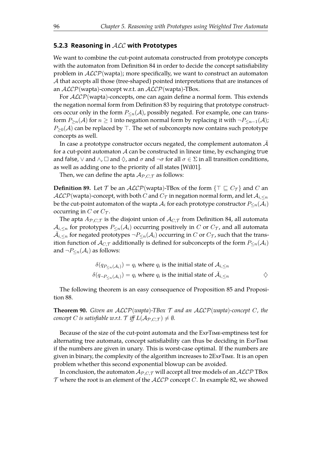#### **5.2.3 Reasoning in** ALC **with Prototypes**

We want to combine the cut-point automata constructed from prototype concepts with the automaton from Definition [84](#page-95-0) in order to decide the concept satisfiability problem in  $ALCP$ (wapta); more specifically, we want to construct an automaton A that accepts all those (tree-shaped) pointed interpretations that are instances of an  $ALCP$ (wapta)-concept w.r.t. an  $ALCP$ (wapta)-TBox.

For  $ALCP$ (wapta)-concepts, one can again define a normal form. This extends the negation normal form from Definition [83](#page-95-1) by requiring that prototype constructors occur only in the form  $P_{\leq n}(\mathcal{A})$ , possibly negated. For example, one can transform  $P_{\ge n}(\mathcal{A})$  for  $n \ge 1$  into negation normal form by replacing it with  $\neg P_{\le n-1}(\mathcal{A})$ ;  $P_{\geq 0}(\mathcal{A})$  can be replaced by  $\top$ . The set of subconcepts now contains such prototype concepts as well.

In case a prototype constructor occurs negated, the complement automaton  $A$ for a cut-point automaton  $A$  can be constructed in linear time, by exchanging true and false,  $\vee$  and  $\wedge$ ,  $\Box$  and  $\Diamond$ , and  $\sigma$  and  $\neg \sigma$  for all  $\sigma \in \Sigma$  in all transition conditions, as well as adding one to the priority of all states [\[Wil01\]](#page-113-2).

Then, we can define the apta  $A_{P,C,T}$  as follows:

**Definition 89.** Let T be an  $ALCP$  (wapta)-TBox of the form  $\{\top \sqsubseteq C_{\top}\}\$  and C an  $\mathcal{ALCP}$ (wapta)-concept, with both C and  $C_{\mathcal{T}}$  in negation normal form, and let  $\mathcal{A}_{i,\leq n}$ be the cut-point automaton of the wapta  $A_i$  for each prototype constructor  $P_{\le n}(A_i)$ occurring in C or  $C_{\mathcal{T}}$ .

The apta  $A_{P,C,T}$  is the disjoint union of  $A_{C,T}$  from Definition [84,](#page-95-0) all automata  $\mathcal{A}_{i,\leq n}$  for prototypes  $P_{\leq n}(\mathcal{A}_i)$  occurring positively in C or  $C_{\mathcal{T}}$ , and all automata  $\bar{\mathcal{A}}_{i,\le n}$  for negated prototypes  $\neg P_{\le n}(\mathcal{A}_i)$  occurring in  $C$  or  $C_{\mathcal{T}}$ , such that the transition function of  $A_{C,\mathcal{T}}$  additionally is defined for subconcepts of the form  $P_{\leq n}(\mathcal{A}_i)$ and  $\neg P_{\leq n}(\mathcal{A}_i)$  as follows:

$$
\delta(q_{P_{\le n}(\mathcal{A}_i)}) = q_i \text{ where } q_i \text{ is the initial state of } \mathcal{A}_{i, \le n}
$$
  

$$
\delta(q_{\neg P_{\le n}(\mathcal{A}_i)}) = q_i \text{ where } q_i \text{ is the initial state of } \bar{\mathcal{A}}_{i, \le n}
$$

The following theorem is an easy consequence of Proposition [85](#page-96-0) and Proposition [88.](#page-98-0)

**Theorem 90.** *Given an* ALCP(*wapta*)*-TBox* T *and an* ALCP(*wapta*)*-concept* C*, the concept C is satisfiable w.r.t.*  $\mathcal{T}$  *iff*  $L(\mathcal{A}_{\mathcal{P} \cdot C, \mathcal{T}}) \neq \emptyset$ *.* 

Because of the size of the cut-point automata and the ExPTIME-emptiness test for alternating tree automata, concept satisfiability can thus be deciding in ExPTIME if the numbers are given in unary. This is worst-case optimal. If the numbers are given in binary, the complexity of the algorithm increases to 2ExPTIME. It is an open problem whether this second exponential blowup can be avoided.

In conclusion, the automaton  $\mathcal{A}_{P,C,\mathcal{T}}$  will accept all tree models of an  $\mathcal{ALCP}$  TBox  $T$  where the root is an element of the  $ALCP$  concept  $C$ . In example [82,](#page-93-0) we showed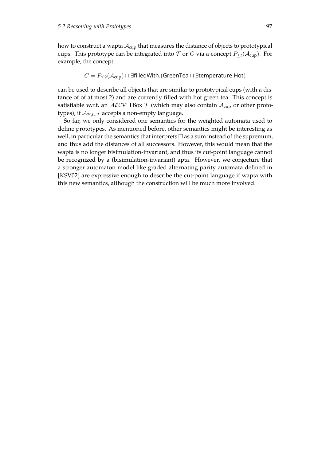how to construct a wapta  $A_{\text{cup}}$  that measures the distance of objects to prototypical cups. This prototype can be integrated into T or C via a concept  $P_{\leq t}(\mathcal{A}_{\text{cusp}})$ . For example, the concept

$$
C = P_{\leq 2}(\mathcal{A}_{\text{cup}}) \sqcap \exists \text{filledWith.}(\text{GreenTea} \sqcap \exists \text{temperature}. \text{Hot})
$$

can be used to describe all objects that are similar to prototypical cups (with a distance of of at most 2) and are currently flled with hot green tea. This concept is satisfiable w.r.t. an  $ALCP$  TBox T (which may also contain  $A_{\text{cup}}$  or other prototypes), if  $A_{P,C,T}$  accepts a non-empty language.

So far, we only considered one semantics for the weighted automata used to defne prototypes. As mentioned before, other semantics might be interesting as well, in particular the semantics that interprets  $\Box$  as a sum instead of the supremum, and thus add the distances of all successors. However, this would mean that the wapta is no longer bisimulation-invariant, and thus its cut-point language cannot be recognized by a (bisimulation-invariant) apta. However, we conjecture that a stronger automaton model like graded alternating parity automata defned in [\[KSV02\]](#page-110-1) are expressive enough to describe the cut-point language if wapta with this new semantics, although the construction will be much more involved.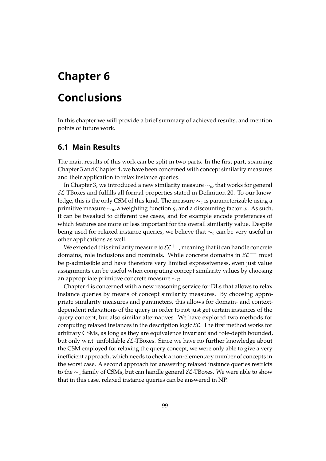## **Chapter 6**

## **Conclusions**

In this chapter we will provide a brief summary of achieved results, and mention points of future work.

## **6.1 Main Results**

The main results of this work can be split in two parts. In the first part, spanning Chapter [3](#page-30-0) and Chapter [4,](#page-56-0) we have been concerned with concept similarity measures and their application to relax instance queries.

In Chapter [3,](#page-30-0) we introduced a new similarity measure  $\sim_{c}$ , that works for general  $\mathcal{EL}$  TBoxes and fulfills all formal properties stated in Definition [20.](#page-27-0) To our knowledge, this is the only CSM of this kind. The measure  $\sim_c$  is parameterizable using a primitive measure  $\sim_p$ , a weighting function g, and a discounting factor w. As such, it can be tweaked to diferent use cases, and for example encode preferences of which features are more or less important for the overall similarity value. Despite being used for relaxed instance queries, we believe that  $\sim_c$  can be very useful in other applications as well.

We extended this similarity measure to  $\mathcal{EL}^{++}$ , meaning that it can handle concrete domains, role inclusions and nominals. While concrete domains in  $\mathcal{EL}^{++}$  must be p-admissible and have therefore very limited expressiveness, even just value assignments can be useful when computing concept similarity values by choosing an appropriate primitive concrete measure  $~\sim \tau$ .

Chapter [4](#page-56-0) is concerned with a new reasoning service for DLs that allows to relax instance queries by means of concept similarity measures. By choosing appropriate similarity measures and parameters, this allows for domain- and contextdependent relaxations of the query in order to not just get certain instances of the query concept, but also similar alternatives. We have explored two methods for computing relaxed instances in the description logic  $\mathcal{EL}$ . The first method works for arbitrary CSMs, as long as they are equivalence invariant and role-depth bounded, but only w.r.t. unfoldable  $\mathcal{EL}\text{-}\text{IBox}$ es. Since we have no further knowledge about the CSM employed for relaxing the query concept, we were only able to give a very inefficient approach, which needs to check a non-elementary number of concepts in the worst case. A second approach for answering relaxed instance queries restricts to the  $\sim_c$  family of CSMs, but can handle general  $\mathcal{EL}\text{-}\text{IBoxes.}$  We were able to show that in this case, relaxed instance queries can be answered in NP.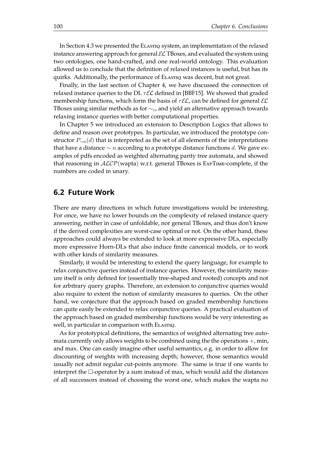<span id="page-103-0"></span>In Section [4.3](#page-68-0) we presented the ELASTIQ system, an implementation of the relaxed instance answering approach for general  $\mathcal{EL}$  TBoxes, and evaluated the system using two ontologies, one hand-crafted, and one real-world ontology. This evaluation allowed us to conclude that the defnition of relaxed instances is useful, but has its quirks. Additionally, the performance of ELASTIQ was decent, but not great.

Finally, in the last section of Chapter [4,](#page-56-0) we have discussed the connection of relaxed instance queries to the DL  $\tau \mathcal{EL}$  defined in [\[BBF15\]](#page-106-0). We showed that graded membership functions, which form the basis of  $\tau \mathcal{EL}$ , can be defined for general  $\mathcal{EL}$ TBoxes using similar methods as for  $\sim_c$ , and yield an alternative approach towards relaxing instance queries with better computational properties.

In Chapter [5](#page-88-0) we introduced an extension to Description Logics that allows to defne and reason over prototypes. In particular, we introduced the prototype constructor  $P_{\sim n}(d)$  that is interpreted as the set of all elements of the interpretations that have a distance  $\sim n$  according to a prototype distance functions d. We gave examples of pdfs encoded as weighted alternating parity tree automata, and showed that reasoning in  $ALCP$ (wapta) w.r.t. general TBoxes is  $ExPTIME$ -complete, if the numbers are coded in unary.

### **6.2 Future Work**

There are many directions in which future investigations would be interesting. For once, we have no lower bounds on the complexity of relaxed instance query answering, neither in case of unfoldable, nor general TBoxes, and thus don't know if the derived complexities are worst-case optimal or not. On the other hand, these approaches could always be extended to look at more expressive DLs, especially more expressive Horn-DLs that also induce finite canonical models, or to work with other kinds of similarity measures.

Similarly, it would be interesting to extend the query language, for example to relax conjunctive queries instead of instance queries. However, the similarity measure itself is only defned for (essentially tree-shaped and rooted) concepts and not for arbitrary query graphs. Therefore, an extension to conjunctive queries would also require to extent the notion of similarity measures to queries. On the other hand, we conjecture that the approach based on graded membership functions can quite easily be extended to relax conjunctive queries. A practical evaluation of the approach based on graded membership functions would be very interesting as well, in particular in comparison with ELASTIQ.

As for prototypical defnitions, the semantics of weighted alternating tree automata currently only allows weights to be combined using the the operations +, min, and max. One can easily imagine other useful semantics, e.g. in order to allow for discounting of weights with increasing depth; however, those semantics would usually not admit regular cut-points anymore. The same is true if one wants to interpret the  $\Box$ -operator by a sum instead of max, which would add the distances of all successors instead of choosing the worst one, which makes the wapta no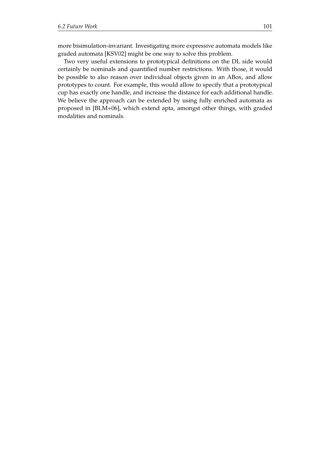<span id="page-104-0"></span>more bisimulation-invariant. Investigating more expressive automata models like graded automata [\[KSV02\]](#page-110-1) might be one way to solve this problem.

Two very useful extensions to prototypical defnitions on the DL side would certainly be nominals and quantifed number restrictions. With those, it would be possible to also reason over individual objects given in an ABox, and allow prototypes to count. For example, this would allow to specify that a prototypical cup has exactly one handle, and increase the distance for each additional handle. We believe the approach can be extended by using fully enriched automata as proposed in [\[BLM+06\]](#page-107-1), which extend apta, amongst other things, with graded modalities and nominals.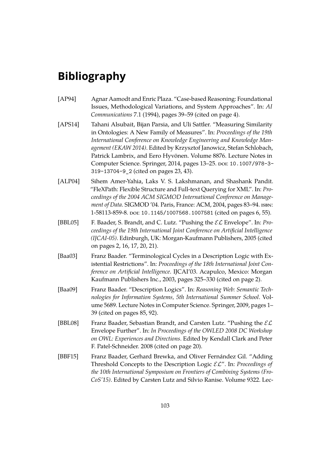## **Bibliography**

- [AP94] Agnar Aamodt and Enric Plaza. "Case-based Reasoning: Foundational Issues, Methodological Variations, and System Approaches". In: *AI Communications* 7.1 (1994), pages 39–59 (cited on page [4\)](#page-7-0).
- [APS14] Tahani Alsubait, Bijan Parsia, and Uli Sattler. "Measuring Similarity in Ontologies: A New Family of Measures". In: *Proceedings of the 19th International Conference on Knowledge Engineering and Knowledge Management (EKAW 2014)*. Edited by Krzysztof Janowicz, Stefan Schlobach, Patrick Lambrix, and Eero Hyvönen. Volume 8876. Lecture Notes in Computer Science. Springer, 2014, pages 13-25. poi: [10.1007/978-3-](https://doi.org/10.1007/978-3-319-13704-9_2) [319-13704-9\\_2](https://doi.org/10.1007/978-3-319-13704-9_2) (cited on pages [23,](#page-26-0) [43\)](#page-46-0).
- [ALP04] Sihem Amer-Yahia, Laks V. S. Lakshmanan, and Shashank Pandit. "FleXPath: Flexible Structure and Full-text Querying for XML". In: *Proceedings of the 2004 ACM SIGMOD International Conference on Management of Data*. SIGMOD '04. Paris, France: ACM, 2004, pages 83–94. isbn: 1-58113-859-8. poi: [10.1145/1007568.1007581](https://doi.org/10.1145/1007568.1007581) (cited on pages [6,](#page-9-0) [55\)](#page-58-0).
- [BBL05] F. Baader, S. Brandt, and C. Lutz. "Pushing the EL Envelope". In: *Proceedings of the 19th International Joint Conference on Artifcial Intelligence (IJCAI-05)*. Edinburgh, UK: Morgan-Kaufmann Publishers, 2005 (cited on pages [2,](#page-5-0) [16,](#page-19-0) [17,](#page-20-1) [20,](#page-23-0) [21\)](#page-24-0).
- [Baa03] Franz Baader. "Terminological Cycles in a Description Logic with Existential Restrictions". In: *Proceedings of the 18th International Joint Conference on Artifcial Intelligence*. IJCAI'03. Acapulco, Mexico: Morgan Kaufmann Publishers Inc., 2003, pages 325–330 (cited on page [2\)](#page-5-0).
- <span id="page-106-1"></span>[Baa09] Franz Baader. "Description Logics". In: *Reasoning Web: Semantic Technologies for Information Systems, 5th International Summer School*. Volume 5689. Lecture Notes in Computer Science. Springer, 2009, pages 1– 39 (cited on pages [85,](#page-88-1) [92\)](#page-95-2).
- [BBL08] Franz Baader, Sebastian Brandt, and Carsten Lutz. "Pushing the  $\mathcal{EL}$ Envelope Further". In: *In Proceedings of the OWLED 2008 DC Workshop on OWL: Experiences and Directions*. Edited by Kendall Clark and Peter F. Patel-Schneider. 2008 (cited on page [20\)](#page-23-0).
- <span id="page-106-0"></span>[BBF15] Franz Baader, Gerhard Brewka, and Oliver Fernández Gil. "Adding Threshold Concepts to the Description Logic EL". In: *Proceedings of the 10th International Symposium on Frontiers of Combining Systems (Fro-CoS'15)*. Edited by Carsten Lutz and Silvio Ranise. Volume 9322. Lec-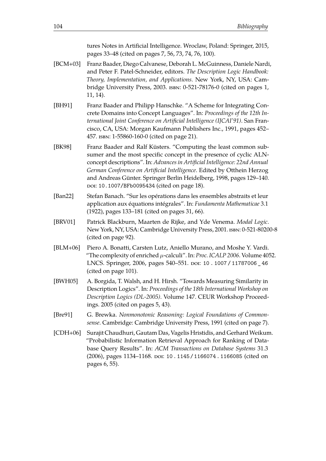tures Notes in Artifcial Intelligence. Wroclaw, Poland: Springer, 2015, pages 33–48 (cited on pages [7,](#page-10-0) [56,](#page-59-0) [73,](#page-76-2) [74,](#page-77-0) [76,](#page-79-1) [100\)](#page-103-0).

- [BCM+03] Franz Baader, Diego Calvanese, Deborah L. McGuinness, Daniele Nardi, and Peter F. Patel-Schneider, editors. *The Description Logic Handbook: Theory, Implementation, and Applications*. New York, NY, USA: Cambridge University Press, 2003. isbn: 0-521-78176-0 (cited on pages [1,](#page-4-0) [11,](#page-14-0) [14\)](#page-17-0).
- [BH91] Franz Baader and Philipp Hanschke. "A Scheme for Integrating Concrete Domains into Concept Languages". In: *Proceedings of the 12th International Joint Conference on Artifcial Intelligence (IJCAI'91)*. San Francisco, CA, USA: Morgan Kaufmann Publishers Inc., 1991, pages 452– 457. isbn: 1-55860-160-0 (cited on page [21\)](#page-24-0).
- [BK98] Franz Baader and Ralf Küsters. "Computing the least common subsumer and the most specific concept in the presence of cyclic ALNconcept descriptions". In: *Advances in Artifcial Intelligence: 22nd Annual German Conference on Artifcial Intelligence*. Edited by Otthein Herzog and Andreas Günter. Springer Berlin Heidelberg, 1998, pages 129–140. doi: [10.1007/BFb0095434](https://doi.org/10.1007/BFb0095434) (cited on page [18\)](#page-21-1).
- [Ban22] Stefan Banach. "Sur les opérations dans les ensembles abstraits et leur application aux équations intégrales". In: *Fundamenta Mathematicae* 3.1 (1922), pages 133–181 (cited on pages [31,](#page-34-1) [66\)](#page-69-0).
- <span id="page-107-0"></span>[BRV01] Patrick Blackburn, Maarten de Rijke, and Yde Venema. *Modal Logic*. New York, NY, USA: Cambridge University Press, 2001. isbn: 0-521-80200-8 (cited on page [92\)](#page-95-2).
- <span id="page-107-1"></span>[BLM+06] Piero A. Bonatti, Carsten Lutz, Aniello Murano, and Moshe Y. Vardi. "The complexity of enriched  $\mu$ -calculi". In: *Proc. ICALP* 2006. Volume 4052. LNCS. Springer, 2006, pages 540-551. poi: [10 . 1007 / 11787006 \\_ 46](https://doi.org/10.1007/11787006_46) (cited on page [101\)](#page-104-0).
- [BWH05] A. Borgida, T. Walsh, and H. Hirsh. "Towards Measuring Similarity in Description Logics". In: *Proceedings of the 18th International Workshop on Description Logics (DL-2005)*. Volume 147. CEUR Workshop Proceedings. 2005 (cited on pages [5,](#page-8-0) [43\)](#page-46-0).
- [Bre91] G. Brewka. *Nonmonotonic Reasoning: Logical Foundations of Commonsense*. Cambridge: Cambridge University Press, 1991 (cited on page [7\)](#page-10-0).
- [CDH+06] Surajit Chaudhuri, Gautam Das, Vagelis Hristidis, and Gerhard Weikum. "Probabilistic Information Retrieval Approach for Ranking of Database Query Results". In: *ACM Transactions on Database Systems* 31.3 (2006), pages 1134–1168. poi: [10 . 1145 / 1166074 . 1166085](https://doi.org/10.1145/1166074.1166085) (cited on pages [6,](#page-9-0) [55\)](#page-58-0).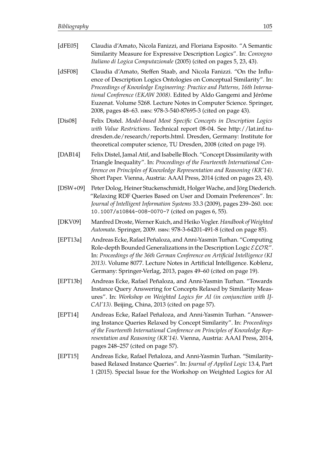| [dFE05]     | Claudia d'Amato, Nicola Fanizzi, and Floriana Esposito. "A Semantic<br>Similarity Measure for Expressive Description Logics". In: Convegno<br>Italiano di Logica Computazionale (2005) (cited on pages 5, 23, 43).                                                                                                                                                                                                                   |
|-------------|--------------------------------------------------------------------------------------------------------------------------------------------------------------------------------------------------------------------------------------------------------------------------------------------------------------------------------------------------------------------------------------------------------------------------------------|
| [dSF08]     | Claudia d'Amato, Steffen Staab, and Nicola Fanizzi. "On the Influ-<br>ence of Description Logics Ontologies on Conceptual Similarity". In:<br>Proceedings of Knowledge Engineering: Practice and Patterns, 16th Interna-<br>tional Conference (EKAW 2008). Edited by Aldo Gangemi and Jérôme<br>Euzenat. Volume 5268. Lecture Notes in Computer Science. Springer,<br>2008, pages 48-63. ISBN: 978-3-540-87695-3 (cited on page 43). |
| [Dis08]     | Felix Distel. Model-based Most Specific Concepts in Description Logics<br>with Value Restrictions. Technical report 08-04. See http://lat.inf.tu-<br>dresden.de/research/reports.html. Dresden, Germany: Institute for<br>theoretical computer science, TU Dresden, 2008 (cited on page 19).                                                                                                                                         |
| [ $DAB14$ ] | Felix Distel, Jamal Atif, and Isabelle Bloch. "Concept Dissimilarity with<br>Triangle Inequality". In: Proceedings of the Fourteenth International Con-<br>ference on Principles of Knowledge Representation and Reasoning (KR'14).<br>Short Paper. Vienna, Austria: AAAI Press, 2014 (cited on pages 23, 43).                                                                                                                       |
| $[DSW+09]$  | Peter Dolog, Heiner Stuckenschmidt, Holger Wache, and Jörg Diederich.<br>"Relaxing RDF Queries Based on User and Domain Preferences". In:<br>Journal of Intelligent Information Systems 33.3 (2009), pages 239-260. poi:<br>10.1007/s10844-008-0070-7 (cited on pages 6, 55).                                                                                                                                                        |
| [DKV09]     | Manfred Droste, Werner Kuich, and Heiko Vogler. Handbook of Weighted<br>Automata. Springer, 2009. ISBN: 978-3-64201-491-8 (cited on page 85).                                                                                                                                                                                                                                                                                        |
| [EPT13a]    | Andreas Ecke, Rafael Peñaloza, and Anni-Yasmin Turhan. "Computing<br>Role-depth Bounded Generalizations in the Description Logic $\mathcal{ELOR}''$ .<br>In: Proceedings of the 36th German Conference on Artificial Intelligence (KI<br>2013). Volume 8077. Lecture Notes in Artificial Intelligence. Koblenz,<br>Germany: Springer-Verlag, 2013, pages 49-60 (cited on page 19).                                                   |
| [EPT13b]    | Andreas Ecke, Rafael Peñaloza, and Anni-Yasmin Turhan. "Towards<br>Instance Query Answering for Concepts Relaxed by Similarity Meas-<br>ures". In: Workshop on Weighted Logics for AI (in conjunction with IJ-<br>CAI'13). Beijing, China, 2013 (cited on page 57).                                                                                                                                                                  |
| [EPT14]     | Andreas Ecke, Rafael Peñaloza, and Anni-Yasmin Turhan. "Answer-<br>ing Instance Queries Relaxed by Concept Similarity". In: Proceedings<br>of the Fourteenth International Conference on Principles of Knowledge Rep-<br>resentation and Reasoning (KR'14). Vienna, Austria: AAAI Press, 2014,<br>pages 248–257 (cited on page 57).                                                                                                  |
| [EPT15]     | Andreas Ecke, Rafael Peñaloza, and Anni-Yasmin Turhan. "Similarity-<br>based Relaxed Instance Queries". In: Journal of Applied Logic 13.4, Part<br>1 (2015). Special Issue for the Workshop on Weighted Logics for AI                                                                                                                                                                                                                |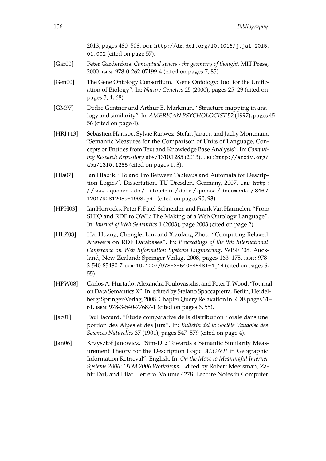|             | 2013, pages 480-508. DOI: http://dx.doi.org/10.1016/j.jal.2015.                                                                                                                                                                                                                                                                                                   |
|-------------|-------------------------------------------------------------------------------------------------------------------------------------------------------------------------------------------------------------------------------------------------------------------------------------------------------------------------------------------------------------------|
|             | 01.002 (cited on page 57).                                                                                                                                                                                                                                                                                                                                        |
| [Gär00]     | Peter Gärdenfors. Conceptual spaces - the geometry of thought. MIT Press,<br>2000. ISBN: 978-0-262-07199-4 (cited on pages 7, 85).                                                                                                                                                                                                                                |
| [Gen00]     | The Gene Ontology Consortium. "Gene Ontology: Tool for the Unific-<br>ation of Biology". In: Nature Genetics 25 (2000), pages 25-29 (cited on<br>pages 3, 4, 68).                                                                                                                                                                                                 |
| [GM97]      | Dedre Gentner and Arthur B. Markman. "Structure mapping in ana-<br>logy and similarity". In: AMERICAN PSYCHOLOGIST 52 (1997), pages 45-<br>56 (cited on page 4).                                                                                                                                                                                                  |
| $[HRJ+13]$  | Sébastien Harispe, Sylvie Ranwez, Stefan Janaqi, and Jacky Montmain.<br>"Semantic Measures for the Comparison of Units of Language, Con-<br>cepts or Entities from Text and Knowledge Base Analysis". In: Comput-<br>ing Research Repository abs/1310.1285 (2013). URL: http://arxiv.org/<br>abs/1310.1285 (cited on pages 1, 3).                                 |
| [Hla07]     | Jan Hladik. "To and Fro Between Tableaus and Automata for Descrip-<br>tion Logics". Dissertation. TU Dresden, Germany, 2007. URL: http:<br>//www.qucosa.de/fileadmin/data/qucosa/documents/846/<br>1201792812059-1908.pdf (cited on pages 90, 93).                                                                                                                |
| [HPH03]     | Ian Horrocks, Peter F. Patel-Schneider, and Frank Van Harmelen. "From<br>SHIQ and RDF to OWL: The Making of a Web Ontology Language".<br>In: Journal of Web Semantics 1 (2003), page 2003 (cited on page 2).                                                                                                                                                      |
| [HLZ08]     | Hai Huang, Chengfei Liu, and Xiaofang Zhou. "Computing Relaxed<br>Answers on RDF Databases". In: Proceedings of the 9th International<br>Conference on Web Information Systems Engineering. WISE '08. Auck-<br>land, New Zealand: Springer-Verlag, 2008, pages 163-175. ISBN: 978-<br>3-540-85480-7. poi: 10.1007/978-3-540-85481-4_14 (cited on pages 6,<br>55). |
| [HPW08]     | Carlos A. Hurtado, Alexandra Poulovassilis, and Peter T. Wood. "Journal<br>on Data Semantics X". In: edited by Stefano Spaccapietra. Berlin, Heidel-<br>berg: Springer-Verlag, 2008. Chapter Query Relaxation in RDF, pages 31-<br>61. ISBN: 978-3-540-77687-1 (cited on pages 6, 55).                                                                            |
| [Jac $01$ ] | Paul Jaccard. "Étude comparative de la distribution florale dans une<br>portion des Alpes et des Jura". In: Bulletin del la Société Vaudoise des<br>Sciences Naturelles 37 (1901), pages 547-579 (cited on page 4).                                                                                                                                               |
| [Jan $06$ ] | Krzysztof Janowicz. "Sim-DL: Towards a Semantic Similarity Meas-<br>urement Theory for the Description Logic ALCNR in Geographic<br>Information Retrieval". English. In: On the Move to Meaningful Internet<br>Systems 2006: OTM 2006 Workshops. Edited by Robert Meersman, Za-<br>hir Tari, and Pilar Herrero. Volume 4278. Lecture Notes in Computer            |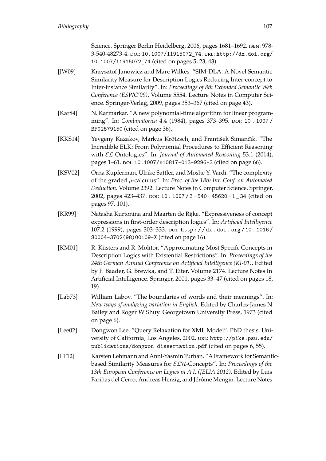Science. Springer Berlin Heidelberg, 2006, pages 1681–1692. isbn: 978- 3-540-48273-4. poi: [10.1007/11915072\\_74](https://doi.org/10.1007/11915072_74). uRL: [http://dx.doi.org/](http://dx.doi.org/10.1007/11915072_74) [10.1007/11915072\\_74](http://dx.doi.org/10.1007/11915072_74) (cited on pages [5,](#page-8-0) [23,](#page-26-0) [43\)](#page-46-0).

- [JW09] Krzysztof Janowicz and Marc Wilkes. "SIM-DLA: A Novel Semantic Similarity Measure for Description Logics Reducing Inter-concept to Inter-instance Similarity". In: *Proceedings of 8th Extended Semantic Web Conference (ESWC'09)*. Volume 5554. Lecture Notes in Computer Science. Springer-Verlag, 2009, pages 353–367 (cited on page [43\)](#page-46-0).
- [Kar84] N. Karmarkar. "A new polynomial-time algorithm for linear programming". In: *Combinatorica* 4.4 (1984), pages 373–395. poi: [10 . 1007 /](https://doi.org/10.1007/BF02579150) [BF02579150](https://doi.org/10.1007/BF02579150) (cited on page [36\)](#page-39-0).
- [KKS14] Yevgeny Kazakov, Markus Krötzsch, and František Simančı́k. "The Incredible ELK: From Polynomial Procedures to Efficient Reasoning with EL Ontologies". In: *Journal of Automated Reasoning* 53.1 (2014), pages 1–61. poi: [10.1007/s10817-013-9296-3](https://doi.org/10.1007/s10817-013-9296-3) (cited on page [66\)](#page-69-0).
- [KSV02] Orna Kupferman, Ulrike Sattler, and Moshe Y. Vardi. "The complexity of the graded µ-calculus". In: *Proc. of the 18th Int. Conf. on Automated Deduction*. Volume 2392. Lecture Notes in Computer Science. Springer, 2002, pages 423–437. poi: 10. 1007 / 3 - 540 - 45620 - 1 \_ 34 (cited on pages [97,](#page-100-0) [101\)](#page-104-0).
- [KR99] Natasha Kurtonina and Maarten de Rijke. "Expressiveness of concept expressions in frst-order description logics". In: *Artifcial Intelligence* 107.2 (1999), pages 303–333. doi: [http : / / dx . doi . org / 10 . 1016 /](https://doi.org/http://dx.doi.org/10.1016/S0004-3702(98)00109-X) [S0004-3702\(98\)00109-X](https://doi.org/http://dx.doi.org/10.1016/S0004-3702(98)00109-X) (cited on page [16\)](#page-19-0).
- [KM01] R. Küsters and R. Molitor. "Approximating Most Specifc Concepts in Description Logics with Existential Restrictions". In: *Proceedings of the 24th German Annual Conference on Artifcial Intelligence (KI-01)*. Edited by F. Baader, G. Brewka, and T. Eiter. Volume 2174. Lecture Notes In Artifcial Intelligence. Springer, 2001, pages 33–47 (cited on pages [18,](#page-21-0) [19\)](#page-22-0).
- [Lab73] William Labov. "The boundaries of words and their meanings". In: *New ways of analyzing variation in English*. Edited by Charles-James N Bailey and Roger W Shuy. Georgetown University Press, 1973 (cited on page [6\)](#page-9-0).
- [Lee02] Dongwon Lee. "Query Relaxation for XML Model". PhD thesis. University of California, Los Angeles, 2002. uRL: [http://pike.psu.edu/](http://pike.psu.edu/publications/dongwon-dissertation.pdf) [publications/dongwon-dissertation.pdf](http://pike.psu.edu/publications/dongwon-dissertation.pdf) (cited on pages [6,](#page-9-0) [55\)](#page-58-0).
- [LT12] Karsten Lehmann and Anni-Yasmin Turhan. "A Framework for Semanticbased Similarity Measures for ELH-Concepts". In: *Proceedings of the 13th European Conference on Logics in A.I. (JELIA 2012)*. Edited by Luis Fariñas del Cerro, Andreas Herzig, and Jérôme Mengin. Lecture Notes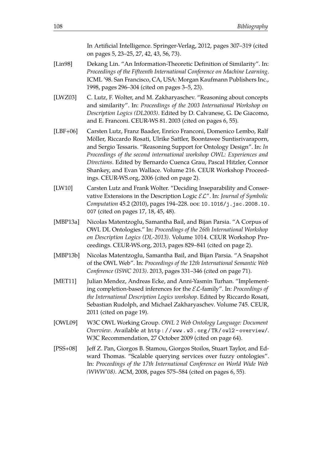In Artifcial Intelligence. Springer-Verlag, 2012, pages 307–319 (cited on pages [5,](#page-8-0) [23–](#page-26-0)[25,](#page-28-0) [27,](#page-30-0) [42,](#page-45-0) [43,](#page-46-0) [56,](#page-59-0) [73\)](#page-76-0).

- [Lin98] Dekang Lin. "An Information-Theoretic Defnition of Similarity". In: *Proceedings of the Fifteenth International Conference on Machine Learning*. ICML '98. San Francisco, CA, USA: Morgan Kaufmann Publishers Inc., 1998, pages 296–304 (cited on pages [3–](#page-6-0)[5,](#page-8-0) [23\)](#page-26-0).
- [LWZ03] C. Lutz, F. Wolter, and M. Zakharyaschev. "Reasoning about concepts and similarity". In: *Proceedings of the 2003 International Workshop on Description Logics (DL2003)*. Edited by D. Calvanese, G. De Giacomo, and E. Franconi. CEUR-WS 81. 2003 (cited on pages [6,](#page-9-0) [55\)](#page-58-0).
- [LBF+06] Carsten Lutz, Franz Baader, Enrico Franconi, Domenico Lembo, Ralf Möller, Riccardo Rosati, Ulrike Sattler, Boontawee Suntisrivaraporn, and Sergio Tessaris. "Reasoning Support for Ontology Design". In: *In Proceedings of the second international workshop OWL: Experiences and Directions*. Edited by Bernardo Cuenca Grau, Pascal Hitzler, Connor Shankey, and Evan Wallace. Volume 216. CEUR Workshop Proceedings. CEUR-WS.org, 2006 (cited on page [2\)](#page-5-0).
- [LW10] Carsten Lutz and Frank Wolter. "Deciding Inseparability and Conservative Extensions in the Description Logic EL". In: *Journal of Symbolic Computation* 45.2 (2010), pages 194–228. poi: [10.1016/j.jsc.2008.10.](https://doi.org/10.1016/j.jsc.2008.10.007) [007](https://doi.org/10.1016/j.jsc.2008.10.007) (cited on pages [17,](#page-20-0) [18,](#page-21-0) [45,](#page-48-0) [48\)](#page-51-0).
- [MBP13a] Nicolas Matentzoglu, Samantha Bail, and Bijan Parsia. "A Corpus of OWL DL Ontologies." In: *Proceedings of the 26th International Workshop on Description Logics (DL-2013)*. Volume 1014. CEUR Workshop Proceedings. CEUR-WS.org, 2013, pages 829–841 (cited on page [2\)](#page-5-0).
- [MBP13b] Nicolas Matentzoglu, Samantha Bail, and Bijan Parsia. "A Snapshot of the OWL Web". In: *Proceedings of the 12th International Semantic Web Conference (ISWC 2013)*. 2013, pages 331–346 (cited on page [71\)](#page-74-0).
- [MET11] Julian Mendez, Andreas Ecke, and Anni-Yasmin Turhan. "Implementing completion-based inferences for the EL-family". In: *Proceedings of the International Description Logics workshop*. Edited by Riccardo Rosati, Sebastian Rudolph, and Michael Zakharyaschev. Volume 745. CEUR, 2011 (cited on page [19\)](#page-22-0).
- [OWL09] W3C OWL Working Group. *OWL 2 Web Ontology Language: Document Overview*. Available at [http : / / www . w3 . org / TR / owl2 - overview/](http://www.w3.org/TR/owl2-overview/). W3C Recommendation, 27 October 2009 (cited on page [64\)](#page-67-0).
- [PSS+08] Jef Z. Pan, Giorgos B. Stamou, Giorgos Stoilos, Stuart Taylor, and Edward Thomas. "Scalable querying services over fuzzy ontologies". In: *Proceedings of the 17th International Conference on World Wide Web (WWW'08)*. ACM, 2008, pages 575–584 (cited on pages [6,](#page-9-0) [55\)](#page-58-0).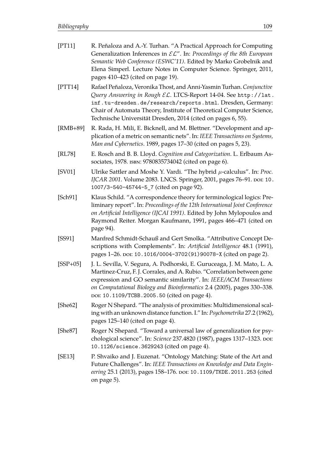| [PT11]       | R. Peñaloza and A.-Y. Turhan. "A Practical Approach for Computing<br>Generalization Inferences in $\mathcal{EL}''$ . In: Proceedings of the 8th European<br>Semantic Web Conference (ESWC'11). Edited by Marko Grobelnik and<br>Elena Simperl. Lecture Notes in Computer Science. Springer, 2011,<br>pages 410–423 (cited on page 19).           |
|--------------|--------------------------------------------------------------------------------------------------------------------------------------------------------------------------------------------------------------------------------------------------------------------------------------------------------------------------------------------------|
| [PTT14]      | Rafael Peñaloza, Veronika Thost, and Anni-Yasmin Turhan. Conjunctive<br>Query Answering in Rough EL. LTCS-Report 14-04. See http://lat.<br>inf.tu-dresden.de/research/reports.html.Dresden, Germany:<br>Chair of Automata Theory, Institute of Theoretical Computer Science,<br>Technische Universität Dresden, 2014 (cited on pages 6, 55).     |
| [ $RMB+89$ ] | R. Rada, H. Mili, E. Bicknell, and M. Blettner. "Development and ap-<br>plication of a metric on semantic nets". In: IEEE Transactions on Systems,<br>Man and Cybernetics. 1989, pages 17-30 (cited on pages 5, 23).                                                                                                                             |
| [RL78]       | E. Rosch and B. B. Lloyd. Cognition and Categorization. L. Erlbaum As-<br>sociates, 1978. ISBN: 9780835734042 (cited on page 6).                                                                                                                                                                                                                 |
| [SV01]       | Ulrike Sattler and Moshe Y. Vardi. "The hybrid $\mu$ -calculus". In: Proc.<br>IJCAR 2001. Volume 2083. LNCS. Springer, 2001, pages 76-91. DOI: 10.<br>1007/3-540-45744-5_7 (cited on page 92).                                                                                                                                                   |
| [Sch91]      | Klaus Schild. "A correspondence theory for terminological logics: Pre-<br>liminary report". In: Proceedings of the 12th International Joint Conference<br>on Artificial Intelligence (IJCAI 1991). Edited by John Mylopoulos and<br>Raymond Reiter. Morgan Kaufmann, 1991, pages 466-471 (cited on<br>page 94).                                  |
| [SS91]       | Manfred Schmidt-Schauß and Gert Smolka. "Attributive Concept De-<br>scriptions with Complements". In: Artificial Intelligence 48.1 (1991),<br>pages 1-26. por: 10.1016/0004-3702(91)90078-X (cited on page 2).                                                                                                                                   |
| $[SSP+05]$   | J. L. Sevilla, V. Segura, A. Podhorski, E. Guruceaga, J. M. Mato, L. A.<br>Martinez-Cruz, F. J. Corrales, and A. Rubio. "Correlation between gene<br>expression and GO semantic similarity". In: IEEE/ACM Transactions<br>on Computational Biology and Bioinformatics 2.4 (2005), pages 330-338.<br>DOI: 10.1109/TCBB.2005.50 (cited on page 4). |
| [She62]      | Roger N Shepard. "The analysis of proximities: Multidimensional scal-<br>ing with an unknown distance function. I." In: Psychometrika 27.2 (1962),<br>pages 125–140 (cited on page 4).                                                                                                                                                           |
| [She87]      | Roger N Shepard. "Toward a universal law of generalization for psy-<br>chological science". In: Science 237.4820 (1987), pages 1317-1323. DOI:<br>10.1126/science.3629243 (cited on page 4).                                                                                                                                                     |
| [SE13]       | P. Shvaiko and J. Euzenat. "Ontology Matching: State of the Art and<br>Future Challenges". In: IEEE Transactions on Knowledge and Data Engin-<br>eering 25.1 (2013), pages 158-176. por: 10.1109/TKDE. 2011. 253 (cited<br>on page 5).                                                                                                           |